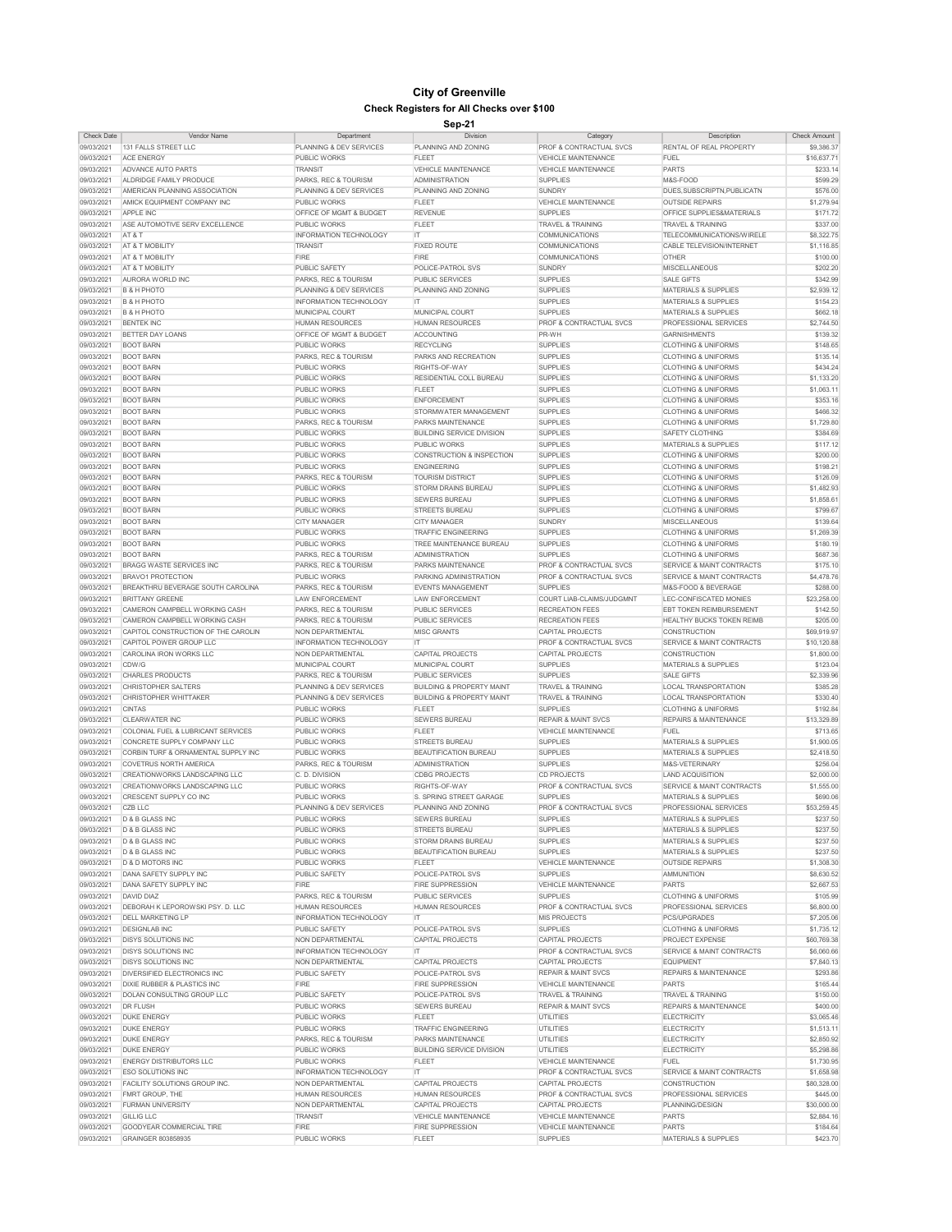| <b>Check Date</b> | <b>Vendor Name</b>                   | Department                         | <b>Division</b>                      | Category                           | <b>Description</b>                   | <b>Check Amount</b> |
|-------------------|--------------------------------------|------------------------------------|--------------------------------------|------------------------------------|--------------------------------------|---------------------|
| 09/03/2021        | 131 FALLS STREET LLC                 | PLANNING & DEV SERVICES            | PLANNING AND ZONING                  | <b>PROF &amp; CONTRACTUAL SVCS</b> | <b>RENTAL OF REAL PROPERTY</b>       | \$9,386.37          |
|                   |                                      |                                    |                                      |                                    |                                      |                     |
| 09/03/2021        | <b>ACE ENERGY</b>                    | <b>PUBLIC WORKS</b>                | <b>FLEET</b>                         | <b>VEHICLE MAINTENANCE</b>         | <b>FUEL</b>                          | \$16,637.71         |
| 09/03/2021        | <b>ADVANCE AUTO PARTS</b>            | <b>TRANSIT</b>                     | <b>VEHICLE MAINTENANCE</b>           | <b>VEHICLE MAINTENANCE</b>         | <b>PARTS</b>                         | \$233.14            |
| 09/03/2021        | ALDRIDGE FAMILY PRODUCE              | <b>PARKS, REC &amp; TOURISM</b>    | <b>ADMINISTRATION</b>                | <b>SUPPLIES</b>                    | M&S-FOOD                             | \$599.29            |
| 09/03/2021        | AMERICAN PLANNING ASSOCIATION        | <b>PLANNING &amp; DEV SERVICES</b> | <b>PLANNING AND ZONING</b>           | <b>SUNDRY</b>                      | DUES, SUBSCRIPTN, PUBLICATN          | \$576.00            |
|                   |                                      | <b>PUBLIC WORKS</b>                | <b>FLEET</b>                         |                                    | <b>OUTSIDE REPAIRS</b>               |                     |
| 09/03/2021        | AMICK EQUIPMENT COMPANY INC          |                                    |                                      | <b>VEHICLE MAINTENANCE</b>         |                                      | \$1,279.94          |
| 09/03/2021        | <b>APPLE INC</b>                     | <b>OFFICE OF MGMT &amp; BUDGET</b> | <b>REVENUE</b>                       | <b>SUPPLIES</b>                    | <b>OFFICE SUPPLIES&amp;MATERIALS</b> | \$171.72            |
| 09/03/2021        | ASE AUTOMOTIVE SERV EXCELLENCE       | <b>PUBLIC WORKS</b>                | <b>FLEET</b>                         | <b>TRAVEL &amp; TRAINING</b>       | <b>TRAVEL &amp; TRAINING</b>         | \$337.00            |
| 09/03/2021        | AT&T                                 | <b>INFORMATION TECHNOLOGY</b>      | <b>IT</b>                            | <b>COMMUNICATIONS</b>              | TELECOMMUNICATIONS/WIRELE            | \$8,322.75          |
| 09/03/2021        | <b>AT &amp; T MOBILITY</b>           | <b>TRANSIT</b>                     | <b>FIXED ROUTE</b>                   | <b>COMMUNICATIONS</b>              | CABLE TELEVISION/INTERNET            | \$1,116.85          |
|                   |                                      |                                    |                                      |                                    |                                      |                     |
| 09/03/2021        | AT & T MOBILITY                      | <b>FIRE</b>                        | <b>FIRE</b>                          | <b>COMMUNICATIONS</b>              | <b>OTHER</b>                         | \$100.00            |
| 09/03/2021        | AT & T MOBILITY                      | <b>PUBLIC SAFETY</b>               | POLICE-PATROL SVS                    | <b>SUNDRY</b>                      | <b>MISCELLANEOUS</b>                 | \$202.20            |
| 09/03/2021        | AURORA WORLD INC                     | PARKS, REC & TOURISM               | <b>PUBLIC SERVICES</b>               | <b>SUPPLIES</b>                    | <b>SALE GIFTS</b>                    | \$342.99            |
| 09/03/2021        | <b>B &amp; H PHOTO</b>               | <b>PLANNING &amp; DEV SERVICES</b> | PLANNING AND ZONING                  | <b>SUPPLIES</b>                    | <b>MATERIALS &amp; SUPPLIES</b>      | \$2,939.12          |
|                   |                                      |                                    |                                      |                                    |                                      |                     |
| 09/03/2021        | <b>B &amp; H PHOTO</b>               | <b>INFORMATION TECHNOLOGY</b>      | -IT                                  | <b>SUPPLIES</b>                    | <b>MATERIALS &amp; SUPPLIES</b>      | \$154.23            |
| 09/03/2021        | <b>B &amp; H PHOTO</b>               | <b>MUNICIPAL COURT</b>             | <b>MUNICIPAL COURT</b>               | <b>SUPPLIES</b>                    | <b>MATERIALS &amp; SUPPLIES</b>      | \$662.18            |
| 09/03/2021        | <b>BENTEK INC</b>                    | <b>HUMAN RESOURCES</b>             | <b>HUMAN RESOURCES</b>               | <b>PROF &amp; CONTRACTUAL SVCS</b> | <b>PROFESSIONAL SERVICES</b>         | \$2,744.50          |
| 09/03/2021        | <b>BETTER DAY LOANS</b>              | <b>OFFICE OF MGMT &amp; BUDGET</b> | ACCOUNTING                           | PR-WH                              | <b>GARNISHMENTS</b>                  | \$139.32            |
|                   |                                      |                                    |                                      |                                    |                                      |                     |
| 09/03/2021        | <b>BOOT BARN</b>                     | <b>PUBLIC WORKS</b>                | <b>RECYCLING</b>                     | <b>SUPPLIES</b>                    | <b>CLOTHING &amp; UNIFORMS</b>       | \$148.65            |
| 09/03/2021        | <b>BOOT BARN</b>                     | PARKS, REC & TOURISM               | <b>PARKS AND RECREATION</b>          | <b>SUPPLIES</b>                    | <b>CLOTHING &amp; UNIFORMS</b>       | \$135.14            |
| 09/03/2021        | <b>BOOT BARN</b>                     | <b>PUBLIC WORKS</b>                | RIGHTS-OF-WAY                        | <b>SUPPLIES</b>                    | <b>CLOTHING &amp; UNIFORMS</b>       | \$434.24            |
| 09/03/2021        | <b>BOOT BARN</b>                     | <b>PUBLIC WORKS</b>                | <b>RESIDENTIAL COLL BUREAU</b>       | <b>SUPPLIES</b>                    | <b>CLOTHING &amp; UNIFORMS</b>       | \$1,133.20          |
| 09/03/2021        | <b>BOOT BARN</b>                     | <b>PUBLIC WORKS</b>                | <b>FLEET</b>                         | <b>SUPPLIES</b>                    | <b>CLOTHING &amp; UNIFORMS</b>       |                     |
|                   |                                      |                                    |                                      |                                    |                                      | \$1,063.11          |
| 09/03/2021        | <b>BOOT BARN</b>                     | <b>PUBLIC WORKS</b>                | <b>ENFORCEMENT</b>                   | <b>SUPPLIES</b>                    | <b>CLOTHING &amp; UNIFORMS</b>       | \$353.16            |
| 09/03/2021        | <b>BOOT BARN</b>                     | <b>PUBLIC WORKS</b>                | <b>STORMWATER MANAGEMENT</b>         | <b>SUPPLIES</b>                    | <b>CLOTHING &amp; UNIFORMS</b>       | \$466.32            |
| 09/03/2021        | <b>BOOT BARN</b>                     | PARKS, REC & TOURISM               | <b>PARKS MAINTENANCE</b>             | <b>SUPPLIES</b>                    | <b>CLOTHING &amp; UNIFORMS</b>       | \$1,729.80          |
| 09/03/2021        | <b>BOOT BARN</b>                     | <b>PUBLIC WORKS</b>                | <b>BUILDING SERVICE DIVISION</b>     | <b>SUPPLIES</b>                    | <b>SAFETY CLOTHING</b>               | \$384.69            |
|                   |                                      |                                    |                                      |                                    |                                      |                     |
| 09/03/2021        | <b>BOOT BARN</b>                     | <b>PUBLIC WORKS</b>                | <b>PUBLIC WORKS</b>                  | <b>SUPPLIES</b>                    | <b>MATERIALS &amp; SUPPLIES</b>      | \$117.12            |
| 09/03/2021        | <b>BOOT BARN</b>                     | <b>PUBLIC WORKS</b>                | <b>CONSTRUCTION &amp; INSPECTION</b> | <b>SUPPLIES</b>                    | <b>CLOTHING &amp; UNIFORMS</b>       | \$200.00            |
| 09/03/2021        | <b>BOOT BARN</b>                     | <b>PUBLIC WORKS</b>                | <b>ENGINEERING</b>                   | <b>SUPPLIES</b>                    | <b>CLOTHING &amp; UNIFORMS</b>       | \$198.21            |
| 09/03/2021        | <b>BOOT BARN</b>                     | PARKS, REC & TOURISM               | <b>TOURISM DISTRICT</b>              | <b>SUPPLIES</b>                    | <b>CLOTHING &amp; UNIFORMS</b>       | \$126.09            |
|                   |                                      |                                    |                                      |                                    |                                      |                     |
| 09/03/2021        | <b>BOOT BARN</b>                     | <b>PUBLIC WORKS</b>                | <b>STORM DRAINS BUREAU</b>           | <b>SUPPLIES</b>                    | <b>CLOTHING &amp; UNIFORMS</b>       | \$1,482.93          |
| 09/03/2021        | <b>BOOT BARN</b>                     | <b>PUBLIC WORKS</b>                | <b>SEWERS BUREAU</b>                 | <b>SUPPLIES</b>                    | <b>CLOTHING &amp; UNIFORMS</b>       | \$1,858.61          |
| 09/03/2021        | <b>BOOT BARN</b>                     | <b>PUBLIC WORKS</b>                | <b>STREETS BUREAU</b>                | <b>SUPPLIES</b>                    | <b>CLOTHING &amp; UNIFORMS</b>       | \$799.67            |
| 09/03/2021        | <b>BOOT BARN</b>                     | <b>CITY MANAGER</b>                | <b>CITY MANAGER</b>                  | <b>SUNDRY</b>                      | <b>MISCELLANEOUS</b>                 | \$139.64            |
| 09/03/2021        | <b>BOOT BARN</b>                     | <b>PUBLIC WORKS</b>                | <b>TRAFFIC ENGINEERING</b>           | <b>SUPPLIES</b>                    | <b>CLOTHING &amp; UNIFORMS</b>       | \$1,269.39          |
|                   |                                      |                                    |                                      |                                    |                                      |                     |
| 09/03/2021        | <b>BOOT BARN</b>                     | <b>PUBLIC WORKS</b>                | TREE MAINTENANCE BUREAU              | <b>SUPPLIES</b>                    | <b>CLOTHING &amp; UNIFORMS</b>       | \$180.19            |
| 09/03/2021        | <b>BOOT BARN</b>                     | <b>PARKS, REC &amp; TOURISM</b>    | <b>ADMINISTRATION</b>                | <b>SUPPLIES</b>                    | <b>CLOTHING &amp; UNIFORMS</b>       | \$687.36            |
| 09/03/2021        | <b>BRAGG WASTE SERVICES INC</b>      | PARKS, REC & TOURISM               | <b>PARKS MAINTENANCE</b>             | <b>PROF &amp; CONTRACTUAL SVCS</b> | <b>SERVICE &amp; MAINT CONTRACTS</b> | \$175.10            |
| 09/03/2021        | <b>BRAVO1 PROTECTION</b>             | <b>PUBLIC WORKS</b>                | <b>PARKING ADMINISTRATION</b>        | <b>PROF &amp; CONTRACTUAL SVCS</b> | <b>SERVICE &amp; MAINT CONTRACTS</b> | \$4,478.76          |
|                   |                                      |                                    |                                      |                                    |                                      |                     |
| 09/03/2021        | BREAKTHRU BEVERAGE SOUTH CAROLINA    | <b>PARKS, REC &amp; TOURISM</b>    | <b>EVENTS MANAGEMENT</b>             | <b>SUPPLIES</b>                    | M&S-FOOD & BEVERAGE                  | \$288.00            |
| 09/03/2021        | <b>BRITTANY GREENE</b>               | <b>LAW ENFORCEMENT</b>             | <b>LAW ENFORCEMENT</b>               | <b>COURT LIAB-CLAIMS/JUDGMNT</b>   | LEC-CONFISCATED MONIES               | \$23,258.00         |
| 09/03/2021        | CAMERON CAMPBELL WORKING CASH        | PARKS, REC & TOURISM               | <b>PUBLIC SERVICES</b>               | <b>RECREATION FEES</b>             | <b>EBT TOKEN REIMBURSEMENT</b>       | \$142.50            |
| 09/03/2021        | CAMERON CAMPBELL WORKING CASH        | PARKS, REC & TOURISM               | <b>PUBLIC SERVICES</b>               | <b>RECREATION FEES</b>             | <b>HEALTHY BUCKS TOKEN REIMB</b>     | \$205.00            |
|                   |                                      |                                    | <b>MISC GRANTS</b>                   |                                    |                                      | \$69,919.97         |
| 09/03/2021        | CAPITOL CONSTRUCTION OF THE CAROLIN  | NON DEPARTMENTAL                   |                                      | <b>CAPITAL PROJECTS</b>            | <b>CONSTRUCTION</b>                  |                     |
| 09/03/2021        | CAPITOL POWER GROUP LLC              | <b>INFORMATION TECHNOLOGY</b>      | <b>IT</b>                            | <b>PROF &amp; CONTRACTUAL SVCS</b> | SERVICE & MAINT CONTRACTS            | \$10,120.88         |
| 09/03/2021        | CAROLINA IRON WORKS LLC              | NON DEPARTMENTAL                   | <b>CAPITAL PROJECTS</b>              | <b>CAPITAL PROJECTS</b>            | <b>CONSTRUCTION</b>                  | \$1,800.00          |
| 09/03/2021        | CDW/G                                | <b>MUNICIPAL COURT</b>             | <b>MUNICIPAL COURT</b>               | <b>SUPPLIES</b>                    | <b>MATERIALS &amp; SUPPLIES</b>      | \$123.04            |
| 09/03/2021        | <b>CHARLES PRODUCTS</b>              | <b>PARKS, REC &amp; TOURISM</b>    | <b>PUBLIC SERVICES</b>               | <b>SUPPLIES</b>                    | <b>SALE GIFTS</b>                    | \$2,339.96          |
|                   |                                      |                                    |                                      |                                    |                                      |                     |
| 09/03/2021        | <b>CHRISTOPHER SALTERS</b>           | <b>PLANNING &amp; DEV SERVICES</b> | <b>BUILDING &amp; PROPERTY MAINT</b> | <b>TRAVEL &amp; TRAINING</b>       | <b>LOCAL TRANSPORTATION</b>          | \$385.28            |
| 09/03/2021        | <b>CHRISTOPHER WHITTAKER</b>         | <b>PLANNING &amp; DEV SERVICES</b> | <b>BUILDING &amp; PROPERTY MAINT</b> | <b>TRAVEL &amp; TRAINING</b>       | <b>LOCAL TRANSPORTATION</b>          | \$330.40            |
| 09/03/2021        | <b>CINTAS</b>                        | <b>PUBLIC WORKS</b>                | <b>FLEET</b>                         | <b>SUPPLIES</b>                    | <b>CLOTHING &amp; UNIFORMS</b>       | \$192.84            |
| 09/03/2021        | <b>CLEARWATER INC</b>                | <b>PUBLIC WORKS</b>                | <b>SEWERS BUREAU</b>                 | <b>REPAIR &amp; MAINT SVCS</b>     | <b>REPAIRS &amp; MAINTENANCE</b>     | \$13,329.89         |
|                   |                                      |                                    |                                      |                                    |                                      |                     |
| 09/03/2021        | COLONIAL FUEL & LUBRICANT SERVICES   | <b>PUBLIC WORKS</b>                | <b>FLEET</b>                         | <b>VEHICLE MAINTENANCE</b>         | <b>FUEL</b>                          | \$713.65            |
| 09/03/2021        | <b>CONCRETE SUPPLY COMPANY LLC</b>   | <b>PUBLIC WORKS</b>                | <b>STREETS BUREAU</b>                | <b>SUPPLIES</b>                    | <b>MATERIALS &amp; SUPPLIES</b>      | \$1,900.05          |
| 09/03/2021        | CORBIN TURF & ORNAMENTAL SUPPLY INC  | <b>PUBLIC WORKS</b>                | <b>BEAUTIFICATION BUREAU</b>         | <b>SUPPLIES</b>                    | <b>MATERIALS &amp; SUPPLIES</b>      | \$2,418.50          |
| 09/03/2021        | <b>COVETRUS NORTH AMERICA</b>        | <b>PARKS, REC &amp; TOURISM</b>    | <b>ADMINISTRATION</b>                | <b>SUPPLIES</b>                    | M&S-VETERINARY                       | \$256.04            |
|                   |                                      |                                    |                                      |                                    |                                      |                     |
| 09/03/2021        | <b>CREATIONWORKS LANDSCAPING LLC</b> | C. D. DIVISION                     | <b>CDBG PROJECTS</b>                 | <b>CD PROJECTS</b>                 | <b>LAND ACQUISITION</b>              | \$2,000.00          |
| 09/03/2021        | <b>CREATIONWORKS LANDSCAPING LLC</b> | <b>PUBLIC WORKS</b>                | RIGHTS-OF-WAY                        | <b>PROF &amp; CONTRACTUAL SVCS</b> | <b>SERVICE &amp; MAINT CONTRACTS</b> | \$1,555.00          |
| 09/03/2021        | CRESCENT SUPPLY CO INC               | <b>PUBLIC WORKS</b>                | <b>S. SPRING STREET GARAGE</b>       | <b>SUPPLIES</b>                    | <b>MATERIALS &amp; SUPPLIES</b>      | \$690.06            |
| 09/03/2021        | <b>CZB LLC</b>                       | <b>PLANNING &amp; DEV SERVICES</b> | <b>PLANNING AND ZONING</b>           | <b>PROF &amp; CONTRACTUAL SVCS</b> | <b>PROFESSIONAL SERVICES</b>         | \$53,259.45         |
| 09/03/2021        | D & B GLASS INC                      | <b>PUBLIC WORKS</b>                | <b>SEWERS BUREAU</b>                 | <b>SUPPLIES</b>                    | <b>MATERIALS &amp; SUPPLIES</b>      | \$237.50            |
|                   |                                      |                                    |                                      |                                    |                                      |                     |
| 09/03/2021        | D & B GLASS INC                      | <b>PUBLIC WORKS</b>                | <b>STREETS BUREAU</b>                | <b>SUPPLIES</b>                    | <b>MATERIALS &amp; SUPPLIES</b>      | \$237.50            |
| 09/03/2021        | D & B GLASS INC                      | <b>PUBLIC WORKS</b>                | <b>STORM DRAINS BUREAU</b>           | <b>SUPPLIES</b>                    | <b>MATERIALS &amp; SUPPLIES</b>      | \$237.50            |
| 09/03/2021        | D & B GLASS INC                      | <b>PUBLIC WORKS</b>                | <b>BEAUTIFICATION BUREAU</b>         | <b>SUPPLIES</b>                    | <b>MATERIALS &amp; SUPPLIES</b>      | \$237.50            |
| 09/03/2021        | D & D MOTORS INC                     | <b>PUBLIC WORKS</b>                | FLEET                                | <b>VEHICLE MAINTENANCE</b>         | <b>OUTSIDE REPAIRS</b>               | \$1,308.30          |
| 09/03/2021        | DANA SAFETY SUPPLY INC               | <b>PUBLIC SAFETY</b>               | <b>POLICE-PATROL SVS</b>             | <b>SUPPLIES</b>                    | <b>AMMUNITION</b>                    | \$8,630.52          |
|                   |                                      |                                    |                                      |                                    |                                      |                     |
| 09/03/2021        | DANA SAFETY SUPPLY INC               | <b>FIRE</b>                        | <b>FIRE SUPPRESSION</b>              | <b>VEHICLE MAINTENANCE</b>         | <b>PARTS</b>                         | \$2,667.53          |
| 09/03/2021        | DAVID DIAZ                           | PARKS, REC & TOURISM               | <b>PUBLIC SERVICES</b>               | <b>SUPPLIES</b>                    | <b>CLOTHING &amp; UNIFORMS</b>       | \$105.99            |
| 09/03/2021        | DEBORAH K LEPOROWSKI PSY. D. LLC     | <b>HUMAN RESOURCES</b>             | <b>HUMAN RESOURCES</b>               | <b>PROF &amp; CONTRACTUAL SVCS</b> | <b>PROFESSIONAL SERVICES</b>         | \$6,800.00          |
| 09/03/2021        | <b>DELL MARKETING LP</b>             | <b>INFORMATION TECHNOLOGY</b>      | IT.                                  | <b>MIS PROJECTS</b>                | PCS/UPGRADES                         | \$7,205.06          |
| 09/03/2021        | <b>DESIGNLAB INC</b>                 | <b>PUBLIC SAFETY</b>               | <b>POLICE-PATROL SVS</b>             | <b>SUPPLIES</b>                    | <b>CLOTHING &amp; UNIFORMS</b>       | \$1,735.12          |
|                   |                                      |                                    |                                      |                                    |                                      |                     |
| 09/03/2021        | <b>DISYS SOLUTIONS INC</b>           | NON DEPARTMENTAL                   | <b>CAPITAL PROJECTS</b>              | CAPITAL PROJECTS                   | <b>PROJECT EXPENSE</b>               | \$60,769.38         |
| 09/03/2021        | <b>DISYS SOLUTIONS INC</b>           | <b>INFORMATION TECHNOLOGY</b>      | -IT                                  | <b>PROF &amp; CONTRACTUAL SVCS</b> | SERVICE & MAINT CONTRACTS            | \$6,060.66          |
| 09/03/2021        | <b>DISYS SOLUTIONS INC</b>           | NON DEPARTMENTAL                   | <b>CAPITAL PROJECTS</b>              | <b>CAPITAL PROJECTS</b>            | <b>EQUIPMENT</b>                     | \$7,840.13          |
| 09/03/2021        | DIVERSIFIED ELECTRONICS INC          | <b>PUBLIC SAFETY</b>               | <b>POLICE-PATROL SVS</b>             | <b>REPAIR &amp; MAINT SVCS</b>     | <b>REPAIRS &amp; MAINTENANCE</b>     | \$293.86            |
|                   |                                      |                                    |                                      |                                    |                                      |                     |
| 09/03/2021        | DIXIE RUBBER & PLASTICS INC          | <b>FIRE</b>                        | <b>FIRE SUPPRESSION</b>              | <b>VEHICLE MAINTENANCE</b>         | <b>PARTS</b>                         | \$165.44            |
| 09/03/2021        | DOLAN CONSULTING GROUP LLC           | <b>PUBLIC SAFETY</b>               | <b>POLICE-PATROL SVS</b>             | <b>TRAVEL &amp; TRAINING</b>       | <b>TRAVEL &amp; TRAINING</b>         | \$150.00            |
| 09/03/2021        | <b>DR FLUSH</b>                      | <b>PUBLIC WORKS</b>                | <b>SEWERS BUREAU</b>                 | <b>REPAIR &amp; MAINT SVCS</b>     | <b>REPAIRS &amp; MAINTENANCE</b>     | \$400.00            |
| 09/03/2021        | <b>DUKE ENERGY</b>                   | <b>PUBLIC WORKS</b>                | <b>FLEET</b>                         | <b>UTILITIES</b>                   | <b>ELECTRICITY</b>                   | \$3,065.46          |
|                   |                                      |                                    |                                      |                                    |                                      |                     |
| 09/03/2021        | <b>DUKE ENERGY</b>                   | <b>PUBLIC WORKS</b>                | <b>TRAFFIC ENGINEERING</b>           | <b>UTILITIES</b>                   | <b>ELECTRICITY</b>                   | \$1,513.11          |
| 09/03/2021        | <b>DUKE ENERGY</b>                   | <b>PARKS, REC &amp; TOURISM</b>    | <b>PARKS MAINTENANCE</b>             | <b>UTILITIES</b>                   | <b>ELECTRICITY</b>                   | \$2.850.92          |
| 09/03/2021        | <b>DUKE ENERGY</b>                   | <b>PUBLIC WORKS</b>                | <b>BUILDING SERVICE DIVISION</b>     | <b>UTILITIES</b>                   | <b>ELECTRICITY</b>                   | \$5,298.86          |
| 09/03/2021        | <b>ENERGY DISTRIBUTORS LLC</b>       | <b>PUBLIC WORKS</b>                | <b>FLEET</b>                         | <b>VEHICLE MAINTENANCE</b>         | <b>FUEL</b>                          | \$1,730.95          |
| 09/03/2021        | <b>ESO SOLUTIONS INC</b>             |                                    | IT.                                  |                                    |                                      | \$1,658.98          |
|                   |                                      | <b>INFORMATION TECHNOLOGY</b>      |                                      | <b>PROF &amp; CONTRACTUAL SVCS</b> | <b>SERVICE &amp; MAINT CONTRACTS</b> |                     |
| 09/03/2021        | <b>FACILITY SOLUTIONS GROUP INC.</b> | NON DEPARTMENTAL                   | <b>CAPITAL PROJECTS</b>              | <b>CAPITAL PROJECTS</b>            | <b>CONSTRUCTION</b>                  | \$80,328.00         |
| 09/03/2021        | <b>FMRT GROUP, THE</b>               | <b>HUMAN RESOURCES</b>             | <b>HUMAN RESOURCES</b>               | <b>PROF &amp; CONTRACTUAL SVCS</b> | <b>PROFESSIONAL SERVICES</b>         | \$445.00            |
| 09/03/2021        | <b>FURMAN UNIVERSITY</b>             | NON DEPARTMENTAL                   | <b>CAPITAL PROJECTS</b>              | <b>CAPITAL PROJECTS</b>            | PLANNING/DESIGN                      | \$30,000.00         |
| 09/03/2021        | <b>GILLIG LLC</b>                    | <b>TRANSIT</b>                     | VEHICLE MAINTENANCE                  | <b>VEHICLE MAINTENANCE</b>         | <b>PARTS</b>                         | \$2,884.16          |
|                   |                                      |                                    |                                      |                                    |                                      |                     |
| 09/03/2021        | <b>GOODYEAR COMMERCIAL TIRE</b>      | <b>FIRE</b>                        | <b>FIRE SUPPRESSION</b>              | <b>VEHICLE MAINTENANCE</b>         | <b>PARTS</b>                         | \$184.64            |
| 09/03/2021        | <b>GRAINGER 803858935</b>            | <b>PUBLIC WORKS</b>                | <b>FLEET</b>                         | <b>SUPPLIES</b>                    | <b>MATERIALS &amp; SUPPLIES</b>      | \$423.70            |

## **City of Greenville Check Registers for All Checks over \$100**

**Sep-21**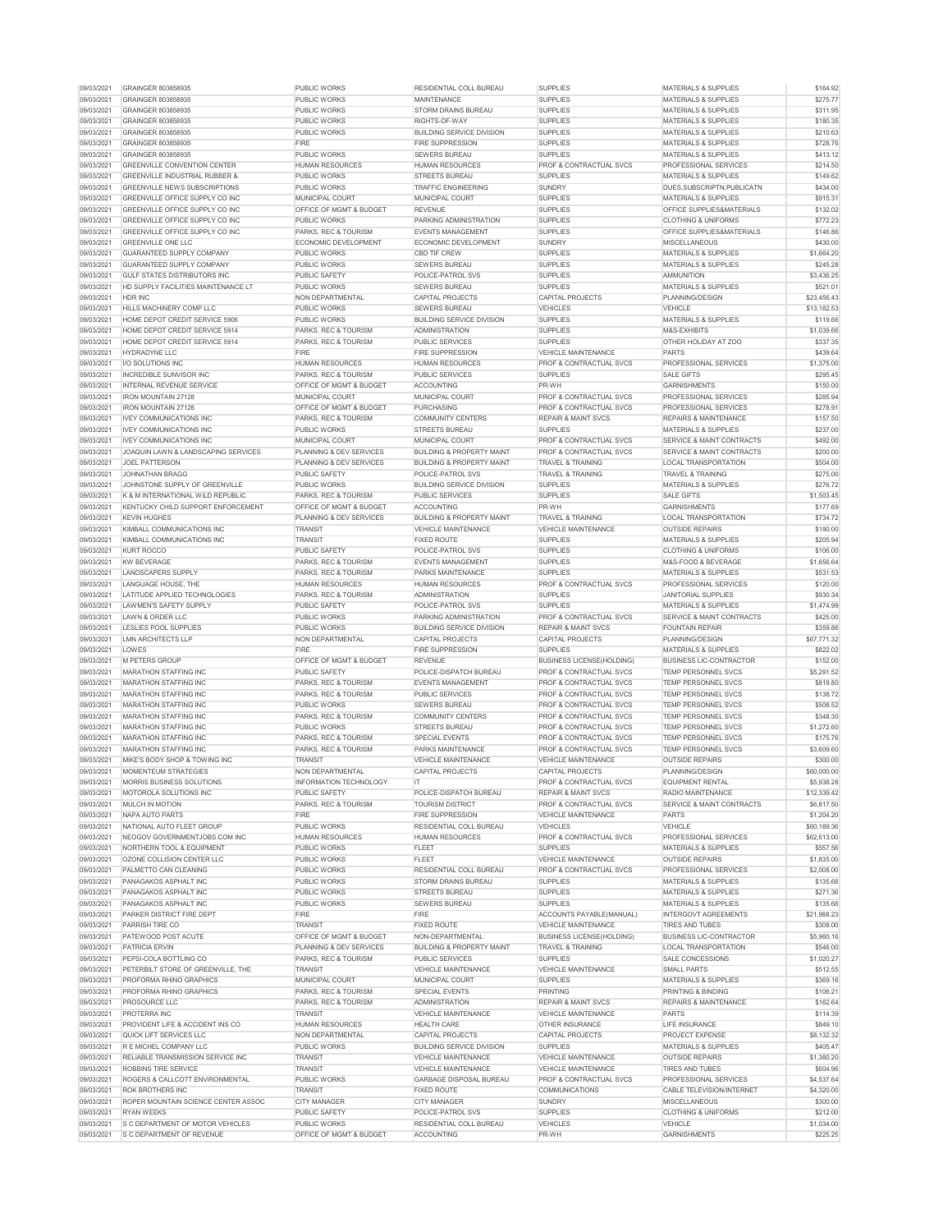| 09/03/2021               | <b>GRAINGER 803858935</b>                                     | <b>PUBLIC WORKS</b>                                       | <b>RESIDENTIAL COLL BUREAU</b>                      | <b>SUPPLIES</b>                    | <b>MATERIALS &amp; SUPPLIES</b>       | \$164.92               |
|--------------------------|---------------------------------------------------------------|-----------------------------------------------------------|-----------------------------------------------------|------------------------------------|---------------------------------------|------------------------|
| 09/03/2021               | <b>GRAINGER 803858935</b>                                     | <b>PUBLIC WORKS</b>                                       | <b>MAINTENANCE</b>                                  | <b>SUPPLIES</b>                    | <b>MATERIALS &amp; SUPPLIES</b>       | \$275.77               |
| 09/03/2021               | <b>GRAINGER 803858935</b>                                     | <b>PUBLIC WORKS</b>                                       | <b>STORM DRAINS BUREAU</b>                          | <b>SUPPLIES</b>                    | <b>MATERIALS &amp; SUPPLIES</b>       | \$311.95               |
| 09/03/2021               | <b>GRAINGER 803858935</b>                                     | <b>PUBLIC WORKS</b>                                       | RIGHTS-OF-WAY                                       | <b>SUPPLIES</b>                    | <b>MATERIALS &amp; SUPPLIES</b>       | \$180.35               |
| 09/03/2021               | <b>GRAINGER 803858935</b>                                     | <b>PUBLIC WORKS</b>                                       | <b>BUILDING SERVICE DIVISION</b>                    | <b>SUPPLIES</b>                    | <b>MATERIALS &amp; SUPPLIES</b>       | \$210.63               |
| 09/03/2021               | <b>GRAINGER 803858935</b>                                     | <b>FIRE</b>                                               | <b>FIRE SUPPRESSION</b>                             | <b>SUPPLIES</b>                    | <b>MATERIALS &amp; SUPPLIES</b>       | \$728.76               |
| 09/03/2021               | <b>GRAINGER 803858935</b>                                     | <b>PUBLIC WORKS</b>                                       | <b>SEWERS BUREAU</b>                                | <b>SUPPLIES</b>                    | <b>MATERIALS &amp; SUPPLIES</b>       | \$413.12               |
| 09/03/2021               | <b>GREENVILLE CONVENTION CENTER</b>                           | <b>HUMAN RESOURCES</b>                                    | <b>HUMAN RESOURCES</b>                              | <b>PROF &amp; CONTRACTUAL SVCS</b> | <b>PROFESSIONAL SERVICES</b>          | \$214.50               |
|                          |                                                               |                                                           |                                                     |                                    |                                       |                        |
| 09/03/2021               | <b>GREENVILLE INDUSTRIAL RUBBER &amp;</b>                     | <b>PUBLIC WORKS</b>                                       | <b>STREETS BUREAU</b>                               | <b>SUPPLIES</b>                    | <b>MATERIALS &amp; SUPPLIES</b>       | \$149.62               |
| 09/03/2021               | <b>GREENVILLE NEWS SUBSCRIPTIONS</b>                          | <b>PUBLIC WORKS</b>                                       | <b>TRAFFIC ENGINEERING</b>                          | <b>SUNDRY</b>                      | DUES, SUBSCRIPTN, PUBLICATN           | \$434.00               |
| 09/03/2021               | <b>GREENVILLE OFFICE SUPPLY CO INC</b>                        | <b>MUNICIPAL COURT</b>                                    | MUNICIPAL COURT                                     | <b>SUPPLIES</b>                    | <b>MATERIALS &amp; SUPPLIES</b>       | \$915.31               |
| 09/03/2021               | <b>GREENVILLE OFFICE SUPPLY CO INC</b>                        | <b>OFFICE OF MGMT &amp; BUDGET</b>                        | <b>REVENUE</b>                                      | <b>SUPPLIES</b>                    | <b>OFFICE SUPPLIES&amp;MATERIALS</b>  | \$132.02               |
| 09/03/2021               | <b>GREENVILLE OFFICE SUPPLY CO INC</b>                        | <b>PUBLIC WORKS</b>                                       | <b>PARKING ADMINISTRATION</b>                       | <b>SUPPLIES</b>                    | <b>CLOTHING &amp; UNIFORMS</b>        | \$772.23               |
| 09/03/2021               | <b>GREENVILLE OFFICE SUPPLY CO INC</b>                        | PARKS, REC & TOURISM                                      | <b>EVENTS MANAGEMENT</b>                            | <b>SUPPLIES</b>                    | <b>OFFICE SUPPLIES&amp;MATERIALS</b>  | \$146.86               |
| 09/03/2021               | <b>GREENVILLE ONE LLC</b>                                     | <b>ECONOMIC DEVELOPMENT</b>                               | <b>ECONOMIC DEVELOPMENT</b>                         | <b>SUNDRY</b>                      | <b>MISCELLANEOUS</b>                  | \$430.00               |
| 09/03/2021               | <b>GUARANTEED SUPPLY COMPANY</b>                              | <b>PUBLIC WORKS</b>                                       | <b>CBD TIF CREW</b>                                 | <b>SUPPLIES</b>                    | <b>MATERIALS &amp; SUPPLIES</b>       | \$1,664.20             |
| 09/03/2021               | <b>GUARANTEED SUPPLY COMPANY</b>                              | <b>PUBLIC WORKS</b>                                       | <b>SEWERS BUREAU</b>                                | <b>SUPPLIES</b>                    | <b>MATERIALS &amp; SUPPLIES</b>       | \$245.28               |
|                          |                                                               |                                                           |                                                     |                                    |                                       |                        |
| 09/03/2021               | <b>GULF STATES DISTRIBUTORS INC</b>                           | <b>PUBLIC SAFETY</b>                                      | <b>POLICE-PATROL SVS</b>                            | <b>SUPPLIES</b>                    | <b>AMMUNITION</b>                     | \$3,436.25             |
| 09/03/2021               | <b>HD SUPPLY FACILITIES MAINTENANCE LT</b>                    | <b>PUBLIC WORKS</b>                                       | <b>SEWERS BUREAU</b>                                | <b>SUPPLIES</b>                    | <b>MATERIALS &amp; SUPPLIES</b>       | \$521.01               |
| 09/03/2021               | <b>HDR INC</b>                                                | <b>NON DEPARTMENTAL</b>                                   | <b>CAPITAL PROJECTS</b>                             | <b>CAPITAL PROJECTS</b>            | PLANNING/DESIGN                       | \$23,456.43            |
| 09/03/2021               | HILLS MACHINERY COMP LLC                                      | <b>PUBLIC WORKS</b>                                       | <b>SEWERS BUREAU</b>                                | <b>VEHICLES</b>                    | <b>VEHICLE</b>                        | \$13,182.53            |
| 09/03/2021               | HOME DEPOT CREDIT SERVICE 5906                                | <b>PUBLIC WORKS</b>                                       | <b>BUILDING SERVICE DIVISION</b>                    | <b>SUPPLIES</b>                    | <b>MATERIALS &amp; SUPPLIES</b>       | \$119.66               |
| 09/03/2021               | HOME DEPOT CREDIT SERVICE 5914                                | PARKS, REC & TOURISM                                      | <b>ADMINISTRATION</b>                               | <b>SUPPLIES</b>                    | <b>M&amp;S-EXHIBITS</b>               | \$1,039.66             |
| 09/03/2021               | HOME DEPOT CREDIT SERVICE 5914                                | PARKS, REC & TOURISM                                      | <b>PUBLIC SERVICES</b>                              | <b>SUPPLIES</b>                    | OTHER HOLIDAY AT ZOO                  | \$337.35               |
| 09/03/2021               | <b>HYDRADYNE LLC</b>                                          | <b>FIRE</b>                                               | <b>FIRE SUPPRESSION</b>                             | <b>VEHICLE MAINTENANCE</b>         | <b>PARTS</b>                          | \$439.64               |
| 09/03/2021               | I/O SOLUTIONS INC                                             | <b>HUMAN RESOURCES</b>                                    | <b>HUMAN RESOURCES</b>                              | <b>PROF &amp; CONTRACTUAL SVCS</b> | <b>PROFESSIONAL SERVICES</b>          | \$1,375.00             |
| 09/03/2021               | <b>INCREDIBLE SUNVISOR INC</b>                                | <b>PARKS, REC &amp; TOURISM</b>                           | <b>PUBLIC SERVICES</b>                              | <b>SUPPLIES</b>                    | <b>SALE GIFTS</b>                     | \$295.45               |
|                          |                                                               |                                                           |                                                     |                                    |                                       |                        |
| 09/03/2021               | <b>INTERNAL REVENUE SERVICE</b>                               | <b>OFFICE OF MGMT &amp; BUDGET</b>                        | <b>ACCOUNTING</b>                                   | PR-WH                              | <b>GARNISHMENTS</b>                   | \$150.00               |
| 09/03/2021               | <b>IRON MOUNTAIN 27128</b>                                    | <b>MUNICIPAL COURT</b>                                    | <b>MUNICIPAL COURT</b>                              | <b>PROF &amp; CONTRACTUAL SVCS</b> | <b>PROFESSIONAL SERVICES</b>          | \$285.94               |
| 09/03/2021               | <b>IRON MOUNTAIN 27128</b>                                    | <b>OFFICE OF MGMT &amp; BUDGET</b>                        | <b>PURCHASING</b>                                   | <b>PROF &amp; CONTRACTUAL SVCS</b> | <b>PROFESSIONAL SERVICES</b>          | \$278.91               |
| 09/03/2021               | <b>IVEY COMMUNICATIONS INC</b>                                | <b>PARKS, REC &amp; TOURISM</b>                           | <b>COMMUNITY CENTERS</b>                            | <b>REPAIR &amp; MAINT SVCS</b>     | <b>REPAIRS &amp; MAINTENANCE</b>      | \$157.50               |
| 09/03/2021               | <b>IVEY COMMUNICATIONS INC</b>                                | <b>PUBLIC WORKS</b>                                       | <b>STREETS BUREAU</b>                               | <b>SUPPLIES</b>                    | <b>MATERIALS &amp; SUPPLIES</b>       | \$237.00               |
| 09/03/2021               | <b>IVEY COMMUNICATIONS INC</b>                                | <b>MUNICIPAL COURT</b>                                    | <b>MUNICIPAL COURT</b>                              | <b>PROF &amp; CONTRACTUAL SVCS</b> | <b>SERVICE &amp; MAINT CONTRACTS</b>  | \$492.00               |
| 09/03/2021               | JOAQUIN LAWN & LANDSCAPING SERVICES                           | <b>PLANNING &amp; DEV SERVICES</b>                        | <b>BUILDING &amp; PROPERTY MAINT</b>                | <b>PROF &amp; CONTRACTUAL SVCS</b> | <b>SERVICE &amp; MAINT CONTRACTS</b>  | \$200.00               |
| 09/03/2021               | <b>JOEL PATTERSON</b>                                         | <b>PLANNING &amp; DEV SERVICES</b>                        | <b>BUILDING &amp; PROPERTY MAINT</b>                | <b>TRAVEL &amp; TRAINING</b>       | <b>LOCAL TRANSPORTATION</b>           | \$504.00               |
| 09/03/2021               | <b>JOHNATHAN BRAGG</b>                                        | <b>PUBLIC SAFETY</b>                                      | POLICE-PATROL SVS                                   | <b>TRAVEL &amp; TRAINING</b>       | <b>TRAVEL &amp; TRAINING</b>          | \$275.00               |
| 09/03/2021               | JOHNSTONE SUPPLY OF GREENVILLE                                | <b>PUBLIC WORKS</b>                                       | <b>BUILDING SERVICE DIVISION</b>                    | <b>SUPPLIES</b>                    | <b>MATERIALS &amp; SUPPLIES</b>       | \$276.72               |
|                          |                                                               |                                                           |                                                     |                                    |                                       |                        |
| 09/03/2021               | K & M INTERNATIONAL WILD REPUBLIC                             | PARKS, REC & TOURISM                                      | <b>PUBLIC SERVICES</b>                              | <b>SUPPLIES</b>                    | <b>SALE GIFTS</b>                     | \$1,503.45             |
| 09/03/2021               | KENTUCKY CHILD SUPPORT ENFORCEMENT                            | <b>OFFICE OF MGMT &amp; BUDGET</b>                        | <b>ACCOUNTING</b>                                   | PR-WH                              | <b>GARNISHMENTS</b>                   | \$177.69               |
| 09/03/2021               | <b>KEVIN HUGHES</b>                                           | <b>PLANNING &amp; DEV SERVICES</b>                        | <b>BUILDING &amp; PROPERTY MAINT</b>                | <b>TRAVEL &amp; TRAINING</b>       | <b>LOCAL TRANSPORTATION</b>           | \$734.72               |
| 09/03/2021               | KIMBALL COMMUNICATIONS INC                                    | <b>TRANSIT</b>                                            | <b>VEHICLE MAINTENANCE</b>                          | <b>VEHICLE MAINTENANCE</b>         | <b>OUTSIDE REPAIRS</b>                | \$190.00               |
| 09/03/2021               | KIMBALL COMMUNICATIONS INC                                    | <b>TRANSIT</b>                                            | <b>FIXED ROUTE</b>                                  | <b>SUPPLIES</b>                    | <b>MATERIALS &amp; SUPPLIES</b>       | \$205.94               |
| 09/03/2021               | <b>KURT ROCCO</b>                                             | <b>PUBLIC SAFETY</b>                                      | <b>POLICE-PATROL SVS</b>                            | <b>SUPPLIES</b>                    | <b>CLOTHING &amp; UNIFORMS</b>        | \$106.00               |
| 09/03/2021               | <b>KW BEVERAGE</b>                                            | PARKS, REC & TOURISM                                      | <b>EVENTS MANAGEMENT</b>                            | <b>SUPPLIES</b>                    | M&S-FOOD & BEVERAGE                   | \$1,656.64             |
| 09/03/2021               | <b>LANDSCAPERS SUPPLY</b>                                     | PARKS, REC & TOURISM                                      | <b>PARKS MAINTENANCE</b>                            | <b>SUPPLIES</b>                    | <b>MATERIALS &amp; SUPPLIES</b>       | \$531.53               |
| 09/03/2021               | LANGUAGE HOUSE, THE                                           | <b>HUMAN RESOURCES</b>                                    | <b>HUMAN RESOURCES</b>                              | <b>PROF &amp; CONTRACTUAL SVCS</b> | <b>PROFESSIONAL SERVICES</b>          | \$120.00               |
|                          |                                                               |                                                           |                                                     |                                    |                                       |                        |
| 09/03/2021               | LATITUDE APPLIED TECHNOLOGIES                                 | PARKS, REC & TOURISM                                      | <b>ADMINISTRATION</b>                               | <b>SUPPLIES</b>                    | <b>JANITORIAL SUPPLIES</b>            | \$930.34               |
| 09/03/2021               | LAWMEN'S SAFETY SUPPLY                                        | <b>PUBLIC SAFETY</b>                                      | POLICE-PATROL SVS                                   | <b>SUPPLIES</b>                    | <b>MATERIALS &amp; SUPPLIES</b>       | \$1,474.99             |
|                          |                                                               |                                                           |                                                     |                                    |                                       |                        |
| 09/03/2021               | LAWN & ORDER LLC                                              | <b>PUBLIC WORKS</b>                                       | <b>PARKING ADMINISTRATION</b>                       | <b>PROF &amp; CONTRACTUAL SVCS</b> | <b>SERVICE &amp; MAINT CONTRACTS</b>  | \$425.00               |
| 09/03/2021               | <b>LESLIES POOL SUPPLIES</b>                                  | <b>PUBLIC WORKS</b>                                       | <b>BUILDING SERVICE DIVISION</b>                    | <b>REPAIR &amp; MAINT SVCS</b>     | <b>FOUNTAIN REPAIR</b>                | \$359.86               |
| 09/03/2021               | <b>LMN ARCHITECTS LLP</b>                                     | NON DEPARTMENTAL                                          | <b>CAPITAL PROJECTS</b>                             | <b>CAPITAL PROJECTS</b>            | PLANNING/DESIGN                       | \$67,771.32            |
| 09/03/2021               | LOWES                                                         | <b>FIRE</b>                                               | <b>FIRE SUPPRESSION</b>                             | <b>SUPPLIES</b>                    | <b>MATERIALS &amp; SUPPLIES</b>       | \$822.02               |
|                          | <b>M PETERS GROUP</b>                                         | <b>OFFICE OF MGMT &amp; BUDGET</b>                        | <b>REVENUE</b>                                      |                                    | <b>BUSINESS LIC-CONTRACTOR</b>        |                        |
| 09/03/2021               |                                                               |                                                           |                                                     | <b>BUSINESS LICENSE(HOLDING)</b>   |                                       | \$152.00               |
| 09/03/2021               | <b>MARATHON STAFFING INC</b>                                  | <b>PUBLIC SAFETY</b>                                      | POLICE-DISPATCH BUREAU                              | <b>PROF &amp; CONTRACTUAL SVCS</b> | <b>TEMP PERSONNEL SVCS</b>            | \$5,291.52             |
| 09/03/2021               | <b>MARATHON STAFFING INC</b>                                  | PARKS, REC & TOURISM                                      | <b>EVENTS MANAGEMENT</b>                            | <b>PROF &amp; CONTRACTUAL SVCS</b> | <b>TEMP PERSONNEL SVCS</b>            | \$819.80               |
| 09/03/2021               | <b>MARATHON STAFFING INC</b>                                  | PARKS, REC & TOURISM                                      | <b>PUBLIC SERVICES</b>                              | <b>PROF &amp; CONTRACTUAL SVCS</b> | <b>TEMP PERSONNEL SVCS</b>            | \$138.72               |
| 09/03/2021               | <b>MARATHON STAFFING INC</b>                                  | <b>PUBLIC WORKS</b>                                       | <b>SEWERS BUREAU</b>                                | <b>PROF &amp; CONTRACTUAL SVCS</b> | <b>TEMP PERSONNEL SVCS</b>            | \$508.52               |
| 09/03/2021               | <b>MARATHON STAFFING INC</b>                                  | PARKS, REC & TOURISM                                      | <b>COMMUNITY CENTERS</b>                            | <b>PROF &amp; CONTRACTUAL SVCS</b> | <b>TEMP PERSONNEL SVCS</b>            | \$348.30               |
| 09/03/2021               | <b>MARATHON STAFFING INC</b>                                  | <b>PUBLIC WORKS</b>                                       | <b>STREETS BUREAU</b>                               | <b>PROF &amp; CONTRACTUAL SVCS</b> | <b>TEMP PERSONNEL SVCS</b>            | \$1,272.60             |
| 09/03/2021               | <b>MARATHON STAFFING INC</b>                                  | <b>PARKS, REC &amp; TOURISM</b>                           | <b>SPECIAL EVENTS</b>                               | <b>PROF &amp; CONTRACTUAL SVCS</b> | <b>TEMP PERSONNEL SVCS</b>            | \$175.76               |
| 09/03/2021               | <b>MARATHON STAFFING INC</b>                                  | <b>PARKS, REC &amp; TOURISM</b>                           | <b>PARKS MAINTENANCE</b>                            | <b>PROF &amp; CONTRACTUAL SVCS</b> | <b>TEMP PERSONNEL SVCS</b>            | \$3,609.60             |
| 09/03/2021               | MIKE'S BODY SHOP & TOWING INC                                 | <b>TRANSIT</b>                                            | <b>VEHICLE MAINTENANCE</b>                          | <b>VEHICLE MAINTENANCE</b>         | <b>OUTSIDE REPAIRS</b>                | \$300.00               |
| 09/03/2021               | <b>MOMENTEUM STRATEGIES</b>                                   | NON DEPARTMENTAL                                          | <b>CAPITAL PROJECTS</b>                             | <b>CAPITAL PROJECTS</b>            | PLANNING/DESIGN                       | \$60,000.00            |
| 09/03/2021               | <b>MORRIS BUSINESS SOLUTIONS</b>                              | <b>INFORMATION TECHNOLOGY</b>                             | IT.                                                 | <b>PROF &amp; CONTRACTUAL SVCS</b> | <b>EQUIPMENT RENTAL</b>               |                        |
|                          |                                                               |                                                           |                                                     |                                    |                                       | \$5,938.28             |
| 09/03/2021               | <b>MOTOROLA SOLUTIONS INC</b>                                 | PUBLIC SAFETY                                             | POLICE-DISPATCH BUREAU                              | <b>REPAIR &amp; MAINT SVCS</b>     | <b>RADIO MAINTENANCE</b>              | \$12,339.42            |
| 09/03/2021               | <b>MULCH IN MOTION</b>                                        | <b>PARKS, REC &amp; TOURISM</b>                           | <b>TOURISM DISTRICT</b>                             | <b>PROF &amp; CONTRACTUAL SVCS</b> | <b>SERVICE &amp; MAINT CONTRACTS</b>  | \$6,817.50             |
| 09/03/2021               | NAPA AUTO PARTS                                               | <b>FIRE</b>                                               | <b>FIRE SUPPRESSION</b>                             | <b>VEHICLE MAINTENANCE</b>         | <b>PARTS</b>                          | \$1,204.20             |
| 09/03/2021               | NATIONAL AUTO FLEET GROUP                                     | <b>PUBLIC WORKS</b>                                       | <b>RESIDENTIAL COLL BUREAU</b>                      | <b>VEHICLES</b>                    | <b>VEHICLE</b>                        | \$60,189.36            |
| 09/03/2021               | NEOGOV GOVERNMENTJOBS.COM INC                                 | <b>HUMAN RESOURCES</b>                                    | <b>HUMAN RESOURCES</b>                              | <b>PROF &amp; CONTRACTUAL SVCS</b> | <b>PROFESSIONAL SERVICES</b>          | \$62,613.00            |
| 09/03/2021               | <b>NORTHERN TOOL &amp; EQUIPMENT</b>                          | <b>PUBLIC WORKS</b>                                       | <b>FLEET</b>                                        | <b>SUPPLIES</b>                    | <b>MATERIALS &amp; SUPPLIES</b>       | \$557.56               |
| 09/03/2021               | OZONE COLLISION CENTER LLC                                    | <b>PUBLIC WORKS</b>                                       | <b>FLEET</b>                                        | <b>VEHICLE MAINTENANCE</b>         | <b>OUTSIDE REPAIRS</b>                | \$1,835.00             |
| 09/03/2021               | PALMETTO CAN CLEANING                                         | <b>PUBLIC WORKS</b>                                       | <b>RESIDENTIAL COLL BUREAU</b>                      | <b>PROF &amp; CONTRACTUAL SVCS</b> | <b>PROFESSIONAL SERVICES</b>          | \$2,008.00             |
| 09/03/2021               | PANAGAKOS ASPHALT INC                                         | <b>PUBLIC WORKS</b>                                       | <b>STORM DRAINS BUREAU</b>                          | <b>SUPPLIES</b>                    | <b>MATERIALS &amp; SUPPLIES</b>       | \$135.68               |
| 09/03/2021               | PANAGAKOS ASPHALT INC                                         | <b>PUBLIC WORKS</b>                                       | <b>STREETS BUREAU</b>                               | <b>SUPPLIES</b>                    | <b>MATERIALS &amp; SUPPLIES</b>       | \$271.36               |
| 09/03/2021               | PANAGAKOS ASPHALT INC                                         | <b>PUBLIC WORKS</b>                                       | <b>SEWERS BUREAU</b>                                | <b>SUPPLIES</b>                    | <b>MATERIALS &amp; SUPPLIES</b>       | \$135.68               |
| 09/03/2021               | PARKER DISTRICT FIRE DEPT                                     | <b>FIRE</b>                                               | <b>FIRE</b>                                         | ACCOUNTS PAYABLE(MANUAL)           | <b>INTERGOVT AGREEMENTS</b>           | \$21,988.23            |
| 09/03/2021               | <b>PARRISH TIRE CO</b>                                        | <b>TRANSIT</b>                                            | <b>FIXED ROUTE</b>                                  | <b>VEHICLE MAINTENANCE</b>         | <b>TIRES AND TUBES</b>                | \$308.00               |
| 09/03/2021               | PATEWOOD POST ACUTE                                           | <b>OFFICE OF MGMT &amp; BUDGET</b>                        | NON-DEPARTMENTAL                                    | <b>BUSINESS LICENSE(HOLDING)</b>   | <b>BUSINESS LIC-CONTRACTOR</b>        | \$5,960.16             |
|                          |                                                               | <b>PLANNING &amp; DEV SERVICES</b>                        | <b>BUILDING &amp; PROPERTY MAINT</b>                | <b>TRAVEL &amp; TRAINING</b>       | <b>LOCAL TRANSPORTATION</b>           |                        |
| 09/03/2021               | PATRICIA ERVIN                                                |                                                           |                                                     |                                    |                                       | \$546.00               |
| 09/03/2021               | PEPSI-COLA BOTTLING CO                                        | PARKS, REC & TOURISM                                      | <b>PUBLIC SERVICES</b>                              | <b>SUPPLIES</b>                    | SALE CONCESSIONS                      | \$1,020.27             |
| 09/03/2021               | PETERBILT STORE OF GREENVILLE, THE                            | <b>TRANSIT</b>                                            | <b>VEHICLE MAINTENANCE</b>                          | <b>VEHICLE MAINTENANCE</b>         | <b>SMALL PARTS</b>                    | \$512.55               |
| 09/03/2021               | <b>PROFORMA RHINO GRAPHICS</b>                                | <b>MUNICIPAL COURT</b>                                    | MUNICIPAL COURT                                     | <b>SUPPLIES</b>                    | <b>MATERIALS &amp; SUPPLIES</b>       | \$369.16               |
| 09/03/2021               | PROFORMA RHINO GRAPHICS                                       | PARKS, REC & TOURISM                                      | <b>SPECIAL EVENTS</b>                               | <b>PRINTING</b>                    | <b>PRINTING &amp; BINDING</b>         | \$106.21               |
| 09/03/2021               | <b>PROSOURCE LLC</b>                                          | PARKS, REC & TOURISM                                      | <b>ADMINISTRATION</b>                               | <b>REPAIR &amp; MAINT SVCS</b>     | <b>REPAIRS &amp; MAINTENANCE</b>      | \$162.64               |
| 09/03/2021               | <b>PROTERRA INC</b>                                           | <b>TRANSIT</b>                                            | <b>VEHICLE MAINTENANCE</b>                          | <b>VEHICLE MAINTENANCE</b>         | <b>PARTS</b>                          | \$114.39               |
| 09/03/2021               | PROVIDENT LIFE & ACCIDENT INS CO                              | <b>HUMAN RESOURCES</b>                                    | <b>HEALTH CARE</b>                                  | <b>OTHER INSURANCE</b>             | <b>LIFE INSURANCE</b>                 | \$849.10               |
| 09/03/2021               | QUICK LIFT SERVICES LLC                                       | NON DEPARTMENTAL                                          | <b>CAPITAL PROJECTS</b>                             | <b>CAPITAL PROJECTS</b>            | <b>PROJECT EXPENSE</b>                | \$8,132.32             |
| 09/03/2021               | R E MICHEL COMPANY LLC                                        | <b>PUBLIC WORKS</b>                                       | <b>BUILDING SERVICE DIVISION</b>                    | <b>SUPPLIES</b>                    | <b>MATERIALS &amp; SUPPLIES</b>       | \$405.47               |
| 09/03/2021               | <b>RELIABLE TRANSMISSION SERVICE INC</b>                      | <b>TRANSIT</b>                                            | <b>VEHICLE MAINTENANCE</b>                          | <b>VEHICLE MAINTENANCE</b>         | <b>OUTSIDE REPAIRS</b>                | \$1,380.20             |
|                          |                                                               |                                                           |                                                     |                                    |                                       |                        |
| 09/03/2021               | ROBBINS TIRE SERVICE                                          | <b>TRANSIT</b>                                            | <b>VEHICLE MAINTENANCE</b>                          | <b>VEHICLE MAINTENANCE</b>         | <b>TIRES AND TUBES</b>                | \$604.96               |
| 09/03/2021               | ROGERS & CALLCOTT ENVIRONMENTAL                               | <b>PUBLIC WORKS</b>                                       | <b>GARBAGE DISPOSAL BUREAU</b>                      | <b>PROF &amp; CONTRACTUAL SVCS</b> | <b>PROFESSIONAL SERVICES</b>          | \$4,537.64             |
| 09/03/2021               | <b>ROK BROTHERS INC</b>                                       | <b>TRANSIT</b>                                            | <b>FIXED ROUTE</b>                                  | <b>COMMUNICATIONS</b>              | <b>CABLE TELEVISION/INTERNET</b>      | \$4,320.00             |
| 09/03/2021               | ROPER MOUNTAIN SCIENCE CENTER ASSOC                           | <b>CITY MANAGER</b>                                       | <b>CITY MANAGER</b>                                 | <b>SUNDRY</b>                      | <b>MISCELLANEOUS</b>                  | \$300.00               |
| 09/03/2021               | <b>RYAN WEEKS</b>                                             | <b>PUBLIC SAFETY</b>                                      | <b>POLICE-PATROL SVS</b>                            | <b>SUPPLIES</b>                    | <b>CLOTHING &amp; UNIFORMS</b>        | \$212.00               |
| 09/03/2021<br>09/03/2021 | S C DEPARTMENT OF MOTOR VEHICLES<br>S C DEPARTMENT OF REVENUE | <b>PUBLIC WORKS</b><br><b>OFFICE OF MGMT &amp; BUDGET</b> | <b>RESIDENTIAL COLL BUREAU</b><br><b>ACCOUNTING</b> | <b>VEHICLES</b><br>PR-WH           | <b>VEHICLE</b><br><b>GARNISHMENTS</b> | \$1,034.00<br>\$225.25 |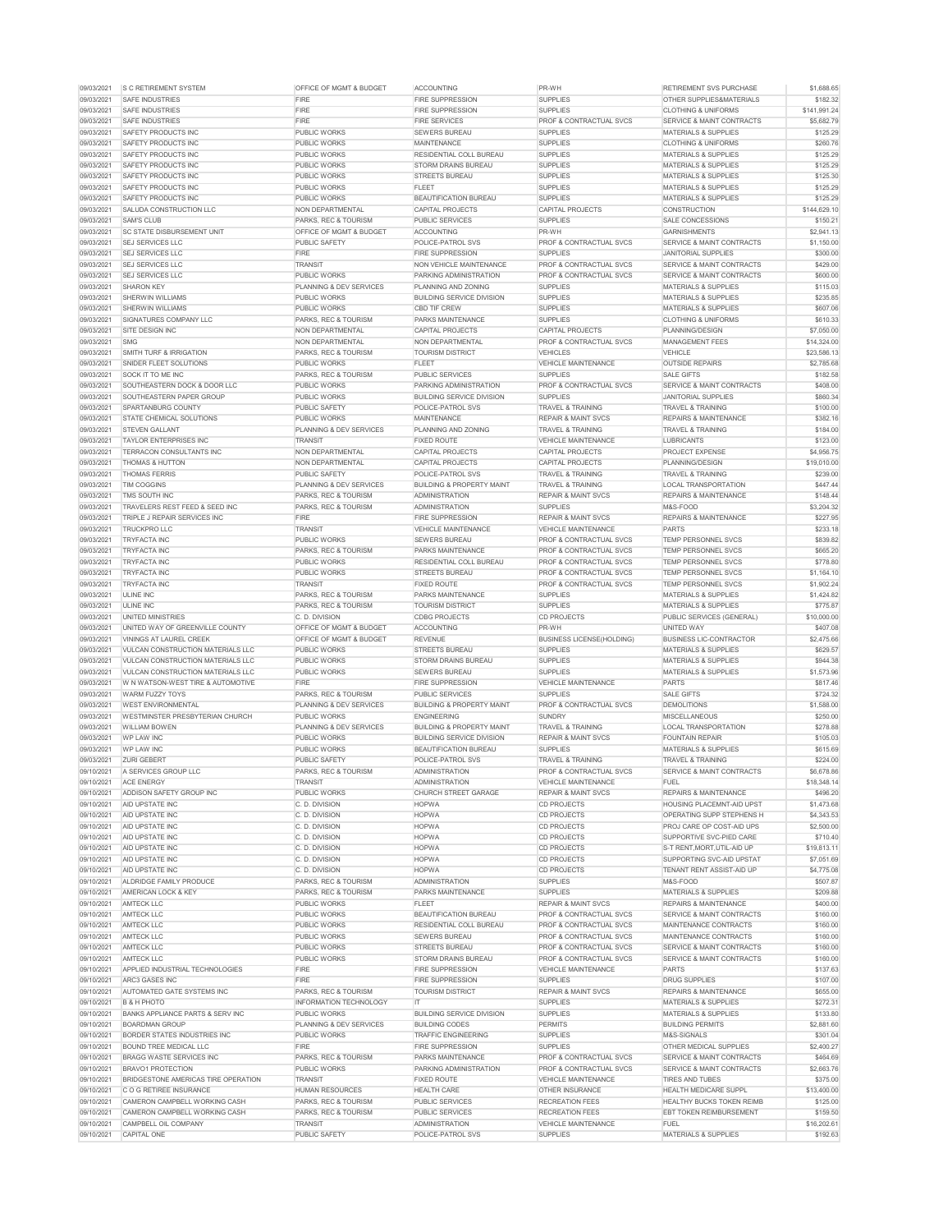| 09/03/2021               | <b>S C RETIREMENT SYSTEM</b>                                           | <b>OFFICE OF MGMT &amp; BUDGET</b>         | <b>ACCOUNTING</b>                                          | PR-WH                                                                    | <b>RETIREMENT SVS PURCHASE</b>                                     | \$1,688.65              |
|--------------------------|------------------------------------------------------------------------|--------------------------------------------|------------------------------------------------------------|--------------------------------------------------------------------------|--------------------------------------------------------------------|-------------------------|
| 09/03/2021               | <b>SAFE INDUSTRIES</b>                                                 | <b>FIRE</b>                                | <b>FIRE SUPPRESSION</b>                                    | <b>SUPPLIES</b>                                                          | <b>OTHER SUPPLIES&amp;MATERIALS</b>                                | \$182.32                |
| 09/03/2021               | <b>SAFE INDUSTRIES</b>                                                 | <b>FIRE</b>                                | <b>FIRE SUPPRESSION</b>                                    | <b>SUPPLIES</b>                                                          | <b>CLOTHING &amp; UNIFORMS</b>                                     | \$141,991.24            |
| 09/03/2021               | <b>SAFE INDUSTRIES</b>                                                 | <b>FIRE</b>                                | <b>FIRE SERVICES</b>                                       | <b>PROF &amp; CONTRACTUAL SVCS</b>                                       | <b>SERVICE &amp; MAINT CONTRACTS</b>                               | \$5,682.79              |
| 09/03/2021               | SAFETY PRODUCTS INC                                                    | <b>PUBLIC WORKS</b>                        | <b>SEWERS BUREAU</b>                                       | <b>SUPPLIES</b>                                                          | <b>MATERIALS &amp; SUPPLIES</b>                                    | \$125.29                |
| 09/03/2021               | SAFETY PRODUCTS INC                                                    | <b>PUBLIC WORKS</b>                        | <b>MAINTENANCE</b>                                         | <b>SUPPLIES</b>                                                          | <b>CLOTHING &amp; UNIFORMS</b>                                     | \$260.76                |
| 09/03/2021               | <b>SAFETY PRODUCTS INC</b>                                             | <b>PUBLIC WORKS</b>                        | <b>RESIDENTIAL COLL BUREAU</b>                             | <b>SUPPLIES</b>                                                          | <b>MATERIALS &amp; SUPPLIES</b>                                    | \$125.29                |
| 09/03/2021               | <b>SAFETY PRODUCTS INC</b>                                             | <b>PUBLIC WORKS</b>                        | <b>STORM DRAINS BUREAU</b>                                 | <b>SUPPLIES</b>                                                          | <b>MATERIALS &amp; SUPPLIES</b>                                    | \$125.29                |
| 09/03/2021               | SAFETY PRODUCTS INC                                                    | <b>PUBLIC WORKS</b>                        | <b>STREETS BUREAU</b>                                      | <b>SUPPLIES</b>                                                          | <b>MATERIALS &amp; SUPPLIES</b>                                    | \$125.30                |
| 09/03/2021               | <b>SAFETY PRODUCTS INC</b>                                             | <b>PUBLIC WORKS</b>                        | <b>FLEET</b>                                               | <b>SUPPLIES</b>                                                          | <b>MATERIALS &amp; SUPPLIES</b>                                    | \$125.29                |
| 09/03/2021               | <b>SAFETY PRODUCTS INC</b>                                             | <b>PUBLIC WORKS</b>                        | <b>BEAUTIFICATION BUREAU</b>                               | <b>SUPPLIES</b>                                                          | <b>MATERIALS &amp; SUPPLIES</b>                                    | \$125.29                |
| 09/03/2021               | SALUDA CONSTRUCTION LLC                                                | <b>NON DEPARTMENTAL</b>                    | <b>CAPITAL PROJECTS</b>                                    | <b>CAPITAL PROJECTS</b>                                                  | <b>CONSTRUCTION</b>                                                | \$144,629.10            |
| 09/03/2021               | <b>SAM'S CLUB</b>                                                      | <b>PARKS, REC &amp; TOURISM</b>            | <b>PUBLIC SERVICES</b>                                     | <b>SUPPLIES</b>                                                          | SALE CONCESSIONS                                                   | \$150.21                |
| 09/03/2021               | <b>SC STATE DISBURSEMENT UNIT</b>                                      | <b>OFFICE OF MGMT &amp; BUDGET</b>         | <b>ACCOUNTING</b>                                          | PR-WH                                                                    | <b>GARNISHMENTS</b>                                                | \$2,941.13              |
| 09/03/2021               | <b>SEJ SERVICES LLC</b>                                                | <b>PUBLIC SAFETY</b>                       | POLICE-PATROL SVS                                          | <b>PROF &amp; CONTRACTUAL SVCS</b>                                       | <b>SERVICE &amp; MAINT CONTRACTS</b>                               | \$1,150.00              |
| 09/03/2021               | <b>SEJ SERVICES LLC</b>                                                | <b>FIRE</b>                                | <b>FIRE SUPPRESSION</b>                                    | <b>SUPPLIES</b>                                                          | <b>JANITORIAL SUPPLIES</b>                                         | \$300.00                |
| 09/03/2021               | <b>SEJ SERVICES LLC</b>                                                | <b>TRANSIT</b>                             | NON VEHICLE MAINTENANCE                                    | <b>PROF &amp; CONTRACTUAL SVCS</b>                                       | <b>SERVICE &amp; MAINT CONTRACTS</b>                               | \$429.00                |
| 09/03/2021               | <b>SEJ SERVICES LLC</b>                                                | <b>PUBLIC WORKS</b>                        | <b>PARKING ADMINISTRATION</b>                              | <b>PROF &amp; CONTRACTUAL SVCS</b>                                       | SERVICE & MAINT CONTRACTS                                          | \$600.00                |
| 09/03/2021               | <b>SHARON KEY</b>                                                      | <b>PLANNING &amp; DEV SERVICES</b>         | PLANNING AND ZONING                                        | <b>SUPPLIES</b>                                                          | <b>MATERIALS &amp; SUPPLIES</b>                                    | \$115.03                |
| 09/03/2021               | <b>SHERWIN WILLIAMS</b>                                                | <b>PUBLIC WORKS</b>                        | <b>BUILDING SERVICE DIVISION</b>                           | <b>SUPPLIES</b>                                                          | <b>MATERIALS &amp; SUPPLIES</b>                                    | \$235.85                |
| 09/03/2021               | <b>SHERWIN WILLIAMS</b>                                                | <b>PUBLIC WORKS</b>                        | <b>CBD TIF CREW</b>                                        | <b>SUPPLIES</b>                                                          | <b>MATERIALS &amp; SUPPLIES</b>                                    | \$607.06                |
| 09/03/2021               | <b>SIGNATURES COMPANY LLC</b>                                          | PARKS, REC & TOURISM                       | <b>PARKS MAINTENANCE</b>                                   | <b>SUPPLIES</b>                                                          | <b>CLOTHING &amp; UNIFORMS</b>                                     | \$610.33                |
| 09/03/2021               | SITE DESIGN INC                                                        | NON DEPARTMENTAL                           | <b>CAPITAL PROJECTS</b>                                    | <b>CAPITAL PROJECTS</b>                                                  | PLANNING/DESIGN                                                    | \$7,050.00              |
| 09/03/2021               | <b>SMG</b>                                                             | NON DEPARTMENTAL                           | NON DEPARTMENTAL                                           | <b>PROF &amp; CONTRACTUAL SVCS</b>                                       | <b>MANAGEMENT FEES</b>                                             | \$14,324.00             |
| 09/03/2021               | <b>SMITH TURF &amp; IRRIGATION</b>                                     | <b>PARKS, REC &amp; TOURISM</b>            | <b>TOURISM DISTRICT</b>                                    | <b>VEHICLES</b>                                                          | <b>VEHICLE</b>                                                     | \$23,586.13             |
| 09/03/2021               | SNIDER FLEET SOLUTIONS                                                 | <b>PUBLIC WORKS</b>                        | <b>FLEET</b>                                               | <b>VEHICLE MAINTENANCE</b>                                               | <b>OUTSIDE REPAIRS</b>                                             | \$2,785.68              |
| 09/03/2021               | SOCK IT TO ME INC                                                      | <b>PARKS, REC &amp; TOURISM</b>            | <b>PUBLIC SERVICES</b>                                     | <b>SUPPLIES</b>                                                          | <b>SALE GIFTS</b>                                                  | \$182.58                |
| 09/03/2021<br>09/03/2021 | <b>SOUTHEASTERN DOCK &amp; DOOR LLC</b><br>SOUTHEASTERN PAPER GROUP    | <b>PUBLIC WORKS</b><br><b>PUBLIC WORKS</b> | PARKING ADMINISTRATION<br><b>BUILDING SERVICE DIVISION</b> | <b>PROF &amp; CONTRACTUAL SVCS</b><br><b>SUPPLIES</b>                    | <b>SERVICE &amp; MAINT CONTRACTS</b><br><b>JANITORIAL SUPPLIES</b> | \$408.00<br>\$860.34    |
| 09/03/2021               | <b>SPARTANBURG COUNTY</b>                                              | PUBLIC SAFETY                              | <b>POLICE-PATROL SVS</b>                                   | <b>TRAVEL &amp; TRAINING</b>                                             | <b>TRAVEL &amp; TRAINING</b>                                       | \$100.00                |
| 09/03/2021               | <b>STATE CHEMICAL SOLUTIONS</b>                                        | <b>PUBLIC WORKS</b>                        | <b>MAINTENANCE</b>                                         | <b>REPAIR &amp; MAINT SVCS</b>                                           | <b>REPAIRS &amp; MAINTENANCE</b>                                   | \$382.16                |
| 09/03/2021               | <b>STEVEN GALLANT</b>                                                  | <b>PLANNING &amp; DEV SERVICES</b>         | PLANNING AND ZONING                                        | <b>TRAVEL &amp; TRAINING</b>                                             | <b>TRAVEL &amp; TRAINING</b>                                       | \$184.00                |
| 09/03/2021               | <b>TAYLOR ENTERPRISES INC</b>                                          | <b>TRANSIT</b>                             | <b>FIXED ROUTE</b>                                         | <b>VEHICLE MAINTENANCE</b>                                               | <b>LUBRICANTS</b>                                                  | \$123.00                |
| 09/03/2021               | <b>TERRACON CONSULTANTS INC</b>                                        | <b>NON DEPARTMENTAL</b>                    | <b>CAPITAL PROJECTS</b>                                    | <b>CAPITAL PROJECTS</b>                                                  | PROJECT EXPENSE                                                    | \$4,956.75              |
| 09/03/2021               | <b>THOMAS &amp; HUTTON</b>                                             | NON DEPARTMENTAL                           | <b>CAPITAL PROJECTS</b>                                    | <b>CAPITAL PROJECTS</b>                                                  | PLANNING/DESIGN                                                    | \$19,010.00             |
| 09/03/2021               | <b>THOMAS FERRIS</b>                                                   | <b>PUBLIC SAFETY</b>                       | POLICE-PATROL SVS                                          | <b>TRAVEL &amp; TRAINING</b>                                             | <b>TRAVEL &amp; TRAINING</b>                                       | \$239.00                |
| 09/03/2021               | <b>TIM COGGINS</b>                                                     | PLANNING & DEV SERVICES                    | <b>BUILDING &amp; PROPERTY MAINT</b>                       | <b>TRAVEL &amp; TRAINING</b>                                             | <b>LOCAL TRANSPORTATION</b>                                        | \$447.44                |
| 09/03/2021               | TMS SOUTH INC                                                          | <b>PARKS, REC &amp; TOURISM</b>            | <b>ADMINISTRATION</b>                                      | <b>REPAIR &amp; MAINT SVCS</b>                                           | <b>REPAIRS &amp; MAINTENANCE</b>                                   | \$148.44                |
| 09/03/2021               | TRAVELERS REST FEED & SEED INC                                         | <b>PARKS, REC &amp; TOURISM</b>            | <b>ADMINISTRATION</b>                                      | <b>SUPPLIES</b>                                                          | M&S-FOOD                                                           | \$3,204.32              |
| 09/03/2021               | TRIPLE J REPAIR SERVICES INC                                           | <b>FIRE</b>                                | <b>FIRE SUPPRESSION</b>                                    | <b>REPAIR &amp; MAINT SVCS</b>                                           | <b>REPAIRS &amp; MAINTENANCE</b>                                   | \$227.95                |
| 09/03/2021               | <b>TRUCKPRO LLC</b>                                                    | <b>TRANSIT</b>                             | <b>VEHICLE MAINTENANCE</b>                                 | <b>VEHICLE MAINTENANCE</b>                                               | <b>PARTS</b>                                                       | \$233.18                |
| 09/03/2021               | <b>TRYFACTA INC</b>                                                    | <b>PUBLIC WORKS</b>                        | <b>SEWERS BUREAU</b>                                       | <b>PROF &amp; CONTRACTUAL SVCS</b>                                       | <b>TEMP PERSONNEL SVCS</b>                                         | \$839.82                |
| 09/03/2021               | <b>TRYFACTA INC</b>                                                    | <b>PARKS, REC &amp; TOURISM</b>            | <b>PARKS MAINTENANCE</b>                                   | <b>PROF &amp; CONTRACTUAL SVCS</b>                                       | <b>TEMP PERSONNEL SVCS</b>                                         | \$665.20                |
| 09/03/2021               | <b>TRYFACTA INC</b>                                                    | <b>PUBLIC WORKS</b>                        | <b>RESIDENTIAL COLL BUREAU</b>                             | <b>PROF &amp; CONTRACTUAL SVCS</b>                                       | <b>TEMP PERSONNEL SVCS</b>                                         | \$778.80                |
| 09/03/2021               | <b>TRYFACTA INC</b>                                                    | <b>PUBLIC WORKS</b>                        | <b>STREETS BUREAU</b>                                      | <b>PROF &amp; CONTRACTUAL SVCS</b>                                       | <b>TEMP PERSONNEL SVCS</b>                                         | \$1,164.10              |
| 09/03/2021               | <b>TRYFACTA INC</b>                                                    | <b>TRANSIT</b>                             | <b>FIXED ROUTE</b>                                         | <b>PROF &amp; CONTRACTUAL SVCS</b>                                       | <b>TEMP PERSONNEL SVCS</b>                                         | \$1,902.24              |
| 09/03/2021               | <b>ULINE INC</b>                                                       | <b>PARKS, REC &amp; TOURISM</b>            | <b>PARKS MAINTENANCE</b>                                   | <b>SUPPLIES</b>                                                          | <b>MATERIALS &amp; SUPPLIES</b>                                    | \$1,424.82              |
| 09/03/2021               | ULINE INC                                                              | PARKS, REC & TOURISM                       | <b>TOURISM DISTRICT</b>                                    | <b>SUPPLIES</b>                                                          | <b>MATERIALS &amp; SUPPLIES</b>                                    | \$775.87                |
| 09/03/2021               | UNITED MINISTRIES                                                      | C. D. DIVISION                             | <b>CDBG PROJECTS</b>                                       | <b>CD PROJECTS</b>                                                       | PUBLIC SERVICES (GENERAL)                                          | \$10,000.00             |
| 09/03/2021               | UNITED WAY OF GREENVILLE COUNTY                                        | <b>OFFICE OF MGMT &amp; BUDGET</b>         | <b>ACCOUNTING</b>                                          | PR-WH                                                                    | UNITED WAY                                                         | \$407.08                |
| 09/03/2021               | <b>VININGS AT LAUREL CREEK</b>                                         | <b>OFFICE OF MGMT &amp; BUDGET</b>         | <b>REVENUE</b>                                             | <b>BUSINESS LICENSE(HOLDING)</b>                                         | <b>BUSINESS LIC-CONTRACTOR</b>                                     | \$2,475.66              |
| 09/03/2021               | VULCAN CONSTRUCTION MATERIALS LLC                                      | <b>PUBLIC WORKS</b>                        | <b>STREETS BUREAU</b>                                      | <b>SUPPLIES</b>                                                          | <b>MATERIALS &amp; SUPPLIES</b>                                    | \$629.57                |
| 09/03/2021               | VULCAN CONSTRUCTION MATERIALS LLC                                      | <b>PUBLIC WORKS</b>                        | <b>STORM DRAINS BUREAU</b>                                 | <b>SUPPLIES</b>                                                          | <b>MATERIALS &amp; SUPPLIES</b>                                    | \$944.38                |
| 09/03/2021<br>09/03/2021 | VULCAN CONSTRUCTION MATERIALS LLC<br>W N WATSON-WEST TIRE & AUTOMOTIVE | <b>PUBLIC WORKS</b><br><b>FIRE</b>         | <b>SEWERS BUREAU</b><br><b>FIRE SUPPRESSION</b>            | <b>SUPPLIES</b><br><b>VEHICLE MAINTENANCE</b>                            | <b>MATERIALS &amp; SUPPLIES</b><br><b>PARTS</b>                    | \$1,573.96<br>\$817.46  |
| 09/03/2021               | <b>WARM FUZZY TOYS</b>                                                 | <b>PARKS, REC &amp; TOURISM</b>            | <b>PUBLIC SERVICES</b>                                     | <b>SUPPLIES</b>                                                          | <b>SALE GIFTS</b>                                                  | \$724.32                |
| 09/03/2021               | <b>WEST ENVIRONMENTAL</b>                                              | PLANNING & DEV SERVICES                    | <b>BUILDING &amp; PROPERTY MAINT</b>                       | <b>PROF &amp; CONTRACTUAL SVCS</b>                                       | <b>DEMOLITIONS</b>                                                 | \$1,588.00              |
| 09/03/2021               | <b>WESTMINSTER PRESBYTERIAN CHURCH</b>                                 | <b>PUBLIC WORKS</b>                        | <b>ENGINEERING</b>                                         | <b>SUNDRY</b>                                                            | <b>MISCELLANEOUS</b>                                               | \$250.00                |
| 09/03/2021               | <b>WILLIAM BOWEN</b>                                                   | PLANNING & DEV SERVICES                    | <b>BUILDING &amp; PROPERTY MAINT</b>                       | <b>TRAVEL &amp; TRAINING</b>                                             | <b>LOCAL TRANSPORTATION</b>                                        | \$278.88                |
| 09/03/2021               | <b>WP LAW INC</b>                                                      | <b>PUBLIC WORKS</b>                        | <b>BUILDING SERVICE DIVISION</b>                           | <b>REPAIR &amp; MAINT SVCS</b>                                           | <b>FOUNTAIN REPAIR</b>                                             | \$105.03                |
| 09/03/2021               | <b>WP LAW INC</b>                                                      | <b>PUBLIC WORKS</b>                        | <b>BEAUTIFICATION BUREAU</b>                               | <b>SUPPLIES</b>                                                          | <b>MATERIALS &amp; SUPPLIES</b>                                    | \$615.69                |
| 09/03/2021               | <b>ZURI GEBERT</b>                                                     | <b>PUBLIC SAFETY</b>                       | POLICE-PATROL SVS                                          | <b>TRAVEL &amp; TRAINING</b>                                             | <b>TRAVEL &amp; TRAINING</b>                                       | \$224.00                |
| 09/10/2021               | A SERVICES GROUP LLC                                                   | <b>PARKS, REC &amp; TOURISM</b>            | <b>ADMINISTRATION</b>                                      | <b>PROF &amp; CONTRACTUAL SVCS</b>                                       | <b>SERVICE &amp; MAINT CONTRACTS</b>                               | \$6,678.86              |
| 09/10/2021               | <b>ACE ENERGY</b>                                                      | <b>TRANSIT</b>                             | <b>ADMINISTRATION</b>                                      | <b>VEHICLE MAINTENANCE</b>                                               | <b>FUEL</b>                                                        | \$18,348.14             |
| 09/10/2021               | <b>ADDISON SAFETY GROUP INC</b>                                        | <b>PUBLIC WORKS</b>                        | <b>CHURCH STREET GARAGE</b>                                | <b>REPAIR &amp; MAINT SVCS</b>                                           | <b>REPAIRS &amp; MAINTENANCE</b>                                   | \$496.20                |
| 09/10/2021               | <b>AID UPSTATE INC</b>                                                 | C. D. DIVISION                             | <b>HOPWA</b>                                               | <b>CD PROJECTS</b>                                                       | <b>HOUSING PLACEMNT-AID UPST</b>                                   | \$1,473.68              |
| 09/10/2021               | AID UPSTATE INC                                                        | C. D. DIVISION                             | <b>HOPWA</b>                                               | <b>CD PROJECTS</b>                                                       | <b>OPERATING SUPP STEPHENS H</b>                                   | \$4,343.53              |
| 09/10/2021               | <b>AID UPSTATE INC</b>                                                 | C. D. DIVISION                             | <b>HOPWA</b>                                               | <b>CD PROJECTS</b>                                                       | <b>PROJ CARE OP COST-AID UPS</b>                                   | \$2,500.00              |
| 09/10/2021               | <b>AID UPSTATE INC</b>                                                 | C. D. DIVISION                             | <b>HOPWA</b>                                               | <b>CD PROJECTS</b>                                                       | SUPPORTIVE SVC-PIED CARE                                           | \$710.40                |
| 09/10/2021               | AID UPSTATE INC                                                        | C. D. DIVISION                             | <b>HOPWA</b>                                               | <b>CD PROJECTS</b>                                                       | S-T RENT.MORT.UTIL-AID UP                                          | \$19,813.11             |
| 09/10/2021               | AID UPSTATE INC                                                        | C. D. DIVISION                             | <b>HOPWA</b>                                               | <b>CD PROJECTS</b>                                                       | SUPPORTING SVC-AID UPSTAT                                          | \$7,051.69              |
| 09/10/2021               | <b>AID UPSTATE INC</b>                                                 | C. D. DIVISION                             | <b>HOPWA</b>                                               | <b>CD PROJECTS</b>                                                       | <b>TENANT RENT ASSIST-AID UP</b>                                   | \$4,775.08              |
| 09/10/2021               | <b>ALDRIDGE FAMILY PRODUCE</b>                                         | <b>PARKS, REC &amp; TOURISM</b>            | <b>ADMINISTRATION</b>                                      | <b>SUPPLIES</b>                                                          | M&S-FOOD                                                           | \$507.87                |
| 09/10/2021               | <b>AMERICAN LOCK &amp; KEY</b>                                         | <b>PARKS, REC &amp; TOURISM</b>            | <b>PARKS MAINTENANCE</b>                                   | <b>SUPPLIES</b>                                                          | <b>MATERIALS &amp; SUPPLIES</b>                                    | \$209.88                |
| 09/10/2021               | <b>AMTECK LLC</b>                                                      | <b>PUBLIC WORKS</b><br><b>PUBLIC WORKS</b> | <b>FLEET</b>                                               | <b>REPAIR &amp; MAINT SVCS</b>                                           | <b>REPAIRS &amp; MAINTENANCE</b>                                   | \$400.00                |
| 09/10/2021<br>09/10/2021 | <b>AMTECK LLC</b><br><b>AMTECK LLC</b>                                 | <b>PUBLIC WORKS</b>                        | <b>BEAUTIFICATION BUREAU</b>                               | <b>PROF &amp; CONTRACTUAL SVCS</b>                                       | SERVICE & MAINT CONTRACTS<br>MAINTENANCE CONTRACTS                 | \$160.00                |
| 09/10/2021               | <b>AMTECK LLC</b>                                                      | <b>PUBLIC WORKS</b>                        | <b>RESIDENTIAL COLL BUREAU</b><br><b>SEWERS BUREAU</b>     | <b>PROF &amp; CONTRACTUAL SVCS</b><br><b>PROF &amp; CONTRACTUAL SVCS</b> | <b>MAINTENANCE CONTRACTS</b>                                       | \$160.00<br>\$160.00    |
| 09/10/2021               | <b>AMTECK LLC</b>                                                      | <b>PUBLIC WORKS</b>                        | <b>STREETS BUREAU</b>                                      | <b>PROF &amp; CONTRACTUAL SVCS</b>                                       | <b>SERVICE &amp; MAINT CONTRACTS</b>                               | \$160.00                |
| 09/10/2021               | <b>AMTECK LLC</b>                                                      | <b>PUBLIC WORKS</b>                        | <b>STORM DRAINS BUREAU</b>                                 | <b>PROF &amp; CONTRACTUAL SVCS</b>                                       | SERVICE & MAINT CONTRACTS                                          | \$160.00                |
| 09/10/2021               | <b>APPLIED INDUSTRIAL TECHNOLOGIES</b>                                 | <b>FIRE</b>                                | <b>FIRE SUPPRESSION</b>                                    | <b>VEHICLE MAINTENANCE</b>                                               | <b>PARTS</b>                                                       | \$137.63                |
| 09/10/2021               | <b>ARC3 GASES INC</b>                                                  | <b>FIRE</b>                                | <b>FIRE SUPPRESSION</b>                                    | <b>SUPPLIES</b>                                                          | <b>DRUG SUPPLIES</b>                                               | \$107.00                |
| 09/10/2021               | <b>AUTOMATED GATE SYSTEMS INC</b>                                      | PARKS, REC & TOURISM                       | <b>TOURISM DISTRICT</b>                                    | <b>REPAIR &amp; MAINT SVCS</b>                                           | <b>REPAIRS &amp; MAINTENANCE</b>                                   | \$655.00                |
| 09/10/2021               | <b>B &amp; H PHOTO</b>                                                 | <b>INFORMATION TECHNOLOGY</b>              | IT.                                                        | <b>SUPPLIES</b>                                                          | <b>MATERIALS &amp; SUPPLIES</b>                                    | \$272.31                |
| 09/10/2021               | <b>BANKS APPLIANCE PARTS &amp; SERV INC</b>                            | <b>PUBLIC WORKS</b>                        | <b>BUILDING SERVICE DIVISION</b>                           | <b>SUPPLIES</b>                                                          | <b>MATERIALS &amp; SUPPLIES</b>                                    | \$133.80                |
| 09/10/2021               | <b>BOARDMAN GROUP</b>                                                  | <b>PLANNING &amp; DEV SERVICES</b>         | <b>BUILDING CODES</b>                                      | <b>PERMITS</b>                                                           | <b>BUILDING PERMITS</b>                                            | \$2,881.60              |
| 09/10/2021               | <b>BORDER STATES INDUSTRIES INC</b>                                    | <b>PUBLIC WORKS</b>                        | <b>TRAFFIC ENGINEERING</b>                                 | <b>SUPPLIES</b>                                                          | M&S-SIGNALS                                                        | \$301.04                |
| 09/10/2021               | <b>BOUND TREE MEDICAL LLC</b>                                          | <b>FIRE</b>                                | <b>FIRE SUPPRESSION</b>                                    | <b>SUPPLIES</b>                                                          | <b>OTHER MEDICAL SUPPLIES</b>                                      | \$2,400.27              |
| 09/10/2021               | <b>BRAGG WASTE SERVICES INC</b>                                        | <b>PARKS, REC &amp; TOURISM</b>            | <b>PARKS MAINTENANCE</b>                                   | <b>PROF &amp; CONTRACTUAL SVCS</b>                                       | SERVICE & MAINT CONTRACTS                                          | \$464.69                |
| 09/10/2021               | <b>BRAVO1 PROTECTION</b>                                               | <b>PUBLIC WORKS</b>                        | PARKING ADMINISTRATION                                     | <b>PROF &amp; CONTRACTUAL SVCS</b>                                       | <b>SERVICE &amp; MAINT CONTRACTS</b>                               | \$2,663.76              |
| 09/10/2021               | <b>BRIDGESTONE AMERICAS TIRE OPERATION</b>                             | <b>TRANSIT</b>                             | <b>FIXED ROUTE</b>                                         | <b>VEHICLE MAINTENANCE</b>                                               | <b>TIRES AND TUBES</b>                                             | \$375.00                |
| 09/10/2021               | C O G RETIREE INSURANCE                                                | <b>HUMAN RESOURCES</b>                     | <b>HEALTH CARE</b>                                         | <b>OTHER INSURANCE</b>                                                   | <b>HEALTH MEDICARE SUPPL</b>                                       | \$13,400.00             |
| 09/10/2021               | CAMERON CAMPBELL WORKING CASH                                          | <b>PARKS, REC &amp; TOURISM</b>            | <b>PUBLIC SERVICES</b>                                     | <b>RECREATION FEES</b>                                                   | <b>HEALTHY BUCKS TOKEN REIMB</b>                                   | \$125.00                |
| 09/10/2021<br>09/10/2021 | CAMERON CAMPBELL WORKING CASH<br>CAMPBELL OIL COMPANY                  | PARKS, REC & TOURISM<br><b>TRANSIT</b>     | <b>PUBLIC SERVICES</b>                                     | <b>RECREATION FEES</b><br><b>VEHICLE MAINTENANCE</b>                     | <b>EBT TOKEN REIMBURSEMENT</b><br><b>FUEL</b>                      | \$159.50                |
| 09/10/2021               | <b>CAPITAL ONE</b>                                                     | <b>PUBLIC SAFETY</b>                       | ADMINISTRATION<br>POLICE-PATROL SVS                        | <b>SUPPLIES</b>                                                          | <b>MATERIALS &amp; SUPPLIES</b>                                    | \$16,202.61<br>\$192.63 |
|                          |                                                                        |                                            |                                                            |                                                                          |                                                                    |                         |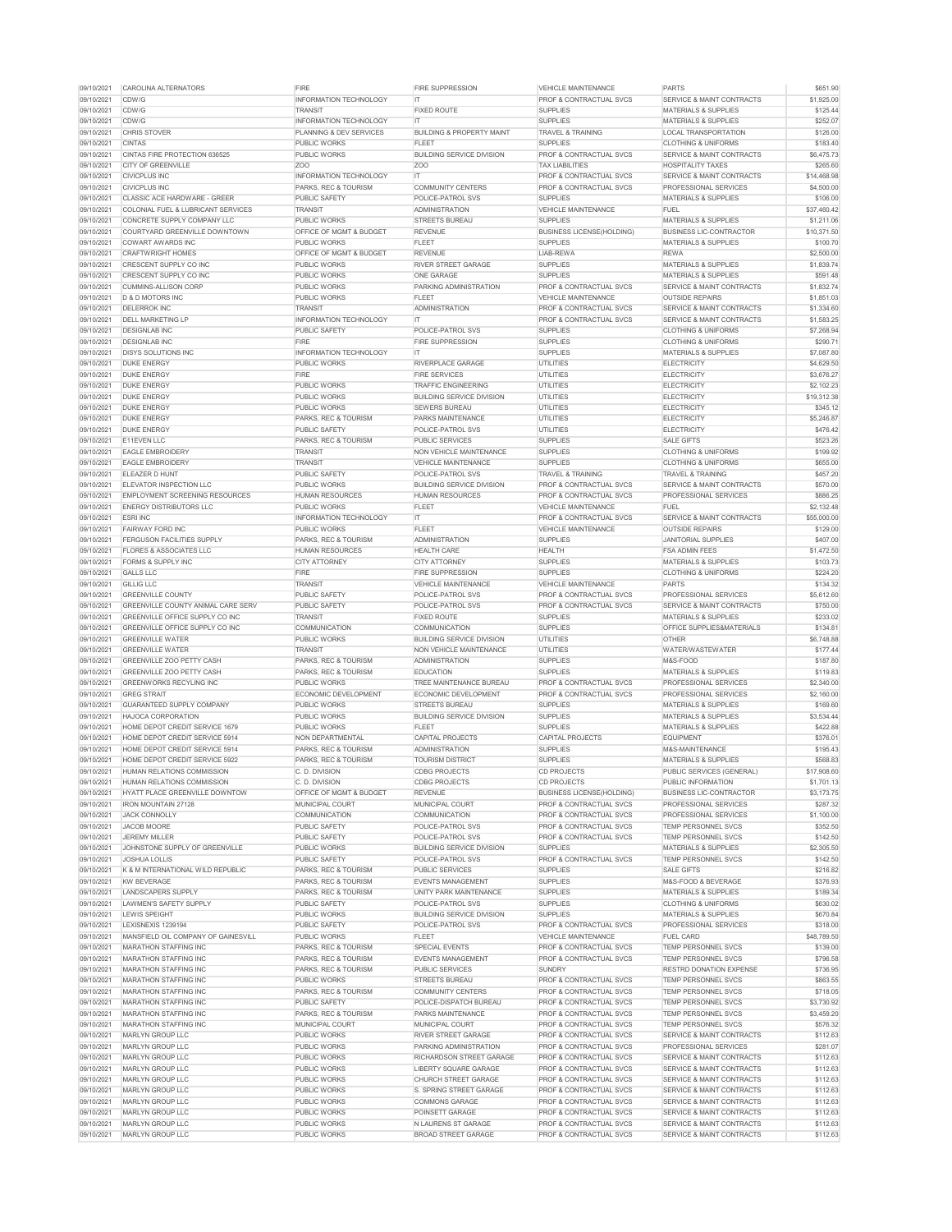| 09/10/2021               | <b>CAROLINA ALTERNATORS</b>                                  | <b>FIRE</b>                                            | <b>FIRE SUPPRESSION</b>                           | <b>VEHICLE MAINTENANCE</b>                                       | <b>PARTS</b>                                      | \$651.90             |
|--------------------------|--------------------------------------------------------------|--------------------------------------------------------|---------------------------------------------------|------------------------------------------------------------------|---------------------------------------------------|----------------------|
| 09/10/2021               | CDW/G                                                        | <b>INFORMATION TECHNOLOGY</b>                          | IT.                                               | <b>PROF &amp; CONTRACTUAL SVCS</b>                               | SERVICE & MAINT CONTRACTS                         | \$1,925.00           |
| 09/10/2021               | CDW/G                                                        | <b>TRANSIT</b>                                         | <b>FIXED ROUTE</b>                                | <b>SUPPLIES</b>                                                  | <b>MATERIALS &amp; SUPPLIES</b>                   | \$125.44             |
| 09/10/2021               | CDW/G                                                        | <b>INFORMATION TECHNOLOGY</b>                          | IT.                                               | <b>SUPPLIES</b>                                                  | <b>MATERIALS &amp; SUPPLIES</b>                   | \$252.07             |
| 09/10/2021               | <b>CHRIS STOVER</b>                                          | PLANNING & DEV SERVICES                                | <b>BUILDING &amp; PROPERTY MAINT</b>              | <b>TRAVEL &amp; TRAINING</b>                                     | <b>LOCAL TRANSPORTATION</b>                       | \$126.00             |
| 09/10/2021               | <b>CINTAS</b>                                                | <b>PUBLIC WORKS</b>                                    | <b>FLEET</b>                                      | <b>SUPPLIES</b>                                                  | <b>CLOTHING &amp; UNIFORMS</b>                    | \$183.40             |
| 09/10/2021               | <b>CINTAS FIRE PROTECTION 636525</b>                         | <b>PUBLIC WORKS</b>                                    | <b>BUILDING SERVICE DIVISION</b>                  | <b>PROF &amp; CONTRACTUAL SVCS</b>                               | <b>SERVICE &amp; MAINT CONTRACTS</b>              | \$6,475.73           |
| 09/10/2021               | <b>CITY OF GREENVILLE</b>                                    | Z <sub>O</sub> O                                       | Z <sub>O</sub> O                                  | <b>TAX LIABILITIES</b>                                           | <b>HOSPITALITY TAXES</b>                          | \$265.60             |
| 09/10/2021               | <b>CIVICPLUS INC</b>                                         | <b>INFORMATION TECHNOLOGY</b>                          | IT.                                               | <b>PROF &amp; CONTRACTUAL SVCS</b>                               | <b>SERVICE &amp; MAINT CONTRACTS</b>              | \$14,468.98          |
| 09/10/2021               | <b>CIVICPLUS INC</b>                                         | PARKS, REC & TOURISM                                   | <b>COMMUNITY CENTERS</b>                          | <b>PROF &amp; CONTRACTUAL SVCS</b>                               | <b>PROFESSIONAL SERVICES</b>                      | \$4,500.00           |
| 09/10/2021               | <b>CLASSIC ACE HARDWARE - GREER</b>                          | <b>PUBLIC SAFETY</b>                                   | POLICE-PATROL SVS                                 | <b>SUPPLIES</b>                                                  | <b>MATERIALS &amp; SUPPLIES</b>                   | \$106.00             |
| 09/10/2021               | COLONIAL FUEL & LUBRICANT SERVICES                           | <b>TRANSIT</b>                                         | <b>ADMINISTRATION</b>                             | <b>VEHICLE MAINTENANCE</b>                                       | <b>FUEL</b>                                       | \$37,460.42          |
| 09/10/2021               | CONCRETE SUPPLY COMPANY LLC                                  | <b>PUBLIC WORKS</b>                                    | <b>STREETS BUREAU</b>                             | <b>SUPPLIES</b>                                                  | <b>MATERIALS &amp; SUPPLIES</b>                   | \$1,211.06           |
| 09/10/2021               | COURTYARD GREENVILLE DOWNTOWN                                | <b>OFFICE OF MGMT &amp; BUDGET</b>                     | <b>REVENUE</b>                                    | <b>BUSINESS LICENSE(HOLDING)</b>                                 | <b>BUSINESS LIC-CONTRACTOR</b>                    | \$10,371.50          |
| 09/10/2021               | <b>COWART AWARDS INC</b>                                     | <b>PUBLIC WORKS</b>                                    | <b>FLEET</b>                                      | <b>SUPPLIES</b>                                                  | <b>MATERIALS &amp; SUPPLIES</b>                   | \$100.70             |
| 09/10/2021               | <b>CRAFTWRIGHT HOMES</b>                                     | <b>OFFICE OF MGMT &amp; BUDGET</b>                     | <b>REVENUE</b>                                    | <b>LIAB-REWA</b>                                                 | <b>REWA</b>                                       | \$2,500.00           |
| 09/10/2021               | <b>CRESCENT SUPPLY CO INC</b>                                | <b>PUBLIC WORKS</b>                                    | <b>RIVER STREET GARAGE</b>                        | <b>SUPPLIES</b>                                                  | <b>MATERIALS &amp; SUPPLIES</b>                   | \$1,839.74           |
| 09/10/2021               | <b>CRESCENT SUPPLY CO INC</b>                                | <b>PUBLIC WORKS</b>                                    | <b>ONE GARAGE</b>                                 | <b>SUPPLIES</b>                                                  | <b>MATERIALS &amp; SUPPLIES</b>                   | \$591.48             |
| 09/10/2021               | <b>CUMMINS-ALLISON CORP</b>                                  | <b>PUBLIC WORKS</b>                                    | <b>PARKING ADMINISTRATION</b>                     | <b>PROF &amp; CONTRACTUAL SVCS</b>                               | SERVICE & MAINT CONTRACTS                         | \$1,832.74           |
| 09/10/2021               | <b>D &amp; D MOTORS INC</b>                                  | <b>PUBLIC WORKS</b>                                    | <b>FLEET</b>                                      | <b>VEHICLE MAINTENANCE</b>                                       | <b>OUTSIDE REPAIRS</b>                            | \$1,851.03           |
| 09/10/2021               | <b>DELERROK INC</b>                                          | <b>TRANSIT</b>                                         | <b>ADMINISTRATION</b>                             | <b>PROF &amp; CONTRACTUAL SVCS</b>                               | <b>SERVICE &amp; MAINT CONTRACTS</b>              | \$1,334.60           |
| 09/10/2021               | <b>DELL MARKETING LP</b>                                     | <b>INFORMATION TECHNOLOGY</b>                          | IT.                                               | PROF & CONTRACTUAL SVCS                                          | SERVICE & MAINT CONTRACTS                         | \$1,583.25           |
| 09/10/2021               | <b>DESIGNLAB INC</b>                                         | <b>PUBLIC SAFETY</b>                                   | <b>POLICE-PATROL SVS</b>                          | <b>SUPPLIES</b>                                                  | <b>CLOTHING &amp; UNIFORMS</b>                    | \$7,268.94           |
| 09/10/2021               | <b>DESIGNLAB INC</b>                                         | <b>FIRE</b>                                            | <b>FIRE SUPPRESSION</b>                           | <b>SUPPLIES</b>                                                  | <b>CLOTHING &amp; UNIFORMS</b>                    | \$290.71             |
| 09/10/2021               | <b>DISYS SOLUTIONS INC</b>                                   | <b>INFORMATION TECHNOLOGY</b>                          | IT.                                               | <b>SUPPLIES</b>                                                  | <b>MATERIALS &amp; SUPPLIES</b>                   | \$7,087.80           |
| 09/10/2021               | <b>DUKE ENERGY</b>                                           | <b>PUBLIC WORKS</b>                                    | <b>RIVERPLACE GARAGE</b>                          | <b>UTILITIES</b>                                                 | <b>ELECTRICITY</b>                                | \$4,629.50           |
| 09/10/2021               | <b>DUKE ENERGY</b>                                           | <b>FIRE</b>                                            | <b>FIRE SERVICES</b>                              | <b>UTILITIES</b>                                                 | <b>ELECTRICITY</b>                                | \$3,676.27           |
| 09/10/2021               | <b>DUKE ENERGY</b>                                           | <b>PUBLIC WORKS</b>                                    | <b>TRAFFIC ENGINEERING</b>                        | <b>UTILITIES</b>                                                 | <b>ELECTRICITY</b>                                | \$2,102.23           |
| 09/10/2021               | <b>DUKE ENERGY</b>                                           | <b>PUBLIC WORKS</b>                                    | <b>BUILDING SERVICE DIVISION</b>                  | <b>UTILITIES</b>                                                 | <b>ELECTRICITY</b>                                | \$19,312.38          |
| 09/10/2021               | <b>DUKE ENERGY</b>                                           | <b>PUBLIC WORKS</b>                                    | <b>SEWERS BUREAU</b>                              | <b>UTILITIES</b>                                                 | <b>ELECTRICITY</b>                                | \$345.12             |
| 09/10/2021               | <b>DUKE ENERGY</b>                                           | PARKS, REC & TOURISM                                   | <b>PARKS MAINTENANCE</b>                          | <b>UTILITIES</b>                                                 | <b>ELECTRICITY</b>                                | \$5,246.87           |
| 09/10/2021               | <b>DUKE ENERGY</b>                                           | <b>PUBLIC SAFETY</b>                                   | POLICE-PATROL SVS                                 | UTILITIES                                                        | <b>ELECTRICITY</b>                                | \$476.42             |
| 09/10/2021               | <b>E11EVEN LLC</b>                                           | PARKS, REC & TOURISM                                   | <b>PUBLIC SERVICES</b>                            | <b>SUPPLIES</b>                                                  | <b>SALE GIFTS</b>                                 | \$523.26             |
| 09/10/2021               | <b>EAGLE EMBROIDERY</b>                                      | <b>TRANSIT</b>                                         | NON VEHICLE MAINTENANCE                           | <b>SUPPLIES</b>                                                  | <b>CLOTHING &amp; UNIFORMS</b>                    | \$199.92             |
| 09/10/2021               | <b>EAGLE EMBROIDERY</b>                                      | <b>TRANSIT</b>                                         | <b>VEHICLE MAINTENANCE</b>                        | <b>SUPPLIES</b>                                                  | <b>CLOTHING &amp; UNIFORMS</b>                    | \$655.00             |
| 09/10/2021               | <b>IELEAZER D HUNT</b>                                       | <b>PUBLIC SAFETY</b>                                   | <b>POLICE-PATROL SVS</b>                          | <b>TRAVEL &amp; TRAINING</b>                                     | <b>TRAVEL &amp; TRAINING</b>                      | \$457.20             |
| 09/10/2021               | <b>ELEVATOR INSPECTION LLC</b>                               | <b>PUBLIC WORKS</b>                                    | <b>BUILDING SERVICE DIVISION</b>                  | <b>PROF &amp; CONTRACTUAL SVCS</b>                               | <b>SERVICE &amp; MAINT CONTRACTS</b>              | \$570.00             |
| 09/10/2021               | <b>EMPLOYMENT SCREENING RESOURCES</b>                        | <b>HUMAN RESOURCES</b>                                 | <b>HUMAN RESOURCES</b>                            | <b>PROF &amp; CONTRACTUAL SVCS</b>                               | <b>PROFESSIONAL SERVICES</b>                      | \$886.25             |
| 09/10/2021               | <b>ENERGY DISTRIBUTORS LLC</b>                               | <b>PUBLIC WORKS</b>                                    | <b>FLEET</b>                                      | <b>VEHICLE MAINTENANCE</b>                                       | <b>FUEL</b>                                       | \$2,132.48           |
| 09/10/2021               | <b>ESRI INC</b>                                              | <b>INFORMATION TECHNOLOGY</b>                          | IT.                                               | <b>PROF &amp; CONTRACTUAL SVCS</b>                               | <b>SERVICE &amp; MAINT CONTRACTS</b>              | \$55,000.00          |
| 09/10/2021               | <b>FAIRWAY FORD INC</b>                                      | <b>PUBLIC WORKS</b>                                    | <b>FLEET</b>                                      | <b>VEHICLE MAINTENANCE</b>                                       | <b>OUTSIDE REPAIRS</b>                            | \$129.00             |
| 09/10/2021               | <b>FERGUSON FACILITIES SUPPLY</b>                            | PARKS, REC & TOURISM                                   | <b>ADMINISTRATION</b>                             | <b>SUPPLIES</b>                                                  | JANITORIAL SUPPLIES                               | \$407.00             |
| 09/10/2021               | <b>FLORES &amp; ASSOCIATES LLC</b>                           | <b>HUMAN RESOURCES</b>                                 | <b>HEALTH CARE</b>                                | <b>HEALTH</b>                                                    | <b>FSA ADMIN FEES</b>                             | \$1,472.50           |
| 09/10/2021               | <b>FORMS &amp; SUPPLY INC</b>                                | <b>CITY ATTORNEY</b>                                   | <b>CITY ATTORNEY</b>                              | <b>SUPPLIES</b>                                                  | <b>MATERIALS &amp; SUPPLIES</b>                   | \$103.73             |
| 09/10/2021               | <b>GALLS LLC</b>                                             | <b>FIRE</b>                                            | <b>FIRE SUPPRESSION</b>                           | <b>SUPPLIES</b>                                                  | <b>CLOTHING &amp; UNIFORMS</b>                    | \$224.20             |
| 09/10/2021               | <b>GILLIG LLC</b>                                            | <b>TRANSIT</b>                                         | VEHICLE MAINTENANCE                               | <b>VEHICLE MAINTENANCE</b>                                       | <b>PARTS</b>                                      | \$134.32             |
| 09/10/2021               | <b>GREENVILLE COUNTY</b>                                     | <b>PUBLIC SAFETY</b>                                   | POLICE-PATROL SVS                                 | <b>PROF &amp; CONTRACTUAL SVCS</b>                               | PROFESSIONAL SERVICES                             | \$5,612.60           |
| 09/10/2021               | <b>GREENVILLE COUNTY ANIMAL CARE SERV</b>                    | <b>PUBLIC SAFETY</b>                                   | POLICE-PATROL SVS                                 | <b>PROF &amp; CONTRACTUAL SVCS</b>                               | <b>SERVICE &amp; MAINT CONTRACTS</b>              | \$750.00             |
| 09/10/2021               | GREENVILLE OFFICE SUPPLY CO INC                              | <b>TRANSIT</b>                                         | <b>FIXED ROUTE</b>                                | <b>SUPPLIES</b>                                                  | <b>MATERIALS &amp; SUPPLIES</b>                   | \$233.02             |
| 09/10/2021               | GREENVILLE OFFICE SUPPLY CO INC                              | <b>COMMUNICATION</b>                                   | <b>COMMUNICATION</b>                              | <b>SUPPLIES</b>                                                  | <b>OFFICE SUPPLIES&amp;MATERIALS</b>              | \$134.81             |
| 09/10/2021               | <b>GREENVILLE WATER</b>                                      | <b>PUBLIC WORKS</b>                                    | <b>BUILDING SERVICE DIVISION</b>                  | UTILITIES                                                        | <b>OTHER</b>                                      | \$6,748.88           |
| 09/10/2021               | <b>GREENVILLE WATER</b>                                      | <b>TRANSIT</b>                                         | <b>NON VEHICLE MAINTENANCE</b>                    | <b>UTILITIES</b>                                                 | <b>WATER/WASTEWATER</b>                           | \$177.44             |
| 09/10/2021               | <b>GREENVILLE ZOO PETTY CASH</b>                             | <b>PARKS, REC &amp; TOURISM</b>                        | <b>ADMINISTRATION</b>                             | <b>SUPPLIES</b>                                                  | M&S-FOOD                                          | \$187.80             |
| 09/10/2021               | <b>GREENVILLE ZOO PETTY CASH</b>                             | PARKS, REC & TOURISM                                   | <b>EDUCATION</b>                                  | <b>SUPPLIES</b>                                                  | <b>MATERIALS &amp; SUPPLIES</b>                   | \$119.83             |
| 09/10/2021               | <b>GREENWORKS RECYLING INC</b>                               | <b>PUBLIC WORKS</b>                                    | TREE MAINTENANCE BUREAU                           | <b>PROF &amp; CONTRACTUAL SVCS</b>                               | PROFESSIONAL SERVICES                             | \$2,340.00           |
| 09/10/2021               | <b>GREG STRAIT</b>                                           | ECONOMIC DEVELOPMENT                                   | ECONOMIC DEVELOPMENT                              | <b>PROF &amp; CONTRACTUAL SVCS</b>                               | PROFESSIONAL SERVICES                             | \$2,160.00           |
| 09/10/2021               | <b>GUARANTEED SUPPLY COMPANY</b>                             | <b>PUBLIC WORKS</b>                                    | <b>STREETS BUREAU</b>                             | <b>SUPPLIES</b>                                                  | <b>MATERIALS &amp; SUPPLIES</b>                   | \$169.60             |
| 09/10/2021               | HAJOCA CORPORATION                                           | <b>PUBLIC WORKS</b>                                    | <b>BUILDING SERVICE DIVISION</b>                  | <b>SUPPLIES</b>                                                  | <b>MATERIALS &amp; SUPPLIES</b>                   | \$3,534.44           |
| 09/10/2021               | HOME DEPOT CREDIT SERVICE 1679                               | <b>PUBLIC WORKS</b>                                    | <b>FLEET</b>                                      | <b>SUPPLIES</b>                                                  | <b>MATERIALS &amp; SUPPLIES</b>                   | \$422.88             |
| 09/10/2021               | HOME DEPOT CREDIT SERVICE 5914                               | <b>NON DEPARTMENTAL</b>                                | <b>CAPITAL PROJECTS</b>                           | <b>CAPITAL PROJECTS</b>                                          | <b>EQUIPMENT</b>                                  | \$376.01             |
| 09/10/2021               | HOME DEPOT CREDIT SERVICE 5914                               | PARKS, REC & TOURISM                                   | <b>ADMINISTRATION</b>                             | <b>SUPPLIES</b>                                                  | M&S-MAINTENANCE                                   | \$195.43             |
| 09/10/2021               | <b>HOME DEPOT CREDIT SERVICE 5922</b>                        | PARKS, REC & TOURISM                                   | <b>TOURISM DISTRICT</b>                           | <b>SUPPLIES</b>                                                  | <b>MATERIALS &amp; SUPPLIES</b>                   | \$568.83             |
| 09/10/2021               | <b>HUMAN RELATIONS COMMISSION</b>                            | C. D. DIVISION                                         | <b>CDBG PROJECTS</b>                              | <b>CD PROJECTS</b>                                               | PUBLIC SERVICES (GENERAL)                         | \$17,908.60          |
| 09/10/2021               | <b>HUMAN RELATIONS COMMISSION</b>                            | C. D. DIVISION                                         | <b>CDBG PROJECTS</b>                              | <b>CD PROJECTS</b>                                               | <b>PUBLIC INFORMATION</b>                         | \$1,701.13           |
| 09/10/2021               | HYATT PLACE GREENVILLE DOWNTOW                               | <b>OFFICE OF MGMT &amp; BUDGET</b>                     | <b>REVENUE</b>                                    | <b>BUSINESS LICENSE(HOLDING)</b>                                 | <b>BUSINESS LIC-CONTRACTOR</b>                    | \$3,173.75           |
| 09/10/2021               | <b>IRON MOUNTAIN 27128</b>                                   | <b>MUNICIPAL COURT</b>                                 | <b>MUNICIPAL COURT</b>                            | <b>PROF &amp; CONTRACTUAL SVCS</b>                               | <b>PROFESSIONAL SERVICES</b>                      | \$287.32             |
| 09/10/2021               | <b>JACK CONNOLLY</b>                                         | <b>COMMUNICATION</b>                                   | <b>COMMUNICATION</b>                              | <b>PROF &amp; CONTRACTUAL SVCS</b>                               | <b>PROFESSIONAL SERVICES</b>                      | \$1,100.00           |
| 09/10/2021               | JACOB MOORE                                                  | <b>PUBLIC SAFETY</b>                                   | <b>POLICE-PATROL SVS</b>                          | <b>PROF &amp; CONTRACTUAL SVCS</b>                               | <b>TEMP PERSONNEL SVCS</b>                        | \$352.50             |
| 09/10/2021               | <b>JEREMY MILLER</b>                                         | <b>PUBLIC SAFETY</b>                                   | POLICE-PATROL SVS                                 | <b>PROF &amp; CONTRACTUAL SVCS</b>                               | <b>TEMP PERSONNEL SVCS</b>                        | \$142.50             |
| 09/10/2021               | JOHNSTONE SUPPLY OF GREENVILLE                               | <b>PUBLIC WORKS</b>                                    | <b>BUILDING SERVICE DIVISION</b>                  | <b>SUPPLIES</b>                                                  | <b>MATERIALS &amp; SUPPLIES</b>                   | \$2,305.50           |
| 09/10/2021               | <b>JOSHUA LOLLIS</b>                                         | <b>PUBLIC SAFETY</b>                                   | <b>POLICE-PATROL SVS</b>                          | <b>PROF &amp; CONTRACTUAL SVCS</b>                               | <b>TEMP PERSONNEL SVCS</b>                        | \$142.50             |
| 09/10/2021               | K & M INTERNATIONAL WILD REPUBLIC                            | PARKS, REC & TOURISM                                   | <b>PUBLIC SERVICES</b>                            | <b>SUPPLIES</b>                                                  | <b>SALE GIFTS</b>                                 | \$216.82             |
| 09/10/2021               | <b>KW BEVERAGE</b>                                           | PARKS, REC & TOURISM                                   | <b>EVENTS MANAGEMENT</b>                          | <b>SUPPLIES</b>                                                  | M&S-FOOD & BEVERAGE                               | \$376.93             |
| 09/10/2021               | LANDSCAPERS SUPPLY                                           | PARKS, REC & TOURISM                                   | UNITY PARK MAINTENANCE                            | <b>SUPPLIES</b>                                                  | <b>MATERIALS &amp; SUPPLIES</b>                   | \$189.34             |
| 09/10/2021               | LAWMEN'S SAFETY SUPPLY                                       | <b>PUBLIC SAFETY</b>                                   | <b>POLICE-PATROL SVS</b>                          | <b>SUPPLIES</b>                                                  | <b>CLOTHING &amp; UNIFORMS</b>                    | \$630.02             |
| 09/10/2021               | <b>LEWIS SPEIGHT</b>                                         | <b>PUBLIC WORKS</b>                                    | <b>BUILDING SERVICE DIVISION</b>                  | <b>SUPPLIES</b>                                                  | <b>MATERIALS &amp; SUPPLIES</b>                   | \$670.84             |
| 09/10/2021               | LEXISNEXIS 1239194                                           | <b>PUBLIC SAFETY</b>                                   | <b>POLICE-PATROL SVS</b>                          | <b>PROF &amp; CONTRACTUAL SVCS</b>                               | <b>PROFESSIONAL SERVICES</b>                      | \$318.00             |
| 09/10/2021               | MANSFIELD OIL COMPANY OF GAINESVILL                          | <b>PUBLIC WORKS</b><br><b>PARKS, REC &amp; TOURISM</b> | <b>FLEET</b>                                      | <b>VEHICLE MAINTENANCE</b><br><b>PROF &amp; CONTRACTUAL SVCS</b> | <b>FUEL CARD</b>                                  | \$48,789.50          |
| 09/10/2021<br>09/10/2021 | <b>MARATHON STAFFING INC</b><br><b>MARATHON STAFFING INC</b> | <b>PARKS, REC &amp; TOURISM</b>                        | <b>SPECIAL EVENTS</b><br><b>EVENTS MANAGEMENT</b> | <b>PROF &amp; CONTRACTUAL SVCS</b>                               | <b>TEMP PERSONNEL SVCS</b><br>TEMP PERSONNEL SVCS | \$139.00<br>\$796.58 |
| 09/10/2021               | <b>MARATHON STAFFING INC</b>                                 | PARKS, REC & TOURISM                                   | <b>PUBLIC SERVICES</b>                            | <b>SUNDRY</b>                                                    | <b>RESTRD DONATION EXPENSE</b>                    | \$736.95             |
| 09/10/2021               | <b>MARATHON STAFFING INC</b>                                 | <b>PUBLIC WORKS</b>                                    | <b>STREETS BUREAU</b>                             | <b>PROF &amp; CONTRACTUAL SVCS</b>                               | TEMP PERSONNEL SVCS                               | \$863.55             |
| 09/10/2021               | <b>MARATHON STAFFING INC</b>                                 | PARKS, REC & TOURISM                                   | <b>COMMUNITY CENTERS</b>                          | <b>PROF &amp; CONTRACTUAL SVCS</b>                               | <b>TEMP PERSONNEL SVCS</b>                        | \$718.05             |
| 09/10/2021               | <b>MARATHON STAFFING INC</b>                                 | <b>PUBLIC SAFETY</b>                                   | POLICE-DISPATCH BUREAU                            | <b>PROF &amp; CONTRACTUAL SVCS</b>                               | TEMP PERSONNEL SVCS                               | \$3,730.92           |
| 09/10/2021               | <b>MARATHON STAFFING INC</b>                                 | PARKS, REC & TOURISM                                   | <b>PARKS MAINTENANCE</b>                          | <b>PROF &amp; CONTRACTUAL SVCS</b>                               | <b>TEMP PERSONNEL SVCS</b>                        | \$3,459.20           |
| 09/10/2021               | <b>MARATHON STAFFING INC</b>                                 | <b>MUNICIPAL COURT</b>                                 | MUNICIPAL COURT                                   | <b>PROF &amp; CONTRACTUAL SVCS</b>                               | TEMP PERSONNEL SVCS                               | \$576.32             |
| 09/10/2021               | <b>MARLYN GROUP LLC</b>                                      | <b>PUBLIC WORKS</b>                                    | <b>RIVER STREET GARAGE</b>                        | <b>PROF &amp; CONTRACTUAL SVCS</b>                               | SERVICE & MAINT CONTRACTS                         | \$112.63             |
| 09/10/2021               | <b>MARLYN GROUP LLC</b>                                      | <b>PUBLIC WORKS</b>                                    | PARKING ADMINISTRATION                            | <b>PROF &amp; CONTRACTUAL SVCS</b>                               | <b>PROFESSIONAL SERVICES</b>                      | \$281.07             |
| 09/10/2021               | <b>MARLYN GROUP LLC</b>                                      | <b>PUBLIC WORKS</b>                                    | <b>RICHARDSON STREET GARAGE</b>                   | <b>PROF &amp; CONTRACTUAL SVCS</b>                               | SERVICE & MAINT CONTRACTS                         | \$112.63             |
| 09/10/2021               | <b>MARLYN GROUP LLC</b>                                      | <b>PUBLIC WORKS</b>                                    | LIBERTY SQUARE GARAGE                             | <b>PROF &amp; CONTRACTUAL SVCS</b>                               | SERVICE & MAINT CONTRACTS                         | \$112.63             |
| 09/10/2021               | <b>MARLYN GROUP LLC</b>                                      | <b>PUBLIC WORKS</b>                                    | <b>CHURCH STREET GARAGE</b>                       | <b>PROF &amp; CONTRACTUAL SVCS</b>                               | <b>SERVICE &amp; MAINT CONTRACTS</b>              | \$112.63             |
| 09/10/2021               | <b>MARLYN GROUP LLC</b>                                      | <b>PUBLIC WORKS</b>                                    | <b>S. SPRING STREET GARAGE</b>                    | <b>PROF &amp; CONTRACTUAL SVCS</b>                               | SERVICE & MAINT CONTRACTS                         | \$112.63             |
| 09/10/2021               | <b>MARLYN GROUP LLC</b>                                      | <b>PUBLIC WORKS</b>                                    | <b>COMMONS GARAGE</b>                             | <b>PROF &amp; CONTRACTUAL SVCS</b>                               | SERVICE & MAINT CONTRACTS                         | \$112.63             |
| 09/10/2021               | <b>MARLYN GROUP LLC</b>                                      | <b>PUBLIC WORKS</b>                                    | POINSETT GARAGE                                   | <b>PROF &amp; CONTRACTUAL SVCS</b>                               | SERVICE & MAINT CONTRACTS                         | \$112.63             |
| 09/10/2021               | <b>MARLYN GROUP LLC</b>                                      | <b>PUBLIC WORKS</b>                                    | N LAURENS ST GARAGE                               | <b>PROF &amp; CONTRACTUAL SVCS</b>                               | <b>SERVICE &amp; MAINT CONTRACTS</b>              | \$112.63             |
| 09/10/2021               | <b>MARLYN GROUP LLC</b>                                      | <b>PUBLIC WORKS</b>                                    | <b>BROAD STREET GARAGE</b>                        | PROF & CONTRACTUAL SVCS                                          | <b>SERVICE &amp; MAINT CONTRACTS</b>              | \$112.63             |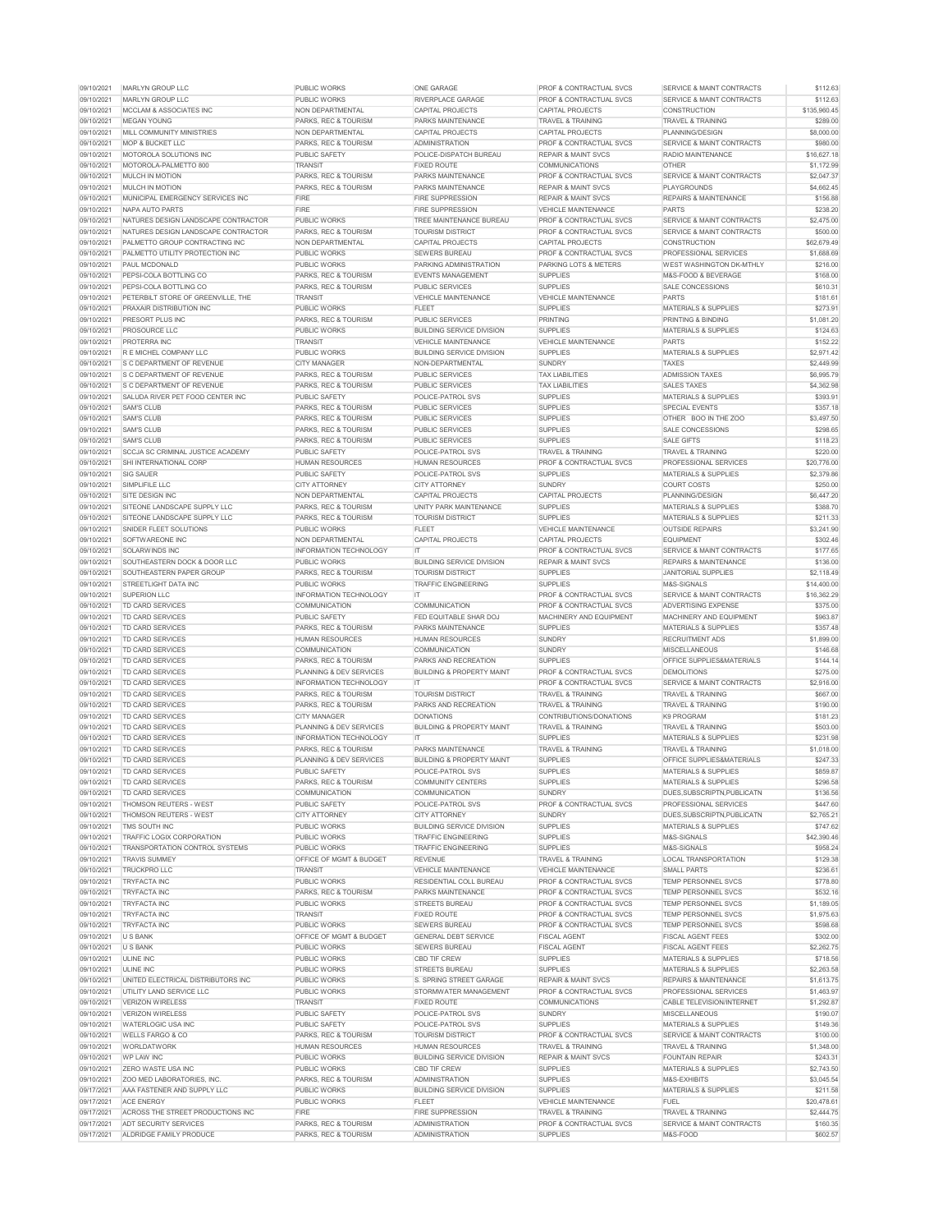| 09/10/2021               | <b>MARLYN GROUP LLC</b>                                 | <b>PUBLIC WORKS</b>                                                 | <b>ONE GARAGE</b>                                  | <b>PROF &amp; CONTRACTUAL SVCS</b>                    | SERVICE & MAINT CONTRACTS                                            | \$112.63               |
|--------------------------|---------------------------------------------------------|---------------------------------------------------------------------|----------------------------------------------------|-------------------------------------------------------|----------------------------------------------------------------------|------------------------|
| 09/10/2021               | <b>MARLYN GROUP LLC</b>                                 | <b>PUBLIC WORKS</b>                                                 | <b>RIVERPLACE GARAGE</b>                           | <b>PROF &amp; CONTRACTUAL SVCS</b>                    | SERVICE & MAINT CONTRACTS                                            | \$112.63               |
| 09/10/2021               | MCCLAM & ASSOCIATES INC                                 | NON DEPARTMENTAL                                                    | <b>CAPITAL PROJECTS</b>                            | <b>CAPITAL PROJECTS</b>                               | <b>CONSTRUCTION</b>                                                  | \$135,960.45           |
| 09/10/2021               | <b>MEGAN YOUNG</b>                                      | <b>PARKS, REC &amp; TOURISM</b>                                     | <b>PARKS MAINTENANCE</b>                           | <b>TRAVEL &amp; TRAINING</b>                          | <b>TRAVEL &amp; TRAINING</b>                                         | \$289.00               |
| 09/10/2021               | <b>MILL COMMUNITY MINISTRIES</b>                        | NON DEPARTMENTAL                                                    | <b>CAPITAL PROJECTS</b>                            | <b>CAPITAL PROJECTS</b>                               | PLANNING/DESIGN                                                      | \$8,000.00             |
| 09/10/2021               | <b>MOP &amp; BUCKET LLC</b>                             | <b>PARKS, REC &amp; TOURISM</b>                                     | <b>ADMINISTRATION</b>                              | <b>PROF &amp; CONTRACTUAL SVCS</b>                    | SERVICE & MAINT CONTRACTS                                            | \$980.00               |
| 09/10/2021               | <b>MOTOROLA SOLUTIONS INC</b>                           | <b>PUBLIC SAFETY</b>                                                | POLICE-DISPATCH BUREAU                             | <b>REPAIR &amp; MAINT SVCS</b>                        | <b>RADIO MAINTENANCE</b>                                             | \$16,627.18            |
| 09/10/2021               | MOTOROLA-PALMETTO 800                                   | <b>TRANSIT</b>                                                      | <b>FIXED ROUTE</b>                                 | <b>COMMUNICATIONS</b>                                 | <b>OTHER</b>                                                         | \$1,172.99             |
| 09/10/2021               | <b>MULCH IN MOTION</b>                                  | PARKS, REC & TOURISM                                                | <b>PARKS MAINTENANCE</b>                           | <b>IPROF &amp; CONTRACTUAL SVCS</b>                   | SERVICE & MAINT CONTRACTS                                            | \$2,047.37             |
| 09/10/2021               | <b>MULCH IN MOTION</b>                                  | <b>PARKS, REC &amp; TOURISM</b>                                     | <b>PARKS MAINTENANCE</b>                           | <b>REPAIR &amp; MAINT SVCS</b>                        | <b>PLAYGROUNDS</b>                                                   | \$4,662.45             |
| 09/10/2021               | MUNICIPAL EMERGENCY SERVICES INC                        | <b>FIRE</b>                                                         | <b>FIRE SUPPRESSION</b>                            | <b>REPAIR &amp; MAINT SVCS</b>                        | <b>REPAIRS &amp; MAINTENANCE</b>                                     | \$156.88               |
| 09/10/2021               | NAPA AUTO PARTS                                         | <b>FIRE</b>                                                         | <b>FIRE SUPPRESSION</b>                            | VEHICLE MAINTENANCE                                   | <b>PARTS</b>                                                         | \$238.20               |
| 09/10/2021               | NATURES DESIGN LANDSCAPE CONTRACTOR                     | <b>PUBLIC WORKS</b>                                                 | TREE MAINTENANCE BUREAU                            | <b>PROF &amp; CONTRACTUAL SVCS</b>                    | <b>SERVICE &amp; MAINT CONTRACTS</b>                                 | \$2,475.00             |
| 09/10/2021               | NATURES DESIGN LANDSCAPE CONTRACTOR                     | <b>PARKS, REC &amp; TOURISM</b>                                     | <b>TOURISM DISTRICT</b>                            | <b>PROF &amp; CONTRACTUAL SVCS</b>                    | SERVICE & MAINT CONTRACTS                                            | \$500.00               |
| 09/10/2021               | PALMETTO GROUP CONTRACTING INC                          | NON DEPARTMENTAL                                                    | <b>CAPITAL PROJECTS</b>                            | <b>CAPITAL PROJECTS</b>                               | <b>CONSTRUCTION</b>                                                  | \$62,679.49            |
| 09/10/2021               | PALMETTO UTILITY PROTECTION INC                         | <b>PUBLIC WORKS</b>                                                 | <b>SEWERS BUREAU</b>                               | <b>PROF &amp; CONTRACTUAL SVCS</b>                    | <b>PROFESSIONAL SERVICES</b>                                         | \$1,688.69             |
| 09/10/2021               | <b>PAUL MCDONALD</b>                                    | <b>PUBLIC WORKS</b>                                                 | <b>PARKING ADMINISTRATION</b>                      | <b>PARKING LOTS &amp; METERS</b>                      | <b>WEST WASHINGTON DK-MTHLY</b>                                      | \$216.00               |
| 09/10/2021               | <b>PEPSI-COLA BOTTLING CO</b>                           | <b>PARKS, REC &amp; TOURISM</b>                                     | <b>EVENTS MANAGEMENT</b>                           | <b>SUPPLIES</b>                                       | M&S-FOOD & BEVERAGE                                                  | \$168.00               |
| 09/10/2021               | <b>PEPSI-COLA BOTTLING CO</b>                           | <b>PARKS, REC &amp; TOURISM</b>                                     | <b>PUBLIC SERVICES</b>                             | <b>SUPPLIES</b>                                       | <b>SALE CONCESSIONS</b>                                              | \$610.31               |
| 09/10/2021               | PETERBILT STORE OF GREENVILLE. THE                      | <b>TRANSIT</b>                                                      | <b>VEHICLE MAINTENANCE</b>                         | VEHICLE MAINTENANCE                                   | <b>PARTS</b>                                                         | \$181.61               |
| 09/10/2021               | <b>PRAXAIR DISTRIBUTION INC</b>                         | <b>PUBLIC WORKS</b>                                                 | <b>FLEET</b>                                       | <b>SUPPLIES</b>                                       | <b>MATERIALS &amp; SUPPLIES</b>                                      | \$273.91               |
| 09/10/2021               | <b>PRESORT PLUS INC</b>                                 | <b>PARKS, REC &amp; TOURISM</b>                                     | <b>PUBLIC SERVICES</b>                             | <b>PRINTING</b>                                       | <b>PRINTING &amp; BINDING</b>                                        | \$1,081.20             |
| 09/10/2021               | <b>PROSOURCE LLC</b>                                    | <b>PUBLIC WORKS</b>                                                 | <b>BUILDING SERVICE DIVISION</b>                   | <b>SUPPLIES</b>                                       | <b>MATERIALS &amp; SUPPLIES</b>                                      | \$124.63               |
| 09/10/2021               | PROTERRA INC                                            | <b>TRANSIT</b>                                                      | <b>VEHICLE MAINTENANCE</b>                         | <b>VEHICLE MAINTENANCE</b>                            | <b>PARTS</b>                                                         | \$152.22               |
| 09/10/2021               | R E MICHEL COMPANY LLC                                  | <b>PUBLIC WORKS</b>                                                 | <b>BUILDING SERVICE DIVISION</b>                   | <b>SUPPLIES</b>                                       | <b>MATERIALS &amp; SUPPLIES</b>                                      | \$2,971.42             |
| 09/10/2021               | S C DEPARTMENT OF REVENUE                               | <b>CITY MANAGER</b>                                                 | NON-DEPARTMENTAL                                   | <b>SUNDRY</b>                                         | <b>TAXES</b>                                                         | \$2,449.99             |
| 09/10/2021               | S C DEPARTMENT OF REVENUE                               | PARKS, REC & TOURISM                                                | <b>PUBLIC SERVICES</b>                             | <b>TAX LIABILITIES</b>                                | <b>ADMISSION TAXES</b>                                               | \$6,995.79             |
| 09/10/2021               | S C DEPARTMENT OF REVENUE                               | PARKS, REC & TOURISM                                                | <b>PUBLIC SERVICES</b>                             | <b>TAX LIABILITIES</b>                                | <b>SALES TAXES</b>                                                   | \$4,362.98             |
| 09/10/2021               | SALUDA RIVER PET FOOD CENTER INC                        | <b>PUBLIC SAFETY</b>                                                | POLICE-PATROL SVS                                  | <b>SUPPLIES</b>                                       | <b>MATERIALS &amp; SUPPLIES</b>                                      | \$393.91               |
| 09/10/2021               | <b>SAM'S CLUB</b>                                       | PARKS, REC & TOURISM                                                | <b>PUBLIC SERVICES</b>                             | <b>SUPPLIES</b>                                       | <b>SPECIAL EVENTS</b>                                                | \$357.18               |
| 09/10/2021               | <b>SAM'S CLUB</b>                                       | PARKS, REC & TOURISM                                                | <b>PUBLIC SERVICES</b>                             | <b>SUPPLIES</b>                                       | OTHER BOO IN THE ZOO                                                 | \$3,497.50             |
| 09/10/2021               | <b>SAM'S CLUB</b>                                       | PARKS, REC & TOURISM                                                | PUBLIC SERVICES                                    | <b>SUPPLIES</b>                                       | <b>SALE CONCESSIONS</b>                                              | \$298.65               |
| 09/10/2021               | <b>SAM'S CLUB</b>                                       | PARKS, REC & TOURISM                                                | <b>PUBLIC SERVICES</b>                             | <b>SUPPLIES</b>                                       | <b>SALE GIFTS</b>                                                    | \$118.23               |
| 09/10/2021               | SCCJA SC CRIMINAL JUSTICE ACADEMY                       | PUBLIC SAFETY                                                       | POLICE-PATROL SVS                                  | <b>TRAVEL &amp; TRAINING</b>                          | <b>TRAVEL &amp; TRAINING</b>                                         | \$220.00               |
| 09/10/2021               | <b>SHI INTERNATIONAL CORP</b>                           | <b>HUMAN RESOURCES</b>                                              | <b>HUMAN RESOURCES</b>                             | <b>PROF &amp; CONTRACTUAL SVCS</b>                    | <b>PROFESSIONAL SERVICES</b>                                         | \$20,776.00            |
| 09/10/2021               | <b>SIG SAUER</b>                                        | <b>PUBLIC SAFETY</b>                                                | <b>POLICE-PATROL SVS</b>                           | <b>SUPPLIES</b>                                       | <b>MATERIALS &amp; SUPPLIES</b>                                      | \$2,379.86             |
| 09/10/2021               | SIMPLIFILE LLC                                          | <b>CITY ATTORNEY</b>                                                | <b>CITY ATTORNEY</b>                               | <b>SUNDRY</b>                                         | <b>COURT COSTS</b>                                                   | \$250.00               |
| 09/10/2021               | SITE DESIGN INC                                         | NON DEPARTMENTAL                                                    | <b>CAPITAL PROJECTS</b>                            | <b>CAPITAL PROJECTS</b>                               | PLANNING/DESIGN                                                      | \$6,447.20             |
| 09/10/2021               | SITEONE LANDSCAPE SUPPLY LLC                            | <b>PARKS, REC &amp; TOURISM</b>                                     | UNITY PARK MAINTENANCE                             | <b>SUPPLIES</b>                                       | <b>MATERIALS &amp; SUPPLIES</b>                                      | \$388.70               |
| 09/10/2021               | SITEONE LANDSCAPE SUPPLY LLC                            | PARKS, REC & TOURISM                                                | <b>TOURISM DISTRICT</b>                            | <b>SUPPLIES</b>                                       | <b>MATERIALS &amp; SUPPLIES</b>                                      | \$211.33               |
| 09/10/2021               | SNIDER FLEET SOLUTIONS                                  | <b>PUBLIC WORKS</b>                                                 | <b>FLEET</b>                                       | <b>VEHICLE MAINTENANCE</b>                            | <b>OUTSIDE REPAIRS</b>                                               | \$3,241.90             |
| 09/10/2021               | SOFTWAREONE INC                                         | NON DEPARTMENTAL                                                    | <b>CAPITAL PROJECTS</b>                            | <b>CAPITAL PROJECTS</b>                               | <b>EQUIPMENT</b>                                                     | \$302.46               |
| 09/10/2021               | <b>SOLARWINDS INC</b>                                   | <b>INFORMATION TECHNOLOGY</b>                                       | IT.                                                | <b>PROF &amp; CONTRACTUAL SVCS</b>                    | SERVICE & MAINT CONTRACTS                                            | \$177.65               |
| 09/10/2021               | SOUTHEASTERN DOCK & DOOR LLC                            | <b>PUBLIC WORKS</b>                                                 | <b>BUILDING SERVICE DIVISION</b>                   | <b>REPAIR &amp; MAINT SVCS</b>                        | <b>REPAIRS &amp; MAINTENANCE</b>                                     | \$136.00               |
| 09/10/2021               | SOUTHEASTERN PAPER GROUP                                | PARKS, REC & TOURISM                                                | <b>TOURISM DISTRICT</b>                            | <b>SUPPLIES</b>                                       | JANITORIAL SUPPLIES                                                  | \$2,118.49             |
| 09/10/2021               | <b>STREETLIGHT DATA INC</b>                             | <b>PUBLIC WORKS</b>                                                 | <b>TRAFFIC ENGINEERING</b>                         | <b>SUPPLIES</b>                                       | M&S-SIGNALS                                                          | \$14,400.00            |
| 09/10/2021               | <b>SUPERION LLC</b>                                     | <b>INFORMATION TECHNOLOGY</b>                                       | IT.                                                | <b>PROF &amp; CONTRACTUAL SVCS</b>                    | <b>SERVICE &amp; MAINT CONTRACTS</b>                                 | \$16,362.29            |
| 09/10/2021               | <b>TD CARD SERVICES</b>                                 | <b>COMMUNICATION</b>                                                | <b>COMMUNICATION</b>                               | <b>PROF &amp; CONTRACTUAL SVCS</b>                    | <b>ADVERTISING EXPENSE</b>                                           | \$375.00               |
| 09/10/2021               | <b>TD CARD SERVICES</b>                                 | <b>PUBLIC SAFETY</b>                                                | FED EQUITABLE SHAR DOJ                             | MACHINERY AND EQUIPMENT                               | <b>IMACHINERY AND EQUIPMENT</b>                                      | \$963.87               |
| 09/10/2021<br>09/10/2021 | <b>TD CARD SERVICES</b><br><b>TD CARD SERVICES</b>      | PARKS, REC & TOURISM<br><b>HUMAN RESOURCES</b>                      | <b>PARKS MAINTENANCE</b><br><b>HUMAN RESOURCES</b> | <b>SUPPLIES</b><br><b>SUNDRY</b>                      | <b>MATERIALS &amp; SUPPLIES</b><br><b>RECRUITMENT ADS</b>            | \$357.48<br>\$1,899.00 |
| 09/10/2021               | <b>TD CARD SERVICES</b>                                 | <b>COMMUNICATION</b>                                                | <b>COMMUNICATION</b>                               | <b>SUNDRY</b>                                         | <b>MISCELLANEOUS</b>                                                 | \$146.68               |
| 09/10/2021               |                                                         | PARKS, REC & TOURISM                                                | PARKS AND RECREATION                               | <b>SUPPLIES</b>                                       | <b>OFFICE SUPPLIES&amp;MATERIALS</b>                                 | \$144.14               |
| 09/10/2021               | TD CARD SERVICES<br><b>TD CARD SERVICES</b>             | PLANNING & DEV SERVICES                                             | <b>BUILDING &amp; PROPERTY MAINT</b>               | <b>PROF &amp; CONTRACTUAL SVCS</b>                    | <b>DEMOLITIONS</b>                                                   | \$275.00               |
|                          |                                                         |                                                                     | IT.                                                | <b>PROF &amp; CONTRACTUAL SVCS</b>                    | <b>SERVICE &amp; MAINT CONTRACTS</b>                                 | \$2,916.00             |
|                          |                                                         |                                                                     |                                                    |                                                       |                                                                      |                        |
| 09/10/2021               | <b>TD CARD SERVICES</b>                                 | <b>INFORMATION TECHNOLOGY</b>                                       |                                                    |                                                       |                                                                      |                        |
| 09/10/2021               | <b>TD CARD SERVICES</b>                                 | PARKS, REC & TOURISM                                                | <b>TOURISM DISTRICT</b>                            | <b>TRAVEL &amp; TRAINING</b>                          | <b>TRAVEL &amp; TRAINING</b>                                         | \$667.00               |
| 09/10/2021               | TD CARD SERVICES                                        | PARKS, REC & TOURISM                                                | PARKS AND RECREATION                               | <b>TRAVEL &amp; TRAINING</b>                          | <b>TRAVEL &amp; TRAINING</b>                                         | \$190.00               |
| 09/10/2021               | <b>TD CARD SERVICES</b>                                 | <b>CITY MANAGER</b>                                                 | <b>DONATIONS</b>                                   | CONTRIBUTIONS/DONATIONS                               | K9 PROGRAM                                                           | \$181.23               |
| 09/10/2021               | TD CARD SERVICES                                        | <b>PLANNING &amp; DEV SERVICES</b><br><b>INFORMATION TECHNOLOGY</b> | <b>BUILDING &amp; PROPERTY MAINT</b>               | <b>TRAVEL &amp; TRAINING</b><br><b>SUPPLIES</b>       | <b>TRAVEL &amp; TRAINING</b>                                         | \$503.00               |
| 09/10/2021               | <b>TD CARD SERVICES</b>                                 |                                                                     | IT.<br><b>PARKS MAINTENANCE</b>                    |                                                       | <b>MATERIALS &amp; SUPPLIES</b>                                      | \$231.98               |
| 09/10/2021<br>09/10/2021 | <b>TD CARD SERVICES</b><br><b>TD CARD SERVICES</b>      | PARKS, REC & TOURISM<br><b>PLANNING &amp; DEV SERVICES</b>          | <b>BUILDING &amp; PROPERTY MAINT</b>               | <b>TRAVEL &amp; TRAINING</b><br><b>SUPPLIES</b>       | <b>TRAVEL &amp; TRAINING</b><br><b>OFFICE SUPPLIES&amp;MATERIALS</b> | \$1,018.00<br>\$247.33 |
| 09/10/2021               | TD CARD SERVICES                                        | PUBLIC SAFETY                                                       | <b>POLICE-PATROL SVS</b>                           | <b>SUPPLIES</b>                                       | <b>MATERIALS &amp; SUPPLIES</b>                                      | \$859.87               |
| 09/10/2021               | <b>TD CARD SERVICES</b>                                 | PARKS, REC & TOURISM                                                | <b>COMMUNITY CENTERS</b>                           | <b>SUPPLIES</b>                                       | <b>MATERIALS &amp; SUPPLIES</b>                                      | \$296.58               |
| 09/10/2021               | TD CARD SERVICES                                        | <b>COMMUNICATION</b>                                                | <b>COMMUNICATION</b>                               | <b>SUNDRY</b>                                         | DUES, SUBSCRIPTN, PUBLICATN                                          | \$136.56               |
|                          | 09/10/2021   THOMSON REUTERS - WEST                     | PUBLIC SAFETY                                                       | POLICE-PATROL SVS                                  | PROF & CONTRACTUAL SVCS                               | PROFESSIONAL SERVICES                                                | \$447.60               |
| 09/10/2021               | <b>THOMSON REUTERS - WEST</b>                           | <b>CITY ATTORNEY</b>                                                | <b>CITY ATTORNEY</b>                               | <b>SUNDRY</b>                                         | DUES, SUBSCRIPTN, PUBLICATN                                          | \$2,765.21             |
| 09/10/2021               | TMS SOUTH INC                                           | <b>PUBLIC WORKS</b>                                                 | <b>BUILDING SERVICE DIVISION</b>                   | <b>SUPPLIES</b>                                       | <b>MATERIALS &amp; SUPPLIES</b>                                      | \$747.62               |
| 09/10/2021               | TRAFFIC LOGIX CORPORATION                               | <b>PUBLIC WORKS</b>                                                 | <b>TRAFFIC ENGINEERING</b>                         | <b>SUPPLIES</b>                                       | M&S-SIGNALS                                                          | \$42,390.46            |
| 09/10/2021               | <b>TRANSPORTATION CONTROL SYSTEMS</b>                   | <b>PUBLIC WORKS</b>                                                 | <b>TRAFFIC ENGINEERING</b>                         | <b>SUPPLIES</b>                                       | M&S-SIGNALS                                                          | \$958.24               |
| 09/10/2021               | <b>TRAVIS SUMMEY</b>                                    | <b>OFFICE OF MGMT &amp; BUDGET</b>                                  | <b>REVENUE</b>                                     | <b>TRAVEL &amp; TRAINING</b>                          | LOCAL TRANSPORTATION                                                 | \$129.38               |
| 09/10/2021               | <b>TRUCKPRO LLC</b>                                     | <b>TRANSIT</b>                                                      | <b>VEHICLE MAINTENANCE</b>                         | VEHICLE MAINTENANCE                                   | <b>SMALL PARTS</b>                                                   | \$236.61               |
| 09/10/2021               | <b>TRYFACTA INC</b>                                     | <b>PUBLIC WORKS</b>                                                 | <b>RESIDENTIAL COLL BUREAU</b>                     | <b>PROF &amp; CONTRACTUAL SVCS</b>                    | <b>TEMP PERSONNEL SVCS</b>                                           | \$778.80               |
| 09/10/2021               | <b>TRYFACTA INC</b>                                     | PARKS, REC & TOURISM                                                | PARKS MAINTENANCE                                  | <b>PROF &amp; CONTRACTUAL SVCS</b>                    | <b>TEMP PERSONNEL SVCS</b>                                           | \$532.16               |
| 09/10/2021               | <b>TRYFACTA INC</b>                                     | <b>PUBLIC WORKS</b>                                                 | <b>STREETS BUREAU</b>                              | <b>PROF &amp; CONTRACTUAL SVCS</b>                    | <b>TEMP PERSONNEL SVCS</b>                                           | \$1,189.05             |
| 09/10/2021               | <b>TRYFACTA INC</b>                                     | <b>TRANSIT</b>                                                      | FIXED ROUTE                                        | <b>PROF &amp; CONTRACTUAL SVCS</b>                    | <b>TEMP PERSONNEL SVCS</b>                                           | \$1,975.63             |
| 09/10/2021               | <b>TRYFACTA INC</b>                                     | <b>PUBLIC WORKS</b>                                                 | <b>SEWERS BUREAU</b>                               | <b>PROF &amp; CONTRACTUAL SVCS</b>                    | <b>TEMP PERSONNEL SVCS</b>                                           | \$598.68               |
| 09/10/2021               | U S BANK                                                | <b>OFFICE OF MGMT &amp; BUDGET</b>                                  | <b>GENERAL DEBT SERVICE</b>                        | <b>FISCAL AGENT</b>                                   | <b>FISCAL AGENT FEES</b>                                             | \$302.00               |
| 09/10/2021               | U S BANK                                                | <b>PUBLIC WORKS</b>                                                 | <b>SEWERS BUREAU</b>                               | <b>FISCAL AGENT</b>                                   | <b>FISCAL AGENT FEES</b>                                             | \$2,262.75             |
| 09/10/2021               | ULINE INC                                               | <b>PUBLIC WORKS</b>                                                 | <b>CBD TIF CREW</b>                                | <b>SUPPLIES</b>                                       | <b>MATERIALS &amp; SUPPLIES</b>                                      | \$718.56               |
| 09/10/2021               | ULINE INC                                               | <b>PUBLIC WORKS</b>                                                 | <b>STREETS BUREAU</b>                              | <b>SUPPLIES</b>                                       | <b>MATERIALS &amp; SUPPLIES</b>                                      | \$2,263.58             |
| 09/10/2021               | UNITED ELECTRICAL DISTRIBUTORS INC                      | <b>PUBLIC WORKS</b>                                                 | S. SPRING STREET GARAGE                            | <b>REPAIR &amp; MAINT SVCS</b>                        | <b>REPAIRS &amp; MAINTENANCE</b>                                     | \$1,613.75             |
| 09/10/2021               | UTILITY LAND SERVICE LLC                                | <b>PUBLIC WORKS</b>                                                 | STORMWATER MANAGEMENT                              | <b>PROF &amp; CONTRACTUAL SVCS</b>                    | <b>PROFESSIONAL SERVICES</b>                                         | \$1,463.97             |
| 09/10/2021               | <b>VERIZON WIRELESS</b>                                 | <b>TRANSIT</b>                                                      | <b>FIXED ROUTE</b>                                 | <b>COMMUNICATIONS</b>                                 | CABLE TELEVISION/INTERNET                                            | \$1,292.87             |
| 09/10/2021               | <b>VERIZON WIRELESS</b>                                 | <b>PUBLIC SAFETY</b>                                                | POLICE-PATROL SVS                                  | <b>SUNDRY</b>                                         | <b>MISCELLANEOUS</b>                                                 | \$190.07               |
| 09/10/2021               | <b>WATERLOGIC USA INC</b>                               | PUBLIC SAFETY                                                       | POLICE-PATROL SVS                                  | <b>SUPPLIES</b>                                       | <b>MATERIALS &amp; SUPPLIES</b>                                      | \$149.36               |
| 09/10/2021               | <b>WELLS FARGO &amp; CO</b>                             | PARKS, REC & TOURISM                                                | <b>TOURISM DISTRICT</b>                            | <b>PROF &amp; CONTRACTUAL SVCS</b>                    | SERVICE & MAINT CONTRACTS                                            | \$100.00               |
| 09/10/2021               | <b>WORLDATWORK</b>                                      | <b>HUMAN RESOURCES</b>                                              | <b>HUMAN RESOURCES</b>                             | <b>TRAVEL &amp; TRAINING</b>                          | <b>TRAVEL &amp; TRAINING</b>                                         | \$1,348.00             |
| 09/10/2021               | <b>WP LAW INC</b>                                       | <b>PUBLIC WORKS</b>                                                 | <b>BUILDING SERVICE DIVISION</b>                   | <b>REPAIR &amp; MAINT SVCS</b>                        | <b>FOUNTAIN REPAIR</b>                                               | \$243.31               |
| 09/10/2021               | ZERO WASTE USA INC                                      | <b>PUBLIC WORKS</b>                                                 | <b>CBD TIF CREW</b>                                | <b>SUPPLIES</b>                                       | <b>MATERIALS &amp; SUPPLIES</b>                                      | \$2,743.50             |
| 09/10/2021               | ZOO MED LABORATORIES, INC.                              | PARKS, REC & TOURISM                                                | ADMINISTRATION                                     | <b>SUPPLIES</b>                                       | M&S-EXHIBITS                                                         | \$3,045.54             |
| 09/17/2021               | AAA FASTENER AND SUPPLY LLC                             | <b>PUBLIC WORKS</b>                                                 | <b>BUILDING SERVICE DIVISION</b>                   | <b>SUPPLIES</b>                                       | <b>MATERIALS &amp; SUPPLIES</b>                                      | \$211.58               |
| 09/17/2021               | <b>ACE ENERGY</b>                                       | <b>PUBLIC WORKS</b>                                                 | <b>FLEET</b>                                       | VEHICLE MAINTENANCE                                   | <b>FUEL</b>                                                          | \$20,478.61            |
| 09/17/2021               | ACROSS THE STREET PRODUCTIONS INC                       | <b>FIRE</b>                                                         | <b>FIRE SUPPRESSION</b>                            | <b>TRAVEL &amp; TRAINING</b>                          | <b>TRAVEL &amp; TRAINING</b>                                         | \$2,444.75             |
| 09/17/2021<br>09/17/2021 | <b>ADT SECURITY SERVICES</b><br>ALDRIDGE FAMILY PRODUCE | PARKS, REC & TOURISM<br>PARKS, REC & TOURISM                        | <b>ADMINISTRATION</b><br><b>ADMINISTRATION</b>     | <b>PROF &amp; CONTRACTUAL SVCS</b><br><b>SUPPLIES</b> | SERVICE & MAINT CONTRACTS<br>M&S-FOOD                                | \$160.35<br>\$602.57   |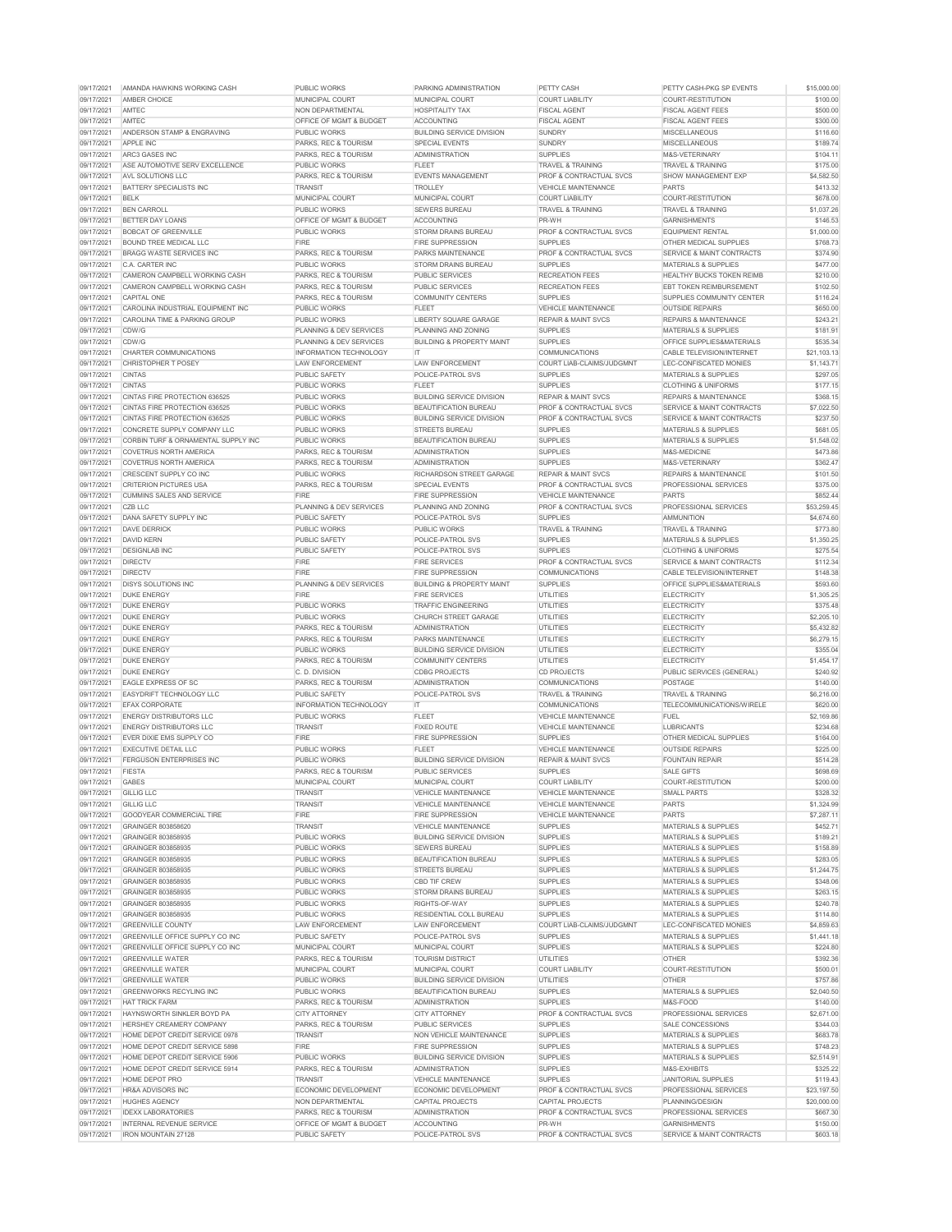| 09/17/2021               | AMANDA HAWKINS WORKING CASH                                   | <b>PUBLIC WORKS</b>                                        | PARKING ADMINISTRATION                        | PETTY CASH                                  | PETTY CASH-PKG SP EVENTS                         | \$15,000.00          |
|--------------------------|---------------------------------------------------------------|------------------------------------------------------------|-----------------------------------------------|---------------------------------------------|--------------------------------------------------|----------------------|
| 09/17/2021               | <b>AMBER CHOICE</b>                                           | <b>MUNICIPAL COURT</b>                                     | <b>MUNICIPAL COURT</b>                        | <b>COURT LIABILITY</b>                      | COURT-RESTITUTION                                | \$100.00             |
| 09/17/2021               | AMTEC                                                         | <b>NON DEPARTMENTAL</b>                                    | <b>HOSPITALITY TAX</b>                        | <b>FISCAL AGENT</b>                         | <b>FISCAL AGENT FEES</b>                         | \$500.00             |
| 09/17/2021               | <b>AMTEC</b>                                                  | <b>OFFICE OF MGMT &amp; BUDGET</b>                         | <b>ACCOUNTING</b>                             | <b>FISCAL AGENT</b>                         | <b>FISCAL AGENT FEES</b>                         | \$300.00             |
| 09/17/2021               | <b>ANDERSON STAMP &amp; ENGRAVING</b>                         | <b>PUBLIC WORKS</b>                                        | <b>BUILDING SERVICE DIVISION</b>              | <b>SUNDRY</b>                               | <b>MISCELLANEOUS</b>                             | \$116.60             |
| 09/17/2021               | <b>APPLE INC</b>                                              | <b>PARKS, REC &amp; TOURISM</b>                            | <b>SPECIAL EVENTS</b>                         | <b>SUNDRY</b>                               | <b>MISCELLANEOUS</b>                             | \$189.74             |
| 09/17/2021               | ARC3 GASES INC                                                | PARKS, REC & TOURISM                                       | <b>ADMINISTRATION</b>                         | <b>SUPPLIES</b>                             | M&S-VETERINARY                                   | \$104.11             |
| 09/17/2021               | ASE AUTOMOTIVE SERV EXCELLENCE                                | <b>PUBLIC WORKS</b>                                        | <b>FLEET</b>                                  | <b>TRAVEL &amp; TRAINING</b>                | <b>TRAVEL &amp; TRAINING</b>                     | \$175.00             |
| 09/17/2021               | AVL SOLUTIONS LLC                                             | PARKS, REC & TOURISM                                       | <b>EVENTS MANAGEMENT</b>                      | <b>PROF &amp; CONTRACTUAL SVCS</b>          | <b>SHOW MANAGEMENT EXP</b>                       | \$4,582.50           |
| 09/17/2021               |                                                               |                                                            | <b>TROLLEY</b>                                |                                             | <b>PARTS</b>                                     |                      |
|                          | <b>BATTERY SPECIALISTS INC</b>                                | <b>TRANSIT</b>                                             |                                               | <b>VEHICLE MAINTENANCE</b>                  |                                                  | \$413.32             |
| 09/17/2021               | <b>BELK</b>                                                   | <b>MUNICIPAL COURT</b>                                     | <b>MUNICIPAL COURT</b>                        | <b>COURT LIABILITY</b>                      | COURT-RESTITUTION                                | \$678.00             |
| 09/17/2021               | <b>BEN CARROLL</b>                                            | <b>PUBLIC WORKS</b>                                        | <b>SEWERS BUREAU</b>                          | TRAVEL & TRAINING                           | <b>TRAVEL &amp; TRAINING</b>                     | \$1,037.26           |
| 09/17/2021               | <b>BETTER DAY LOANS</b>                                       | <b>OFFICE OF MGMT &amp; BUDGET</b>                         | <b>ACCOUNTING</b>                             | PR-WH                                       | <b>GARNISHMENTS</b>                              | \$146.53             |
| 09/17/2021               | <b>BOBCAT OF GREENVILLE</b>                                   | <b>PUBLIC WORKS</b>                                        | <b>STORM DRAINS BUREAU</b>                    | <b>PROF &amp; CONTRACTUAL SVCS</b>          | <b>EQUIPMENT RENTAL</b>                          | \$1,000.00           |
| 09/17/2021               | <b>BOUND TREE MEDICAL LLC</b>                                 | <b>FIRE</b>                                                | <b>FIRE SUPPRESSION</b>                       | <b>SUPPLIES</b>                             | <b>OTHER MEDICAL SUPPLIES</b>                    | \$768.73             |
| 09/17/2021               | <b>BRAGG WASTE SERVICES INC.</b>                              | PARKS, REC & TOURISM                                       | <b>PARKS MAINTENANCE</b>                      | <b>PROF &amp; CONTRACTUAL SVCS</b>          | <b>SERVICE &amp; MAINT CONTRACTS</b>             | \$374.90             |
| 09/17/2021               | C.A. CARTER INC                                               | <b>PUBLIC WORKS</b>                                        | <b>STORM DRAINS BUREAU</b>                    | <b>SUPPLIES</b>                             | <b>MATERIALS &amp; SUPPLIES</b>                  | \$477.00             |
| 09/17/2021               | CAMERON CAMPBELL WORKING CASH                                 | PARKS, REC & TOURISM                                       | <b>PUBLIC SERVICES</b>                        | <b>RECREATION FEES</b>                      | <b>HEALTHY BUCKS TOKEN REIMB</b>                 | \$210.00             |
| 09/17/2021               | CAMERON CAMPBELL WORKING CASH                                 | <b>PARKS, REC &amp; TOURISM</b>                            | <b>PUBLIC SERVICES</b>                        | <b>RECREATION FEES</b>                      | <b>EBT TOKEN REIMBURSEMENT</b>                   | \$102.50             |
| 09/17/2021               | <b>CAPITAL ONE</b>                                            | PARKS, REC & TOURISM                                       | <b>COMMUNITY CENTERS</b>                      | <b>SUPPLIES</b>                             | <b>SUPPLIES COMMUNITY CENTER</b>                 | \$116.24             |
| 09/17/2021               | CAROLINA INDUSTRIAL EQUIPMENT INC                             | <b>PUBLIC WORKS</b>                                        | <b>FLEET</b>                                  | <b>VEHICLE MAINTENANCE</b>                  | <b>OUTSIDE REPAIRS</b>                           | \$650.00             |
| 09/17/2021               | <b>CAROLINA TIME &amp; PARKING GROUP</b>                      | <b>PUBLIC WORKS</b>                                        | <b>LIBERTY SQUARE GARAGE</b>                  | <b>REPAIR &amp; MAINT SVCS</b>              | <b>REPAIRS &amp; MAINTENANCE</b>                 | \$243.21             |
| 09/17/2021               | CDW/G                                                         | PLANNING & DEV SERVICES                                    | PLANNING AND ZONING                           | <b>SUPPLIES</b>                             | <b>MATERIALS &amp; SUPPLIES</b>                  | \$181.91             |
| 09/17/2021               | CDW/G                                                         | <b>PLANNING &amp; DEV SERVICES</b>                         | <b>BUILDING &amp; PROPERTY MAINT</b>          | <b>SUPPLIES</b>                             | <b>OFFICE SUPPLIES&amp;MATERIALS</b>             | \$535.34             |
| 09/17/2021               | <b>CHARTER COMMUNICATIONS</b>                                 | <b>INFORMATION TECHNOLOGY</b>                              | -IT                                           | <b>COMMUNICATIONS</b>                       | <b>CABLE TELEVISION/INTERNET</b>                 | \$21,103.13          |
| 09/17/2021               | <b>CHRISTOPHER T POSEY</b>                                    |                                                            |                                               | <b>COURT LIAB-CLAIMS/JUDGMNT</b>            |                                                  |                      |
|                          |                                                               | <b>LAW ENFORCEMENT</b>                                     | <b>LAW ENFORCEMENT</b>                        |                                             | LEC-CONFISCATED MONIES                           | \$1,143.71           |
| 09/17/2021               | <b>CINTAS</b>                                                 | <b>PUBLIC SAFETY</b>                                       | POLICE-PATROL SVS                             | <b>SUPPLIES</b>                             | <b>MATERIALS &amp; SUPPLIES</b>                  | \$297.05             |
| 09/17/2021               | <b>CINTAS</b>                                                 | <b>PUBLIC WORKS</b>                                        | <b>FLEET</b>                                  | <b>SUPPLIES</b>                             | <b>CLOTHING &amp; UNIFORMS</b>                   | \$177.15             |
| 09/17/2021               | <b>CINTAS FIRE PROTECTION 636525</b>                          | <b>PUBLIC WORKS</b>                                        | <b>BUILDING SERVICE DIVISION</b>              | <b>REPAIR &amp; MAINT SVCS</b>              | <b>REPAIRS &amp; MAINTENANCE</b>                 | \$368.15             |
| 09/17/2021               | CINTAS FIRE PROTECTION 636525                                 | <b>PUBLIC WORKS</b>                                        | <b>BEAUTIFICATION BUREAU</b>                  | <b>PROF &amp; CONTRACTUAL SVCS</b>          | <b>SERVICE &amp; MAINT CONTRACTS</b>             | \$7,022.50           |
| 09/17/2021               | <b>CINTAS FIRE PROTECTION 636525</b>                          | <b>PUBLIC WORKS</b>                                        | <b>BUILDING SERVICE DIVISION</b>              | <b>PROF &amp; CONTRACTUAL SVCS</b>          | <b>SERVICE &amp; MAINT CONTRACTS</b>             | \$237.50             |
| 09/17/2021               | CONCRETE SUPPLY COMPANY LLC                                   | <b>PUBLIC WORKS</b>                                        | <b>STREETS BUREAU</b>                         | <b>SUPPLIES</b>                             | <b>MATERIALS &amp; SUPPLIES</b>                  | \$681.05             |
| 09/17/2021               | CORBIN TURF & ORNAMENTAL SUPPLY INC                           | <b>PUBLIC WORKS</b>                                        | <b>BEAUTIFICATION BUREAU</b>                  | <b>SUPPLIES</b>                             | <b>MATERIALS &amp; SUPPLIES</b>                  | \$1,548.02           |
| 09/17/2021               | <b>COVETRUS NORTH AMERICA</b>                                 | PARKS, REC & TOURISM                                       | <b>ADMINISTRATION</b>                         | <b>SUPPLIES</b>                             | M&S-MEDICINE                                     | \$473.86             |
| 09/17/2021               | <b>COVETRUS NORTH AMERICA</b>                                 | <b>PARKS, REC &amp; TOURISM</b>                            | <b>ADMINISTRATION</b>                         | <b>SUPPLIES</b>                             | M&S-VETERINARY                                   | \$362.47             |
| 09/17/2021               | CRESCENT SUPPLY CO INC                                        | <b>PUBLIC WORKS</b>                                        | <b>RICHARDSON STREET GARAGE</b>               | <b>REPAIR &amp; MAINT SVCS</b>              | <b>REPAIRS &amp; MAINTENANCE</b>                 | \$101.50             |
| 09/17/2021               | <b>CRITERION PICTURES USA</b>                                 | <b>PARKS, REC &amp; TOURISM</b>                            | <b>SPECIAL EVENTS</b>                         | <b>PROF &amp; CONTRACTUAL SVCS</b>          | <b>PROFESSIONAL SERVICES</b>                     | \$375.00             |
| 09/17/2021               | CUMMINS SALES AND SERVICE                                     | <b>FIRE</b>                                                | <b>FIRE SUPPRESSION</b>                       | <b>VEHICLE MAINTENANCE</b>                  | <b>PARTS</b>                                     | \$852.44             |
| 09/17/2021               | CZB LLC                                                       | PLANNING & DEV SERVICES                                    | PLANNING AND ZONING                           | <b>PROF &amp; CONTRACTUAL SVCS</b>          | <b>PROFESSIONAL SERVICES</b>                     | \$53,259.45          |
| 09/17/2021               | <b>DANA SAFETY SUPPLY INC</b>                                 | <b>PUBLIC SAFETY</b>                                       | POLICE-PATROL SVS                             | <b>SUPPLIES</b>                             | <b>AMMUNITION</b>                                | \$4,674.60           |
|                          |                                                               |                                                            |                                               |                                             |                                                  |                      |
| 09/17/2021               | <b>DAVE DERRICK</b>                                           | <b>PUBLIC WORKS</b>                                        | <b>PUBLIC WORKS</b>                           | <b>TRAVEL &amp; TRAINING</b>                | <b>TRAVEL &amp; TRAINING</b>                     | \$773.80             |
| 09/17/2021               | <b>DAVID KERN</b>                                             | <b>PUBLIC SAFETY</b>                                       | POLICE-PATROL SVS                             | <b>SUPPLIES</b>                             | <b>MATERIALS &amp; SUPPLIES</b>                  | \$1,350.25           |
| 09/17/2021               | <b>DESIGNLAB INC</b>                                          | <b>PUBLIC SAFETY</b>                                       | POLICE-PATROL SVS                             | <b>SUPPLIES</b>                             | <b>CLOTHING &amp; UNIFORMS</b>                   | \$275.54             |
| 09/17/2021               | <b>DIRECTV</b>                                                | <b>FIRE</b>                                                | <b>FIRE SERVICES</b>                          | <b>PROF &amp; CONTRACTUAL SVCS</b>          | <b>SERVICE &amp; MAINT CONTRACTS</b>             | \$112.34             |
| 09/17/2021               | <b>DIRECTV</b>                                                | <b>FIRE</b>                                                | <b>FIRE SUPPRESSION</b>                       | <b>COMMUNICATIONS</b>                       | <b>CABLE TELEVISION/INTERNET</b>                 | \$148.38             |
| 09/17/2021               | <b>DISYS SOLUTIONS INC</b>                                    | <b>PLANNING &amp; DEV SERVICES</b>                         | <b>BUILDING &amp; PROPERTY MAINT</b>          | <b>SUPPLIES</b>                             | <b>OFFICE SUPPLIES&amp;MATERIALS</b>             | \$593.60             |
| 09/17/2021               | <b>DUKE ENERGY</b>                                            | <b>FIRE</b>                                                | <b>FIRE SERVICES</b>                          | <b>UTILITIES</b>                            | <b>ELECTRICITY</b>                               | \$1,305.25           |
| 09/17/2021               | <b>DUKE ENERGY</b>                                            | <b>PUBLIC WORKS</b>                                        | <b>TRAFFIC ENGINEERING</b>                    | <b>UTILITIES</b>                            | <b>ELECTRICITY</b>                               | \$375.48             |
|                          |                                                               |                                                            |                                               |                                             |                                                  |                      |
| 09/17/2021               | <b>DUKE ENERGY</b>                                            | <b>PUBLIC WORKS</b>                                        | <b>CHURCH STREET GARAGE</b>                   | <b>UTILITIES</b>                            | <b>ELECTRICITY</b>                               | \$2,205.10           |
| 09/17/2021               | <b>DUKE ENERGY</b>                                            | PARKS, REC & TOURISM                                       | <b>ADMINISTRATION</b>                         | <b>UTILITIES</b>                            | <b>ELECTRICITY</b>                               | \$5,432.82           |
| 09/17/2021               | <b>DUKE ENERGY</b>                                            | PARKS, REC & TOURISM                                       | <b>PARKS MAINTENANCE</b>                      | <b>UTILITIES</b>                            | <b>ELECTRICITY</b>                               | \$6,279.15           |
| 09/17/2021               | <b>DUKE ENERGY</b>                                            | <b>PUBLIC WORKS</b>                                        | <b>BUILDING SERVICE DIVISION</b>              | <b>UTILITIES</b>                            | <b>ELECTRICITY</b>                               | \$355.04             |
| 09/17/2021               | <b>DUKE ENERGY</b>                                            | PARKS, REC & TOURISM                                       | <b>COMMUNITY CENTERS</b>                      | <b>UTILITIES</b>                            | <b>ELECTRICITY</b>                               |                      |
|                          |                                                               | C. D. DIVISION                                             | <b>CDBG PROJECTS</b>                          | <b>CD PROJECTS</b>                          |                                                  | \$1,454.17           |
| 09/17/2021               | <b>DUKE ENERGY</b>                                            |                                                            |                                               |                                             | <b>PUBLIC SERVICES (GENERAL)</b>                 | \$240.92             |
| 09/17/2021               | <b>EAGLE EXPRESS OF SC</b>                                    | PARKS, REC & TOURISM                                       | <b>ADMINISTRATION</b>                         | <b>COMMUNICATIONS</b>                       | <b>POSTAGE</b>                                   | \$140.00             |
| 09/17/2021               | <b>EASYDRIFT TECHNOLOGY LLC</b>                               | <b>PUBLIC SAFETY</b>                                       | POLICE-PATROL SVS                             | <b>TRAVEL &amp; TRAINING</b>                | <b>TRAVEL &amp; TRAINING</b>                     | \$6,216.00           |
| 09/17/2021               | <b>EFAX CORPORATE</b>                                         | <b>INFORMATION TECHNOLOGY</b>                              | IT.                                           | <b>COMMUNICATIONS</b>                       | TELECOMMUNICATIONS/WIRELE                        | \$620.00             |
| 09/17/2021               | <b>ENERGY DISTRIBUTORS LLC</b>                                | <b>PUBLIC WORKS</b>                                        | <b>FLEET</b>                                  | <b>VEHICLE MAINTENANCE</b>                  | <b>FUEL</b>                                      | \$2,169.86           |
| 09/17/2021               | <b>ENERGY DISTRIBUTORS LLC</b>                                | <b>TRANSIT</b>                                             | <b>FIXED ROUTE</b>                            | <b>VEHICLE MAINTENANCE</b>                  | <b>LUBRICANTS</b>                                | \$234.68             |
| 09/17/2021               | EVER DIXIE EMS SUPPLY CO                                      | <b>FIRE</b>                                                | <b>FIRE SUPPRESSION</b>                       | <b>SUPPLIES</b>                             | <b>OTHER MEDICAL SUPPLIES</b>                    | \$164.00             |
| 09/17/2021               | <b>EXECUTIVE DETAIL LLC</b>                                   | <b>PUBLIC WORKS</b>                                        | <b>FLEET</b>                                  | <b>VEHICLE MAINTENANCE</b>                  | <b>OUTSIDE REPAIRS</b>                           | \$225.00             |
| 09/17/2021               | <b>FERGUSON ENTERPRISES INC</b>                               | <b>PUBLIC WORKS</b>                                        | <b>BUILDING SERVICE DIVISION</b>              | <b>REPAIR &amp; MAINT SVCS</b>              | <b>FOUNTAIN REPAIR</b>                           | \$514.28             |
| 09/17/2021               | <b>FIESTA</b>                                                 | <b>PARKS, REC &amp; TOURISM</b>                            | <b>PUBLIC SERVICES</b>                        | <b>SUPPLIES</b>                             | <b>SALE GIFTS</b>                                | \$698.69             |
| 09/17/2021               | <b>GABES</b>                                                  | <b>MUNICIPAL COURT</b>                                     | <b>MUNICIPAL COURT</b>                        | <b>COURT LIABILITY</b>                      | <b>COURT-RESTITUTION</b>                         | \$200.00             |
| 09/17/2021               | <b>GILLIG LLC</b>                                             | <b>TRANSIT</b>                                             | <b>VEHICLE MAINTENANCE</b>                    | <b>VEHICLE MAINTENANCE</b>                  | <b>SMALL PARTS</b>                               | \$328.32             |
| 09/17/2021               | <b>GILLIG LLC</b>                                             | <b>TRANSIT</b>                                             | <b>VEHICLE MAINTENANCE</b>                    | VEHICLE MAINTENANCE                         | <b>PARTS</b>                                     | \$1,324.99           |
| 09/17/2021               | <b>GOODYEAR COMMERCIAL TIRE</b>                               | <b>FIRE</b>                                                | <b>FIRE SUPPRESSION</b>                       | <b>VEHICLE MAINTENANCE</b>                  | <b>PARTS</b>                                     | \$7,287.11           |
| 09/17/2021               | GRAINGER 803858620                                            | <b>TRANSIT</b>                                             | <b>VEHICLE MAINTENANCE</b>                    | <b>SUPPLIES</b>                             | <b>MATERIALS &amp; SUPPLIES</b>                  | \$452.71             |
| 09/17/2021               | <b>GRAINGER 803858935</b>                                     | <b>PUBLIC WORKS</b>                                        | <b>BUILDING SERVICE DIVISION</b>              | <b>SUPPLIES</b>                             | <b>MATERIALS &amp; SUPPLIES</b>                  | \$189.21             |
| 09/17/2021               | GRAINGER 803858935                                            | <b>PUBLIC WORKS</b>                                        | <b>SEWERS BUREAU</b>                          | <b>SUPPLIES</b>                             | <b>MATERIALS &amp; SUPPLIES</b>                  | \$158.89             |
| 09/17/2021               | <b>GRAINGER 803858935</b>                                     | <b>PUBLIC WORKS</b>                                        | <b>BEAUTIFICATION BUREAU</b>                  | <b>SUPPLIES</b>                             | <b>MATERIALS &amp; SUPPLIES</b>                  | \$283.05             |
| 09/17/2021               | GRAINGER 803858935                                            | <b>PUBLIC WORKS</b>                                        | <b>STREETS BUREAU</b>                         | <b>SUPPLIES</b>                             | <b>MATERIALS &amp; SUPPLIES</b>                  | \$1,244.75           |
| 09/17/2021               | GRAINGER 803858935                                            | <b>PUBLIC WORKS</b>                                        | <b>CBD TIF CREW</b>                           | <b>SUPPLIES</b>                             | <b>MATERIALS &amp; SUPPLIES</b>                  | \$348.06             |
|                          |                                                               | <b>PUBLIC WORKS</b>                                        | <b>STORM DRAINS BUREAU</b>                    |                                             |                                                  |                      |
| 09/17/2021               | <b>GRAINGER 803858935</b>                                     |                                                            |                                               | <b>SUPPLIES</b>                             | <b>MATERIALS &amp; SUPPLIES</b>                  | \$263.15             |
| 09/17/2021               | GRAINGER 803858935                                            | <b>PUBLIC WORKS</b>                                        | RIGHTS-OF-WAY                                 | <b>SUPPLIES</b>                             | <b>MATERIALS &amp; SUPPLIES</b>                  | \$240.78             |
| 09/17/2021               | GRAINGER 803858935                                            | <b>PUBLIC WORKS</b>                                        | <b>RESIDENTIAL COLL BUREAU</b>                | <b>SUPPLIES</b>                             | <b>MATERIALS &amp; SUPPLIES</b>                  | \$114.80             |
| 09/17/2021               | <b>GREENVILLE COUNTY</b>                                      | <b>LAW ENFORCEMENT</b>                                     | <b>LAW ENFORCEMENT</b>                        | <b>COURT LIAB-CLAIMS/JUDGMNT</b>            | LEC-CONFISCATED MONIES                           | \$4,859.63           |
| 09/17/2021               | GREENVILLE OFFICE SUPPLY CO INC                               | <b>PUBLIC SAFETY</b>                                       | POLICE-PATROL SVS                             | <b>SUPPLIES</b>                             | <b>MATERIALS &amp; SUPPLIES</b>                  | \$1,441.18           |
| 09/17/2021               | <b>GREENVILLE OFFICE SUPPLY CO INC</b>                        | MUNICIPAL COURT                                            | <b>MUNICIPAL COURT</b>                        | <b>SUPPLIES</b>                             | <b>MATERIALS &amp; SUPPLIES</b>                  | \$224.80             |
| 09/17/2021               | <b>GREENVILLE WATER</b>                                       | PARKS, REC & TOURISM                                       | <b>TOURISM DISTRICT</b>                       | <b>UTILITIES</b>                            | <b>OTHER</b>                                     | \$392.36             |
| 09/17/2021               | <b>GREENVILLE WATER</b>                                       | <b>MUNICIPAL COURT</b>                                     | MUNICIPAL COURT                               | <b>COURT LIABILITY</b>                      | COURT-RESTITUTION                                | \$500.01             |
| 09/17/2021               | <b>GREENVILLE WATER</b>                                       | <b>PUBLIC WORKS</b>                                        | <b>BUILDING SERVICE DIVISION</b>              | <b>UTILITIES</b>                            | <b>OTHER</b>                                     | \$757.86             |
| 09/17/2021               | <b>GREENWORKS RECYLING INC</b>                                | <b>PUBLIC WORKS</b>                                        | <b>BEAUTIFICATION BUREAU</b>                  | <b>SUPPLIES</b>                             | <b>MATERIALS &amp; SUPPLIES</b>                  | \$2,040.50           |
| 09/17/2021               | <b>HAT TRICK FARM</b>                                         | PARKS, REC & TOURISM                                       | <b>ADMINISTRATION</b>                         | <b>SUPPLIES</b>                             | M&S-FOOD                                         | \$140.00             |
| 09/17/2021               | HAYNSWORTH SINKLER BOYD PA                                    | <b>CITY ATTORNEY</b>                                       | <b>CITY ATTORNEY</b>                          | <b>PROF &amp; CONTRACTUAL SVCS</b>          | PROFESSIONAL SERVICES                            | \$2,671.00           |
| 09/17/2021               | <b>HERSHEY CREAMERY COMPANY</b>                               | <b>PARKS, REC &amp; TOURISM</b>                            | <b>PUBLIC SERVICES</b>                        | <b>SUPPLIES</b>                             | SALE CONCESSIONS                                 | \$344.03             |
| 09/17/2021               | HOME DEPOT CREDIT SERVICE 0978                                | <b>TRANSIT</b>                                             | NON VEHICLE MAINTENANCE                       | <b>SUPPLIES</b>                             | <b>MATERIALS &amp; SUPPLIES</b>                  | \$683.78             |
| 09/17/2021               | HOME DEPOT CREDIT SERVICE 5898                                | <b>FIRE</b>                                                | <b>FIRE SUPPRESSION</b>                       | <b>SUPPLIES</b>                             | <b>MATERIALS &amp; SUPPLIES</b>                  | \$748.23             |
|                          | HOME DEPOT CREDIT SERVICE 5906                                | <b>PUBLIC WORKS</b>                                        | <b>BUILDING SERVICE DIVISION</b>              | <b>SUPPLIES</b>                             | <b>MATERIALS &amp; SUPPLIES</b>                  |                      |
| 09/17/2021               |                                                               |                                                            |                                               |                                             |                                                  | \$2,514.91           |
| 09/17/2021               | HOME DEPOT CREDIT SERVICE 5914                                | PARKS, REC & TOURISM                                       | <b>ADMINISTRATION</b>                         | <b>SUPPLIES</b>                             | M&S-EXHIBITS                                     | \$325.22             |
| 09/17/2021               | <b>HOME DEPOT PRO</b>                                         | <b>TRANSIT</b>                                             | <b>VEHICLE MAINTENANCE</b>                    | <b>SUPPLIES</b>                             | <b>JANITORIAL SUPPLIES</b>                       | \$119.43             |
| 09/17/2021               | <b>HR&amp;A ADVISORS INC</b>                                  | ECONOMIC DEVELOPMENT                                       | ECONOMIC DEVELOPMENT                          | <b>PROF &amp; CONTRACTUAL SVCS</b>          | PROFESSIONAL SERVICES                            | \$23,197.50          |
| 09/17/2021               | <b>HUGHES AGENCY</b>                                          | NON DEPARTMENTAL                                           | <b>CAPITAL PROJECTS</b>                       | <b>CAPITAL PROJECTS</b>                     | PLANNING/DESIGN                                  | \$20,000.00          |
| 09/17/2021               | <b>IDEXX LABORATORIES</b>                                     | PARKS, REC & TOURISM                                       | <b>ADMINISTRATION</b>                         | <b>PROF &amp; CONTRACTUAL SVCS</b>          | <b>PROFESSIONAL SERVICES</b>                     | \$667.30             |
| 09/17/2021<br>09/17/2021 | <b>INTERNAL REVENUE SERVICE</b><br><b>IRON MOUNTAIN 27128</b> | <b>OFFICE OF MGMT &amp; BUDGET</b><br><b>PUBLIC SAFETY</b> | <b>ACCOUNTING</b><br><b>POLICE-PATROL SVS</b> | PR-WH<br><b>PROF &amp; CONTRACTUAL SVCS</b> | <b>GARNISHMENTS</b><br>SERVICE & MAINT CONTRACTS | \$150.00<br>\$603.18 |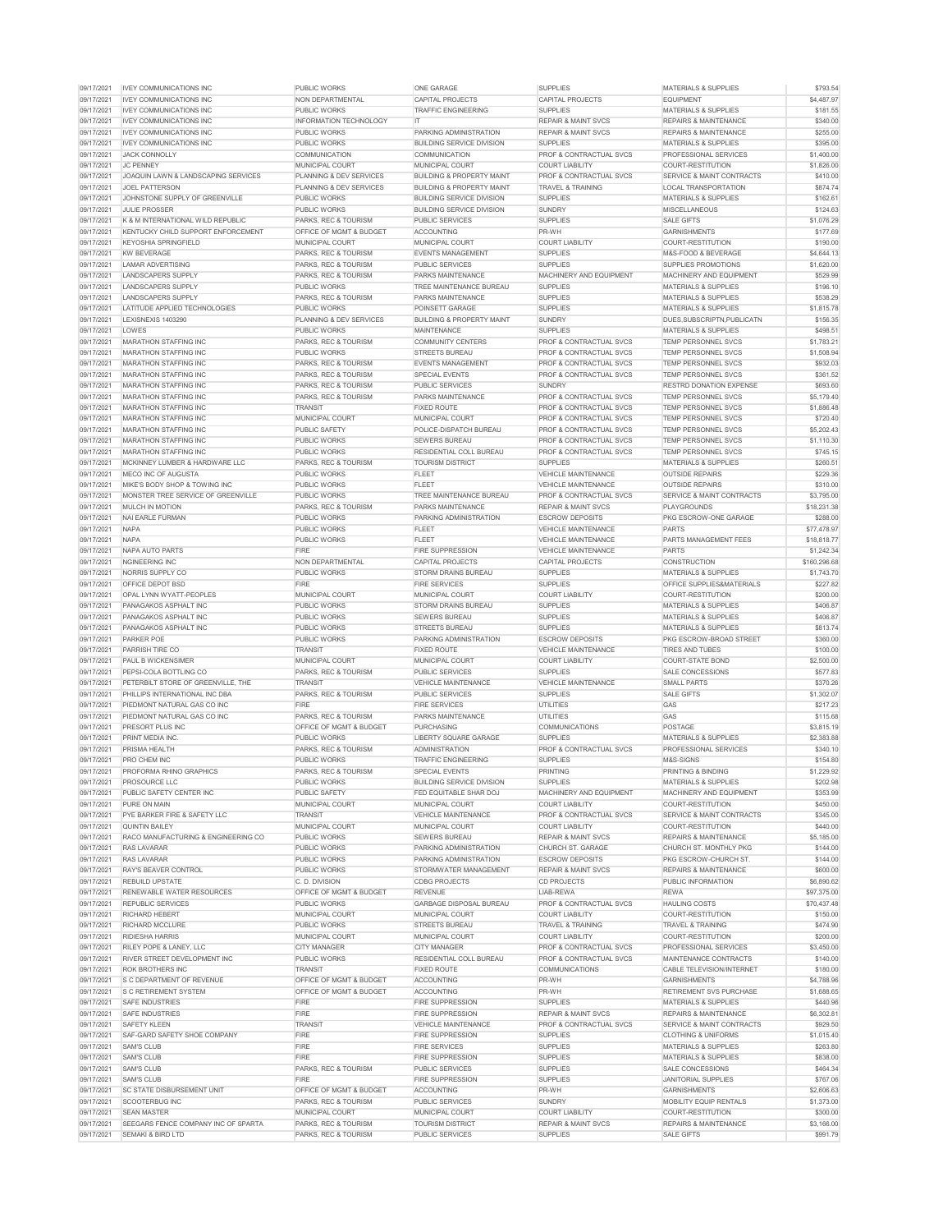| 09/17/2021               | <b>IVEY COMMUNICATIONS INC</b>                                      | <b>PUBLIC WORKS</b>                                     | <b>ONE GARAGE</b>                                 | <b>SUPPLIES</b>                                   | <b>MATERIALS &amp; SUPPLIES</b>                       | \$793.54               |
|--------------------------|---------------------------------------------------------------------|---------------------------------------------------------|---------------------------------------------------|---------------------------------------------------|-------------------------------------------------------|------------------------|
| 09/17/2021               | <b>IVEY COMMUNICATIONS INC</b>                                      | NON DEPARTMENTAL                                        | <b>CAPITAL PROJECTS</b>                           | <b>CAPITAL PROJECTS</b>                           | <b>EQUIPMENT</b>                                      | \$4,487.97             |
| 09/17/2021               | <b>IVEY COMMUNICATIONS INC</b>                                      | <b>PUBLIC WORKS</b>                                     | <b>TRAFFIC ENGINEERING</b>                        | <b>SUPPLIES</b>                                   | <b>MATERIALS &amp; SUPPLIES</b>                       | \$181.55               |
| 09/17/2021               | <b>IVEY COMMUNICATIONS INC</b>                                      | <b>INFORMATION TECHNOLOGY</b>                           | -IT                                               | <b>REPAIR &amp; MAINT SVCS</b>                    | <b>REPAIRS &amp; MAINTENANCE</b>                      | \$340.00               |
| 09/17/2021               | <b>IVEY COMMUNICATIONS INC</b>                                      | <b>PUBLIC WORKS</b>                                     | PARKING ADMINISTRATION                            | <b>REPAIR &amp; MAINT SVCS</b>                    | <b>REPAIRS &amp; MAINTENANCE</b>                      | \$255.00               |
| 09/17/2021               | <b>IVEY COMMUNICATIONS INC</b>                                      | <b>PUBLIC WORKS</b>                                     | <b>BUILDING SERVICE DIVISION</b>                  | <b>SUPPLIES</b>                                   | <b>MATERIALS &amp; SUPPLIES</b>                       | \$395.00               |
| 09/17/2021               | <b>JACK CONNOLLY</b>                                                | <b>COMMUNICATION</b>                                    | <b>COMMUNICATION</b>                              | <b>PROF &amp; CONTRACTUAL SVCS</b>                | <b>PROFESSIONAL SERVICES</b>                          | \$1,400.00             |
|                          | <b>JC PENNEY</b>                                                    | <b>MUNICIPAL COURT</b>                                  |                                                   |                                                   |                                                       |                        |
| 09/17/2021               |                                                                     |                                                         | <b>MUNICIPAL COURT</b>                            | <b>COURT LIABILITY</b>                            | COURT-RESTITUTION                                     | \$1,826.00             |
| 09/17/2021               | <b>JOAQUIN LAWN &amp; LANDSCAPING SERVICES</b>                      | <b>PLANNING &amp; DEV SERVICES</b>                      | <b>BUILDING &amp; PROPERTY MAINT</b>              | <b>PROF &amp; CONTRACTUAL SVCS</b>                | SERVICE & MAINT CONTRACTS                             | \$410.00               |
| 09/17/2021               | <b>JOEL PATTERSON</b>                                               | <b>PLANNING &amp; DEV SERVICES</b>                      | <b>BUILDING &amp; PROPERTY MAINT</b>              | <b>TRAVEL &amp; TRAINING</b>                      | <b>LOCAL TRANSPORTATION</b>                           | \$874.74               |
| 09/17/2021               | JOHNSTONE SUPPLY OF GREENVILLE                                      | <b>PUBLIC WORKS</b>                                     | <b>BUILDING SERVICE DIVISION</b>                  | <b>SUPPLIES</b>                                   | <b>MATERIALS &amp; SUPPLIES</b>                       | \$162.61               |
| 09/17/2021               | <b>JULIE PROSSER</b>                                                | <b>PUBLIC WORKS</b>                                     | <b>BUILDING SERVICE DIVISION</b>                  | <b>SUNDRY</b>                                     | <b>MISCELLANEOUS</b>                                  | \$124.63               |
| 09/17/2021               | K & M INTERNATIONAL WILD REPUBLIC                                   | <b>PARKS, REC &amp; TOURISM</b>                         | <b>PUBLIC SERVICES</b>                            | <b>SUPPLIES</b>                                   | <b>SALE GIFTS</b>                                     | \$1,076.29             |
| 09/17/2021               | KENTUCKY CHILD SUPPORT ENFORCEMENT                                  | <b>OFFICE OF MGMT &amp; BUDGET</b>                      | <b>ACCOUNTING</b>                                 | PR-WH                                             | <b>GARNISHMENTS</b>                                   | \$177.69               |
| 09/17/2021               | <b>KEYOSHIA SPRINGFIELD</b>                                         | <b>MUNICIPAL COURT</b>                                  | <b>MUNICIPAL COURT</b>                            | <b>COURT LIABILITY</b>                            | COURT-RESTITUTION                                     | \$190.00               |
| 09/17/2021               | <b>KW BEVERAGE</b>                                                  | <b>PARKS, REC &amp; TOURISM</b>                         | <b>EVENTS MANAGEMENT</b>                          | <b>SUPPLIES</b>                                   | M&S-FOOD & BEVERAGE                                   | \$4,644.13             |
| 09/17/2021               | <b>LAMAR ADVERTISING</b>                                            | <b>PARKS, REC &amp; TOURISM</b>                         | <b>PUBLIC SERVICES</b>                            | <b>SUPPLIES</b>                                   | <b>SUPPLIES PROMOTIONS</b>                            | \$1,620.00             |
|                          |                                                                     |                                                         |                                                   |                                                   |                                                       |                        |
| 09/17/2021               | <b>LANDSCAPERS SUPPLY</b>                                           | PARKS, REC & TOURISM                                    | <b>PARKS MAINTENANCE</b>                          | <b>MACHINERY AND EQUIPMENT</b>                    | MACHINERY AND EQUIPMENT                               | \$529.99               |
| 09/17/2021               | <b>LANDSCAPERS SUPPLY</b>                                           | <b>PUBLIC WORKS</b>                                     | <b>TREE MAINTENANCE BUREAU</b>                    | <b>SUPPLIES</b>                                   | <b>MATERIALS &amp; SUPPLIES</b>                       | \$196.10               |
| 09/17/2021               | <b>LANDSCAPERS SUPPLY</b>                                           | PARKS, REC & TOURISM                                    | <b>PARKS MAINTENANCE</b>                          | <b>SUPPLIES</b>                                   | <b>MATERIALS &amp; SUPPLIES</b>                       | \$538.29               |
| 09/17/2021               | LATITUDE APPLIED TECHNOLOGIES                                       | <b>PUBLIC WORKS</b>                                     | <b>POINSETT GARAGE</b>                            | <b>SUPPLIES</b>                                   | <b>MATERIALS &amp; SUPPLIES</b>                       | \$1,815.78             |
| 09/17/2021               | LEXISNEXIS 1403290                                                  | <b>PLANNING &amp; DEV SERVICES</b>                      | <b>BUILDING &amp; PROPERTY MAINT</b>              | <b>SUNDRY</b>                                     | DUES.SUBSCRIPTN.PUBLICATN                             | \$156.35               |
| 09/17/2021               | LOWES                                                               | <b>PUBLIC WORKS</b>                                     | <b>MAINTENANCE</b>                                | <b>SUPPLIES</b>                                   | <b>MATERIALS &amp; SUPPLIES</b>                       | \$498.51               |
| 09/17/2021               | <b>MARATHON STAFFING INC</b>                                        | PARKS, REC & TOURISM                                    | <b>COMMUNITY CENTERS</b>                          | <b>PROF &amp; CONTRACTUAL SVCS</b>                | <b>TEMP PERSONNEL SVCS</b>                            | \$1,783.21             |
| 09/17/2021               | <b>MARATHON STAFFING INC</b>                                        | <b>PUBLIC WORKS</b>                                     | <b>STREETS BUREAU</b>                             | <b>PROF &amp; CONTRACTUAL SVCS</b>                | <b>TEMP PERSONNEL SVCS</b>                            | \$1,508.94             |
| 09/17/2021               | <b>MARATHON STAFFING INC</b>                                        | <b>PARKS, REC &amp; TOURISM</b>                         | <b>EVENTS MANAGEMENT</b>                          | <b>PROF &amp; CONTRACTUAL SVCS</b>                | <b>TEMP PERSONNEL SVCS</b>                            | \$932.03               |
|                          |                                                                     |                                                         |                                                   |                                                   |                                                       |                        |
| 09/17/2021               | <b>MARATHON STAFFING INC</b>                                        | <b>PARKS, REC &amp; TOURISM</b>                         | <b>SPECIAL EVENTS</b>                             | <b>PROF &amp; CONTRACTUAL SVCS</b>                | <b>TEMP PERSONNEL SVCS</b>                            | \$361.52               |
| 09/17/2021               | <b>MARATHON STAFFING INC</b>                                        | <b>PARKS, REC &amp; TOURISM</b>                         | <b>PUBLIC SERVICES</b>                            | <b>SUNDRY</b>                                     | <b>RESTRD DONATION EXPENSE</b>                        | \$693.60               |
| 09/17/2021               | <b>MARATHON STAFFING INC</b>                                        | <b>PARKS, REC &amp; TOURISM</b>                         | <b>PARKS MAINTENANCE</b>                          | <b>PROF &amp; CONTRACTUAL SVCS</b>                | <b>TEMP PERSONNEL SVCS</b>                            | \$5,179.40             |
| 09/17/2021               | <b>MARATHON STAFFING INC</b>                                        | <b>TRANSIT</b>                                          | <b>FIXED ROUTE</b>                                | <b>PROF &amp; CONTRACTUAL SVCS</b>                | <b>TEMP PERSONNEL SVCS</b>                            | \$1.886.48             |
| 09/17/2021               | <b>MARATHON STAFFING INC</b>                                        | MUNICIPAL COURT                                         | <b>MUNICIPAL COURT</b>                            | <b>PROF &amp; CONTRACTUAL SVCS</b>                | <b>TEMP PERSONNEL SVCS</b>                            | \$720.40               |
| 09/17/2021               | <b>MARATHON STAFFING INC</b>                                        | <b>PUBLIC SAFETY</b>                                    | POLICE-DISPATCH BUREAU                            | <b>PROF &amp; CONTRACTUAL SVCS</b>                | <b>TEMP PERSONNEL SVCS</b>                            | \$5,202.43             |
| 09/17/2021               | MARATHON STAFFING INC                                               | PUBLIC WORKS                                            | <b>SEWERS BUREAU</b>                              | PROF & CONTRACTUAL SVCS                           | <b>TEMP PERSONNEL SVCS</b>                            | \$1,110.30             |
| 09/17/2021               | <b>MARATHON STAFFING INC</b>                                        | <b>PUBLIC WORKS</b>                                     | <b>RESIDENTIAL COLL BUREAU</b>                    | <b>PROF &amp; CONTRACTUAL SVCS</b>                | <b>TEMP PERSONNEL SVCS</b>                            | \$745.15               |
| 09/17/2021               | MCKINNEY LUMBER & HARDWARE LLC                                      | <b>PARKS, REC &amp; TOURISM</b>                         | <b>TOURISM DISTRICT</b>                           | <b>SUPPLIES</b>                                   | <b>MATERIALS &amp; SUPPLIES</b>                       | \$260.51               |
|                          |                                                                     |                                                         |                                                   |                                                   |                                                       |                        |
| 09/17/2021               | <b>MECO INC OF AUGUSTA</b>                                          | <b>PUBLIC WORKS</b>                                     | <b>FLEET</b>                                      | <b>VEHICLE MAINTENANCE</b>                        | <b>OUTSIDE REPAIRS</b>                                | \$229.36               |
| 09/17/2021               | MIKE'S BODY SHOP & TOWING INC                                       | <b>PUBLIC WORKS</b>                                     | <b>FLEET</b>                                      | <b>VEHICLE MAINTENANCE</b>                        | <b>OUTSIDE REPAIRS</b>                                | \$310.00               |
| 09/17/2021               | MONSTER TREE SERVICE OF GREENVILLE                                  | <b>PUBLIC WORKS</b>                                     | <b>TREE MAINTENANCE BUREAU</b>                    | <b>PROF &amp; CONTRACTUAL SVCS</b>                | <b>SERVICE &amp; MAINT CONTRACTS</b>                  | \$3,795.00             |
| 09/17/2021               | <b>MULCH IN MOTION</b>                                              | <b>PARKS, REC &amp; TOURISM</b>                         | <b>PARKS MAINTENANCE</b>                          | <b>REPAIR &amp; MAINT SVCS</b>                    | <b>PLAYGROUNDS</b>                                    | \$18,231.38            |
| 09/17/2021               | NAI EARLE FURMAN                                                    | <b>PUBLIC WORKS</b>                                     | <b>PARKING ADMINISTRATION</b>                     | <b>ESCROW DEPOSITS</b>                            | PKG ESCROW-ONE GARAGE                                 | \$288.00               |
| 09/17/2021               | <b>NAPA</b>                                                         | <b>PUBLIC WORKS</b>                                     | <b>FLEET</b>                                      | <b>VEHICLE MAINTENANCE</b>                        | <b>PARTS</b>                                          | \$77,478.97            |
| 09/17/2021               | <b>NAPA</b>                                                         | <b>PUBLIC WORKS</b>                                     | <b>FLEET</b>                                      | <b>VEHICLE MAINTENANCE</b>                        | <b>PARTS MANAGEMENT FEES</b>                          | \$18,818.77            |
| 09/17/2021               | NAPA AUTO PARTS                                                     | <b>FIRE</b>                                             | <b>FIRE SUPPRESSION</b>                           | <b>VEHICLE MAINTENANCE</b>                        | <b>PARTS</b>                                          | \$1,242.34             |
| 09/17/2021               | NGINEERING INC                                                      | <b>NON DEPARTMENTAL</b>                                 | <b>CAPITAL PROJECTS</b>                           |                                                   | <b>CONSTRUCTION</b>                                   | \$160,296.68           |
|                          |                                                                     |                                                         |                                                   | <b>CAPITAL PROJECTS</b>                           |                                                       |                        |
| 09/17/2021               | NORRIS SUPPLY CO                                                    | <b>PUBLIC WORKS</b>                                     | <b>STORM DRAINS BUREAU</b>                        | <b>SUPPLIES</b>                                   | <b>MATERIALS &amp; SUPPLIES</b>                       | \$1,743.70             |
| 09/17/2021               | OFFICE DEPOT BSD                                                    | <b>FIRE</b>                                             | <b>FIRE SERVICES</b>                              | <b>SUPPLIES</b>                                   | <b>OFFICE SUPPLIES&amp;MATERIALS</b>                  | \$227.82               |
| 09/17/2021               | <b>OPAL LYNN WYATT-PEOPLES</b>                                      | <b>MUNICIPAL COURT</b>                                  | <b>MUNICIPAL COURT</b>                            | <b>COURT LIABILITY</b>                            | COURT-RESTITUTION                                     | \$200.00               |
| 09/17/2021               | <b>PANAGAKOS ASPHALT INC</b>                                        | <b>PUBLIC WORKS</b>                                     | <b>STORM DRAINS BUREAU</b>                        | <b>SUPPLIES</b>                                   | <b>MATERIALS &amp; SUPPLIES</b>                       | \$406.87               |
| 09/17/2021               | <b>PANAGAKOS ASPHALT INC</b>                                        | <b>PUBLIC WORKS</b>                                     |                                                   |                                                   |                                                       |                        |
|                          |                                                                     |                                                         | <b>SEWERS BUREAU</b>                              | <b>SUPPLIES</b>                                   | <b>MATERIALS &amp; SUPPLIES</b>                       | \$406.87               |
| 09/17/2021               | <b>PANAGAKOS ASPHALT INC</b>                                        | <b>PUBLIC WORKS</b>                                     | <b>STREETS BUREAU</b>                             | <b>SUPPLIES</b>                                   | <b>MATERIALS &amp; SUPPLIES</b>                       | \$813.74               |
| 09/17/2021               | <b>PARKER POE</b>                                                   | <b>PUBLIC WORKS</b>                                     | PARKING ADMINISTRATION                            | <b>ESCROW DEPOSITS</b>                            | <b>PKG ESCROW-BROAD STREET</b>                        | \$360.00               |
|                          |                                                                     |                                                         |                                                   |                                                   |                                                       |                        |
| 09/17/2021               | <b>PARRISH TIRE CO</b>                                              | <b>TRANSIT</b>                                          | <b>FIXED ROUTE</b>                                | <b>VEHICLE MAINTENANCE</b>                        | <b>TIRES AND TUBES</b>                                | \$100.00               |
| 09/17/2021               | <b>PAUL B WICKENSIMER</b>                                           | <b>MUNICIPAL COURT</b>                                  | <b>MUNICIPAL COURT</b>                            | <b>COURT LIABILITY</b>                            | <b>COURT-STATE BOND</b>                               | \$2,500.00             |
| 09/17/2021               | PEPSI-COLA BOTTLING CO                                              | <b>PARKS, REC &amp; TOURISM</b>                         | <b>PUBLIC SERVICES</b>                            | <b>SUPPLIES</b>                                   | SALE CONCESSIONS                                      | \$577.83               |
| 09/17/2021               | PETERBILT STORE OF GREENVILLE, THE                                  | <b>TRANSIT</b>                                          | <b>VEHICLE MAINTENANCE</b>                        | <b>VEHICLE MAINTENANCE</b>                        | <b>SMALL PARTS</b>                                    | \$370.26               |
| 09/17/2021               | PHILLIPS INTERNATIONAL INC DBA                                      | <b>PARKS, REC &amp; TOURISM</b>                         | <b>PUBLIC SERVICES</b>                            | <b>SUPPLIES</b>                                   | <b>SALE GIFTS</b>                                     | \$1,302.07             |
| 09/17/2021               | PIEDMONT NATURAL GAS CO INC                                         | <b>FIRE</b>                                             | <b>FIRE SERVICES</b>                              | <b>UTILITIES</b>                                  | <b>GAS</b>                                            | \$217.23               |
| 09/17/2021               | PIEDMONT NATURAL GAS CO INC                                         | <b>PARKS, REC &amp; TOURISM</b>                         | <b>PARKS MAINTENANCE</b>                          | <b>UTILITIES</b>                                  | <b>GAS</b>                                            | \$115.68               |
| 09/17/2021               | <b>PRESORT PLUS INC</b>                                             | <b>OFFICE OF MGMT &amp; BUDGET</b>                      | <b>PURCHASING</b>                                 | <b>COMMUNICATIONS</b>                             | <b>POSTAGE</b>                                        | \$3,815.19             |
| 09/17/2021               | PRINT MEDIA INC.                                                    | <b>PUBLIC WORKS</b>                                     | LIBERTY SQUARE GARAGE                             | <b>SUPPLIES</b>                                   | <b>MATERIALS &amp; SUPPLIES</b>                       | \$2,383.88             |
| 09/17/2021               | PRISMA HEALTH                                                       | PARKS, REC & TOURISM                                    | <b>ADMINISTRATION</b>                             | <b>PROF &amp; CONTRACTUAL SVCS</b>                | <b>PROFESSIONAL SERVICES</b>                          | \$340.10               |
| 09/17/2021               | <b>PRO CHEM INC</b>                                                 | <b>PUBLIC WORKS</b>                                     | <b>TRAFFIC ENGINEERING</b>                        | <b>SUPPLIES</b>                                   | M&S-SIGNS                                             | \$154.80               |
| 09/17/2021               | <b>PROFORMA RHINO GRAPHICS</b>                                      | <b>PARKS, REC &amp; TOURISM</b>                         | <b>SPECIAL EVENTS</b>                             | <b>PRINTING</b>                                   | PRINTING & BINDING                                    | \$1,229.92             |
|                          | <b>PROSOURCE LLC</b>                                                | <b>PUBLIC WORKS</b>                                     | <b>BUILDING SERVICE DIVISION</b>                  |                                                   |                                                       |                        |
| 09/17/2021               |                                                                     |                                                         |                                                   | <b>SUPPLIES</b>                                   | <b>MATERIALS &amp; SUPPLIES</b>                       | \$202.98               |
| 09/17/2021               | PUBLIC SAFETY CENTER INC                                            | <b>PUBLIC SAFETY</b>                                    | FED EQUITABLE SHAR DOJ                            | <b>MACHINERY AND EQUIPMENT</b>                    | MACHINERY AND EQUIPMENT                               | \$353.99               |
| 09/17/2021               | <b>PURE ON MAIN</b>                                                 | <b>MUNICIPAL COURT</b>                                  | <b>MUNICIPAL COURT</b>                            | <b>COURT LIABILITY</b>                            | COURT-RESTITUTION                                     | \$450.00               |
| 09/17/2021               | <b>PYE BARKER FIRE &amp; SAFETY LLC</b>                             | <b>TRANSIT</b>                                          | <b>VEHICLE MAINTENANCE</b>                        | <b>PROF &amp; CONTRACTUAL SVCS</b>                | SERVICE & MAINT CONTRACTS                             | \$345.00               |
| 09/17/2021               | <b>QUINTIN BAILEY</b>                                               | <b>MUNICIPAL COURT</b>                                  | <b>MUNICIPAL COURT</b>                            | <b>COURT LIABILITY</b>                            | <b>COURT-RESTITUTION</b>                              | \$440.00               |
| 09/17/2021               | <b>RACO MANUFACTURING &amp; ENGINEERING CO</b>                      | <b>PUBLIC WORKS</b>                                     | <b>SEWERS BUREAU</b>                              | <b>REPAIR &amp; MAINT SVCS</b>                    | <b>REPAIRS &amp; MAINTENANCE</b>                      | \$5,185.00             |
| 09/17/2021               | <b>RAS LAVARAR</b>                                                  | <b>PUBLIC WORKS</b>                                     | PARKING ADMINISTRATION                            | <b>CHURCH ST. GARAGE</b>                          | CHURCH ST. MONTHLY PKG                                | \$144.00               |
| 09/17/2021               | <b>RAS LAVARAR</b>                                                  | <b>PUBLIC WORKS</b>                                     | <b>PARKING ADMINISTRATION</b>                     | <b>ESCROW DEPOSITS</b>                            | <b>PKG ESCROW-CHURCH ST.</b>                          | \$144.00               |
| 09/17/2021               | <b>RAY'S BEAVER CONTROL</b>                                         | <b>PUBLIC WORKS</b>                                     | STORMWATER MANAGEMENT                             | <b>REPAIR &amp; MAINT SVCS</b>                    | <b>REPAIRS &amp; MAINTENANCE</b>                      | \$600.00               |
| 09/17/2021               | <b>REBUILD UPSTATE</b>                                              | C. D. DIVISION                                          | <b>CDBG PROJECTS</b>                              | <b>CD PROJECTS</b>                                | <b>PUBLIC INFORMATION</b>                             | \$6,890.62             |
| 09/17/2021               | <b>RENEWABLE WATER RESOURCES</b>                                    | <b>OFFICE OF MGMT &amp; BUDGET</b>                      | <b>REVENUE</b>                                    | LIAB-REWA                                         | <b>REWA</b>                                           | \$97,375.00            |
| 09/17/2021               | <b>REPUBLIC SERVICES</b>                                            | <b>PUBLIC WORKS</b>                                     | <b>GARBAGE DISPOSAL BUREAU</b>                    | <b>PROF &amp; CONTRACTUAL SVCS</b>                | <b>HAULING COSTS</b>                                  | \$70,437.48            |
|                          | <b>RICHARD HEBERT</b>                                               | MUNICIPAL COURT                                         | <b>MUNICIPAL COURT</b>                            | <b>COURT LIABILITY</b>                            | COURT-RESTITUTION                                     |                        |
| 09/17/2021               |                                                                     |                                                         |                                                   |                                                   |                                                       | \$150.00               |
| 09/17/2021               | <b>RICHARD MCCLURE</b>                                              | <b>PUBLIC WORKS</b>                                     | <b>STREETS BUREAU</b>                             | <b>TRAVEL &amp; TRAINING</b>                      | <b>TRAVEL &amp; TRAINING</b>                          | \$474.90               |
| 09/17/2021               | <b>RIDIESHA HARRIS</b>                                              | <b>MUNICIPAL COURT</b>                                  | <b>MUNICIPAL COURT</b>                            | <b>COURT LIABILITY</b>                            | COURT-RESTITUTION                                     | \$200.00               |
| 09/17/2021               | RILEY POPE & LANEY, LLC                                             | <b>CITY MANAGER</b>                                     | <b>CITY MANAGER</b>                               | <b>PROF &amp; CONTRACTUAL SVCS</b>                | <b>PROFESSIONAL SERVICES</b>                          | \$3,450.00             |
| 09/17/2021               | RIVER STREET DEVELOPMENT INC                                        | <b>PUBLIC WORKS</b>                                     | <b>RESIDENTIAL COLL BUREAU</b>                    | <b>PROF &amp; CONTRACTUAL SVCS</b>                | MAINTENANCE CONTRACTS                                 | \$140.00               |
| 09/17/2021               | <b>ROK BROTHERS INC</b>                                             | <b>TRANSIT</b>                                          | <b>FIXED ROUTE</b>                                | <b>COMMUNICATIONS</b>                             | <b>CABLE TELEVISION/INTERNET</b>                      | \$180.00               |
| 09/17/2021               | S C DEPARTMENT OF REVENUE                                           | <b>OFFICE OF MGMT &amp; BUDGET</b>                      | <b>ACCOUNTING</b>                                 | PR-WH                                             | <b>GARNISHMENTS</b>                                   | \$4,788.96             |
| 09/17/2021               | <b>S C RETIREMENT SYSTEM</b>                                        | <b>OFFICE OF MGMT &amp; BUDGET</b>                      | <b>ACCOUNTING</b>                                 | PR-WH                                             | <b>RETIREMENT SVS PURCHASE</b>                        | \$1,688.65             |
| 09/17/2021               | <b>SAFE INDUSTRIES</b>                                              | <b>FIRE</b>                                             | <b>FIRE SUPPRESSION</b>                           | <b>SUPPLIES</b>                                   | <b>MATERIALS &amp; SUPPLIES</b>                       | \$440.96               |
| 09/17/2021               | <b>SAFE INDUSTRIES</b>                                              | <b>FIRE</b>                                             | <b>FIRE SUPPRESSION</b>                           | <b>REPAIR &amp; MAINT SVCS</b>                    | <b>REPAIRS &amp; MAINTENANCE</b>                      | \$6,302.81             |
|                          | <b>SAFETY KLEEN</b>                                                 | <b>TRANSIT</b>                                          | <b>VEHICLE MAINTENANCE</b>                        | <b>PROF &amp; CONTRACTUAL SVCS</b>                | SERVICE & MAINT CONTRACTS                             |                        |
| 09/17/2021               |                                                                     |                                                         |                                                   |                                                   |                                                       | \$929.50               |
| 09/17/2021               | <b>SAF-GARD SAFETY SHOE COMPANY</b>                                 | <b>FIRE</b>                                             | <b>FIRE SUPPRESSION</b>                           | <b>SUPPLIES</b>                                   | <b>CLOTHING &amp; UNIFORMS</b>                        | \$1,015.40             |
| 09/17/2021               | <b>SAM'S CLUB</b>                                                   | <b>FIRE</b>                                             | <b>FIRE SERVICES</b>                              | <b>SUPPLIES</b>                                   | <b>MATERIALS &amp; SUPPLIES</b>                       | \$263.80               |
| 09/17/2021               | <b>SAM'S CLUB</b>                                                   | <b>FIRE</b>                                             | <b>FIRE SUPPRESSION</b>                           | <b>SUPPLIES</b>                                   | <b>MATERIALS &amp; SUPPLIES</b>                       | \$838.00               |
| 09/17/2021               | <b>SAM'S CLUB</b>                                                   | <b>PARKS, REC &amp; TOURISM</b>                         | <b>PUBLIC SERVICES</b>                            | <b>SUPPLIES</b>                                   | SALE CONCESSIONS                                      | \$464.34               |
| 09/17/2021               | <b>SAM'S CLUB</b>                                                   | <b>FIRE</b>                                             | <b>FIRE SUPPRESSION</b>                           | <b>SUPPLIES</b>                                   | <b>JANITORIAL SUPPLIES</b>                            | \$767.06               |
| 09/17/2021               | <b>SC STATE DISBURSEMENT UNIT</b>                                   | <b>OFFICE OF MGMT &amp; BUDGET</b>                      | <b>ACCOUNTING</b>                                 | PR-WH                                             | <b>GARNISHMENTS</b>                                   | \$2,606.63             |
| 09/17/2021               | <b>SCOOTERBUG INC</b>                                               | <b>PARKS, REC &amp; TOURISM</b>                         | <b>PUBLIC SERVICES</b>                            | <b>SUNDRY</b>                                     | <b>MOBILITY EQUIP RENTALS</b>                         | \$1,373.00             |
| 09/17/2021               | <b>SEAN MASTER</b>                                                  | MUNICIPAL COURT                                         | <b>MUNICIPAL COURT</b>                            | <b>COURT LIABILITY</b>                            | COURT-RESTITUTION                                     | \$300.00               |
|                          |                                                                     |                                                         |                                                   |                                                   |                                                       |                        |
| 09/17/2021<br>09/17/2021 | SEEGARS FENCE COMPANY INC OF SPARTA<br><b>SEMAKI &amp; BIRD LTD</b> | <b>PARKS, REC &amp; TOURISM</b><br>PARKS, REC & TOURISM | <b>TOURISM DISTRICT</b><br><b>PUBLIC SERVICES</b> | <b>REPAIR &amp; MAINT SVCS</b><br><b>SUPPLIES</b> | <b>REPAIRS &amp; MAINTENANCE</b><br><b>SALE GIFTS</b> | \$3,166.00<br>\$991.79 |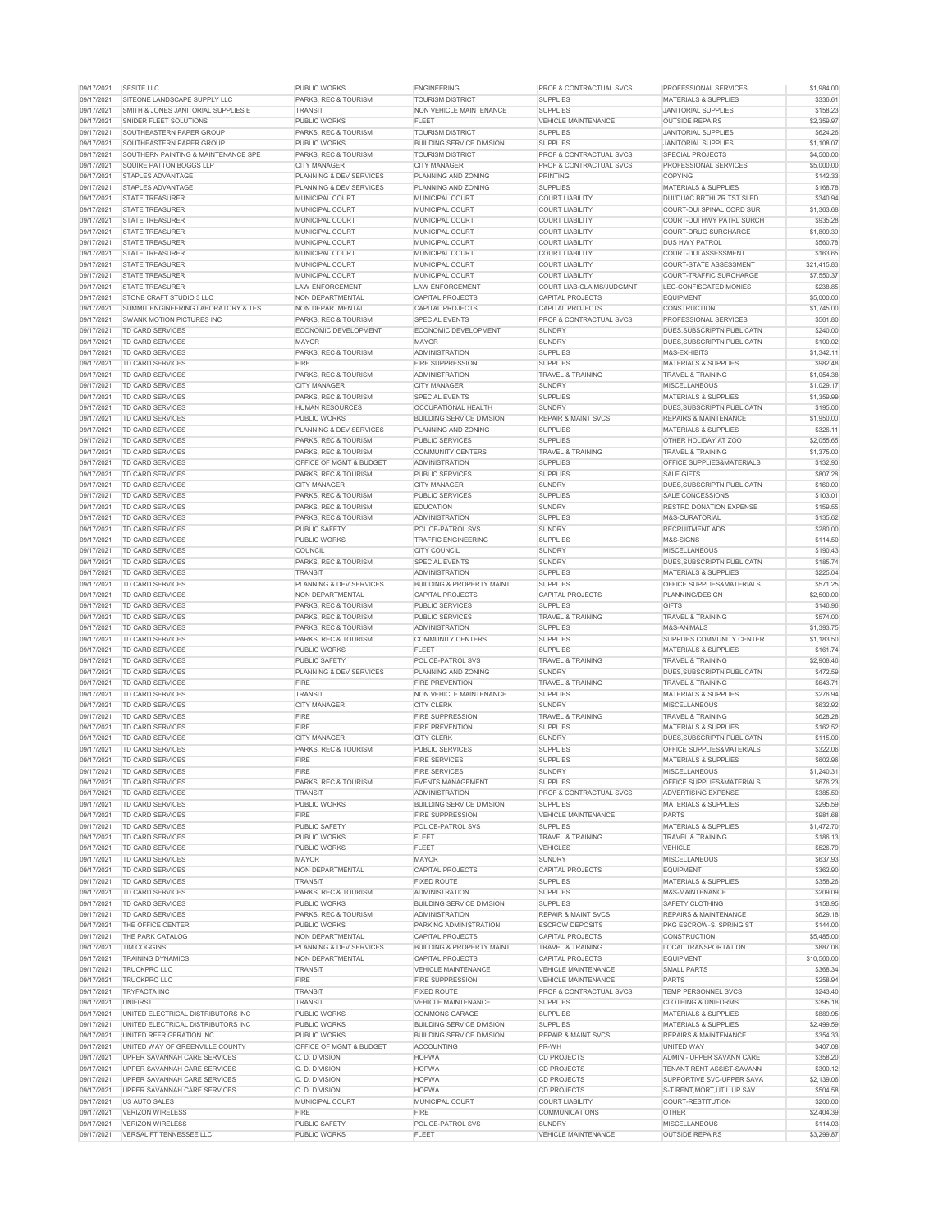| 09/17/2021               | <b>SESITE LLC</b>                                         | <b>PUBLIC WORKS</b>                         | <b>ENGINEERING</b>                       | <b>PROF &amp; CONTRACTUAL SVCS</b>          | <b>PROFESSIONAL SERVICES</b>                   | \$1,984.00             |
|--------------------------|-----------------------------------------------------------|---------------------------------------------|------------------------------------------|---------------------------------------------|------------------------------------------------|------------------------|
| 09/17/2021               | SITEONE LANDSCAPE SUPPLY LLC                              | <b>PARKS, REC &amp; TOURISM</b>             | <b>TOURISM DISTRICT</b>                  | <b>SUPPLIES</b>                             | <b>MATERIALS &amp; SUPPLIES</b>                | \$336.61               |
| 09/17/2021               | SMITH & JONES JANITORIAL SUPPLIES E                       | <b>TRANSIT</b>                              | <b>NON VEHICLE MAINTENANCE</b>           | <b>SUPPLIES</b>                             | <b>JANITORIAL SUPPLIES</b>                     | \$158.23               |
| 09/17/2021               | SNIDER FLEET SOLUTIONS                                    | <b>PUBLIC WORKS</b>                         | <b>FLEET</b>                             | <b>VEHICLE MAINTENANCE</b>                  | <b>OUTSIDE REPAIRS</b>                         | \$2,359.97             |
| 09/17/2021               | SOUTHEASTERN PAPER GROUP                                  | PARKS, REC & TOURISM                        | <b>TOURISM DISTRICT</b>                  | <b>SUPPLIES</b>                             | <b>JANITORIAL SUPPLIES</b>                     | \$624.26               |
|                          |                                                           |                                             |                                          |                                             |                                                |                        |
| 09/17/2021               | SOUTHEASTERN PAPER GROUP                                  | <b>PUBLIC WORKS</b>                         | <b>BUILDING SERVICE DIVISION</b>         | <b>SUPPLIES</b>                             | <b>JANITORIAL SUPPLIES</b>                     | \$1,108.07             |
| 09/17/2021               | SOUTHERN PAINTING & MAINTENANCE SPE                       | <b>PARKS, REC &amp; TOURISM</b>             | <b>TOURISM DISTRICT</b>                  | <b>PROF &amp; CONTRACTUAL SVCS</b>          | <b>SPECIAL PROJECTS</b>                        | \$4,500.00             |
| 09/17/2021               | SQUIRE PATTON BOGGS LLP                                   | <b>CITY MANAGER</b>                         | <b>CITY MANAGER</b>                      | <b>PROF &amp; CONTRACTUAL SVCS</b>          | PROFESSIONAL SERVICES                          | \$5,000.00             |
| 09/17/2021               | <b>STAPLES ADVANTAGE</b>                                  | PLANNING & DEV SERVICES                     | <b>PLANNING AND ZONING</b>               | <b>PRINTING</b>                             | <b>COPYING</b>                                 | \$142.33               |
| 09/17/2021               | <b>STAPLES ADVANTAGE</b>                                  | <b>PLANNING &amp; DEV SERVICES</b>          | <b>PLANNING AND ZONING</b>               | <b>SUPPLIES</b>                             | <b>MATERIALS &amp; SUPPLIES</b>                | \$168.78               |
| 09/17/2021               | <b>STATE TREASURER</b>                                    | <b>MUNICIPAL COURT</b>                      | <b>MUNICIPAL COURT</b>                   | <b>COURT LIABILITY</b>                      | DUI/DUAC BRTHLZR TST SLED                      | \$340.94               |
| 09/17/2021               | <b>STATE TREASURER</b>                                    | <b>MUNICIPAL COURT</b>                      | <b>MUNICIPAL COURT</b>                   | <b>COURT LIABILITY</b>                      | COURT-DUI SPINAL CORD SUR                      | \$1,363.68             |
| 09/17/2021               | <b>STATE TREASURER</b>                                    | <b>MUNICIPAL COURT</b>                      | <b>MUNICIPAL COURT</b>                   | <b>COURT LIABILITY</b>                      | <b>COURT-DUI HWY PATRL SURCH</b>               | \$935.28               |
| 09/17/2021               | <b>STATE TREASURER</b>                                    | <b>MUNICIPAL COURT</b>                      | <b>MUNICIPAL COURT</b>                   | <b>COURT LIABILITY</b>                      | COURT-DRUG SURCHARGE                           | \$1,809.39             |
| 09/17/2021               | <b>STATE TREASURER</b>                                    | <b>MUNICIPAL COURT</b>                      | MUNICIPAL COURT                          | <b>COURT LIABILITY</b>                      | <b>DUS HWY PATROL</b>                          | \$560.78               |
|                          |                                                           |                                             |                                          |                                             |                                                |                        |
| 09/17/2021               | <b>STATE TREASURER</b>                                    | MUNICIPAL COURT                             | <b>MUNICIPAL COURT</b>                   | <b>COURT LIABILITY</b>                      | <b>COURT-DUI ASSESSMENT</b>                    | \$163.65               |
| 09/17/2021               | <b>STATE TREASURER</b>                                    | <b>MUNICIPAL COURT</b>                      | <b>MUNICIPAL COURT</b>                   | <b>COURT LIABILITY</b>                      | <b>COURT-STATE ASSESSMENT</b>                  | \$21,415.83            |
| 09/17/2021               | <b>STATE TREASURER</b>                                    | MUNICIPAL COURT                             | <b>MUNICIPAL COURT</b>                   | <b>COURT LIABILITY</b>                      | <b>COURT-TRAFFIC SURCHARGE</b>                 | \$7,550.37             |
| 09/17/2021               | <b>STATE TREASURER</b>                                    | <b>LAW ENFORCEMENT</b>                      | LAW ENFORCEMENT                          | COURT LIAB-CLAIMS/JUDGMNT                   | LEC-CONFISCATED MONIES                         | \$238.85               |
| 09/17/2021               | STONE CRAFT STUDIO 3 LLC                                  | <b>NON DEPARTMENTAL</b>                     | <b>CAPITAL PROJECTS</b>                  | <b>CAPITAL PROJECTS</b>                     | <b>EQUIPMENT</b>                               | \$5,000.00             |
| 09/17/2021               | <b>SUMMIT ENGINEERING LABORATORY &amp; TES</b>            | NON DEPARTMENTAL                            | <b>CAPITAL PROJECTS</b>                  | <b>CAPITAL PROJECTS</b>                     | <b>CONSTRUCTION</b>                            | \$1,745.00             |
| 09/17/2021               | SWANK MOTION PICTURES INC                                 | PARKS, REC & TOURISM                        | <b>SPECIAL EVENTS</b>                    | <b>PROF &amp; CONTRACTUAL SVCS</b>          | <b>PROFESSIONAL SERVICES</b>                   | \$561.80               |
| 09/17/2021               | <b>TD CARD SERVICES</b>                                   | ECONOMIC DEVELOPMENT                        | <b>ECONOMIC DEVELOPMENT</b>              | <b>SUNDRY</b>                               | DUES, SUBSCRIPTN, PUBLICATN                    | \$240.00               |
| 09/17/2021               | <b>TD CARD SERVICES</b>                                   | <b>MAYOR</b>                                | <b>MAYOR</b>                             | <b>SUNDRY</b>                               | DUES, SUBSCRIPTN, PUBLICATN                    | \$100.02               |
|                          |                                                           |                                             |                                          |                                             |                                                |                        |
| 09/17/2021               | <b>TD CARD SERVICES</b>                                   | <b>PARKS, REC &amp; TOURISM</b>             | <b>ADMINISTRATION</b>                    | <b>SUPPLIES</b>                             | M&S-EXHIBITS                                   | \$1,342.11             |
| 09/17/2021               | <b>TD CARD SERVICES</b>                                   | <b>FIRE</b>                                 | <b>FIRE SUPPRESSION</b>                  | <b>SUPPLIES</b>                             | <b>MATERIALS &amp; SUPPLIES</b>                | \$982.48               |
| 09/17/2021               | <b>TD CARD SERVICES</b>                                   | PARKS, REC & TOURISM                        | <b>ADMINISTRATION</b>                    | <b>TRAVEL &amp; TRAINING</b>                | <b>TRAVEL &amp; TRAINING</b>                   | \$1,054.38             |
| 09/17/2021               | <b>TD CARD SERVICES</b>                                   | <b>CITY MANAGER</b>                         | <b>CITY MANAGER</b>                      | <b>SUNDRY</b>                               | <b>MISCELLANEOUS</b>                           | \$1,029.17             |
| 09/17/2021               | <b>TD CARD SERVICES</b>                                   | <b>PARKS, REC &amp; TOURISM</b>             | <b>SPECIAL EVENTS</b>                    | <b>SUPPLIES</b>                             | <b>MATERIALS &amp; SUPPLIES</b>                | \$1,359.99             |
| 09/17/2021               | <b>TD CARD SERVICES</b>                                   | <b>HUMAN RESOURCES</b>                      | <b>OCCUPATIONAL HEALTH</b>               | <b>SUNDRY</b>                               | DUES, SUBSCRIPTN, PUBLICATN                    | \$195.00               |
| 09/17/2021               | TD CARD SERVICES                                          | <b>PUBLIC WORKS</b>                         | <b>BUILDING SERVICE DIVISION</b>         | <b>REPAIR &amp; MAINT SVCS</b>              | <b>REPAIRS &amp; MAINTENANCE</b>               | \$1,950.00             |
| 09/17/2021               | TD CARD SERVICES                                          | PLANNING & DEV SERVICES                     | <b>PLANNING AND ZONING</b>               | <b>SUPPLIES</b>                             | <b>MATERIALS &amp; SUPPLIES</b>                | \$326.11               |
|                          |                                                           |                                             |                                          |                                             |                                                |                        |
| 09/17/2021               | TD CARD SERVICES                                          | PARKS, REC & TOURISM                        | <b>PUBLIC SERVICES</b>                   | <b>SUPPLIES</b>                             | <b>OTHER HOLIDAY AT ZOO</b>                    | \$2,055.65             |
| 09/17/2021               | <b>TD CARD SERVICES</b>                                   | PARKS, REC & TOURISM                        | <b>COMMUNITY CENTERS</b>                 | <b>TRAVEL &amp; TRAINING</b>                | <b>TRAVEL &amp; TRAINING</b>                   | \$1,375.00             |
| 09/17/2021               | <b>TD CARD SERVICES</b>                                   | <b>OFFICE OF MGMT &amp; BUDGET</b>          | <b>ADMINISTRATION</b>                    | <b>SUPPLIES</b>                             | <b>OFFICE SUPPLIES&amp;MATERIALS</b>           | \$132.90               |
| 09/17/2021               | <b>TD CARD SERVICES</b>                                   | <b>PARKS, REC &amp; TOURISM</b>             | <b>PUBLIC SERVICES</b>                   | <b>SUPPLIES</b>                             | <b>SALE GIFTS</b>                              | \$807.28               |
| 09/17/2021               | <b>TD CARD SERVICES</b>                                   | <b>CITY MANAGER</b>                         | <b>CITY MANAGER</b>                      | <b>SUNDRY</b>                               | DUES.SUBSCRIPTN.PUBLICATN                      | \$160.00               |
| 09/17/2021               | <b>TD CARD SERVICES</b>                                   | PARKS, REC & TOURISM                        | <b>PUBLIC SERVICES</b>                   | <b>SUPPLIES</b>                             | SALE CONCESSIONS                               | \$103.01               |
| 09/17/2021               | <b>TD CARD SERVICES</b>                                   | PARKS, REC & TOURISM                        | <b>EDUCATION</b>                         | <b>SUNDRY</b>                               | <b>RESTRD DONATION EXPENSE</b>                 | \$159.55               |
| 09/17/2021               | <b>TD CARD SERVICES</b>                                   | PARKS, REC & TOURISM                        | <b>ADMINISTRATION</b>                    | <b>SUPPLIES</b>                             | M&S-CURATORIAL                                 | \$135.62               |
|                          |                                                           |                                             |                                          |                                             |                                                |                        |
| 09/17/2021               | <b>TD CARD SERVICES</b>                                   | <b>PUBLIC SAFETY</b>                        | POLICE-PATROL SVS                        | <b>SUNDRY</b>                               | <b>RECRUITMENT ADS</b>                         | \$280.00               |
| 09/17/2021               | <b>TD CARD SERVICES</b>                                   | <b>PUBLIC WORKS</b>                         | <b>TRAFFIC ENGINEERING</b>               | <b>SUPPLIES</b>                             | M&S-SIGNS                                      | \$114.50               |
| 09/17/2021               | <b>TD CARD SERVICES</b>                                   | <b>COUNCIL</b>                              | <b>CITY COUNCIL</b>                      | <b>SUNDRY</b>                               | <b>MISCELLANEOUS</b>                           | \$190.43               |
| 09/17/2021               | TD CARD SERVICES                                          | PARKS, REC & TOURISM                        | <b>SPECIAL EVENTS</b>                    | <b>SUNDRY</b>                               | DUES, SUBSCRIPTN, PUBLICATN                    | \$185.74               |
| 09/17/2021               | <b>TD CARD SERVICES</b>                                   | <b>TRANSIT</b>                              | <b>ADMINISTRATION</b>                    | <b>SUPPLIES</b>                             | <b>MATERIALS &amp; SUPPLIES</b>                | \$225.04               |
| 09/17/2021               | <b>TD CARD SERVICES</b>                                   | <b>PLANNING &amp; DEV SERVICES</b>          | <b>BUILDING &amp; PROPERTY MAINT</b>     | <b>SUPPLIES</b>                             | <b>OFFICE SUPPLIES&amp;MATERIALS</b>           | \$571.25               |
| 09/17/2021               | <b>TD CARD SERVICES</b>                                   | NON DEPARTMENTAL                            | <b>CAPITAL PROJECTS</b>                  | <b>CAPITAL PROJECTS</b>                     | PLANNING/DESIGN                                | \$2,500.00             |
| 09/17/2021               | <b>TD CARD SERVICES</b>                                   | PARKS, REC & TOURISM                        | <b>PUBLIC SERVICES</b>                   | <b>SUPPLIES</b>                             | <b>GIFTS</b>                                   | \$146.96               |
|                          |                                                           |                                             |                                          |                                             |                                                |                        |
| 09/17/2021               | <b>TD CARD SERVICES</b>                                   | PARKS, REC & TOURISM                        | <b>PUBLIC SERVICES</b>                   | <b>TRAVEL &amp; TRAINING</b>                | <b>TRAVEL &amp; TRAINING</b>                   | \$574.00               |
| 09/17/2021               | <b>TD CARD SERVICES</b>                                   | PARKS, REC & TOURISM                        | <b>ADMINISTRATION</b>                    | <b>SUPPLIES</b>                             | M&S-ANIMALS                                    | \$1,393.75             |
| 09/17/2021               | <b>TD CARD SERVICES</b>                                   | PARKS, REC & TOURISM                        | <b>COMMUNITY CENTERS</b>                 | <b>SUPPLIES</b>                             | SUPPLIES COMMUNITY CENTER                      | \$1,183.50             |
| 09/17/2021               | <b>TD CARD SERVICES</b>                                   | <b>PUBLIC WORKS</b>                         | <b>FLEET</b>                             | <b>SUPPLIES</b>                             | <b>MATERIALS &amp; SUPPLIES</b>                | \$161.74               |
| 09/17/2021               | <b>TD CARD SERVICES</b>                                   | <b>PUBLIC SAFETY</b>                        | POLICE-PATROL SVS                        | <b>TRAVEL &amp; TRAINING</b>                | <b>TRAVEL &amp; TRAINING</b>                   | \$2,908.46             |
| 09/17/2021               | <b>TD CARD SERVICES</b>                                   | <b>PLANNING &amp; DEV SERVICES</b>          | <b>PLANNING AND ZONING</b>               | <b>SUNDRY</b>                               | DUES, SUBSCRIPTN, PUBLICATN                    | \$472.59               |
| 09/17/2021               | TD CARD SERVICES                                          | <b>FIRE</b>                                 | <b>FIRE PREVENTION</b>                   | <b>TRAVEL &amp; TRAINING</b>                | <b>TRAVEL &amp; TRAINING</b>                   | \$643.71               |
| 09/17/2021               | <b>TD CARD SERVICES</b>                                   | <b>TRANSIT</b>                              | <b>NON VEHICLE MAINTENANCE</b>           | <b>SUPPLIES</b>                             | <b>MATERIALS &amp; SUPPLIES</b>                | \$276.94               |
|                          |                                                           |                                             |                                          |                                             |                                                |                        |
| 09/17/2021               | <b>TD CARD SERVICES</b>                                   | <b>CITY MANAGER</b>                         | <b>CITY CLERK</b>                        | <b>SUNDRY</b>                               | <b>MISCELLANEOUS</b>                           | \$632.92               |
| 09/17/2021               | <b>TD CARD SERVICES</b>                                   | <b>FIRE</b>                                 | <b>FIRE SUPPRESSION</b>                  | <b>TRAVEL &amp; TRAINING</b>                | <b>TRAVEL &amp; TRAINING</b>                   | \$628.28               |
| 09/17/2021               | TD CARD SERVICES                                          | <b>FIRE</b>                                 | <b>FIRE PREVENTION</b>                   | <b>SUPPLIES</b>                             | <b>MATERIALS &amp; SUPPLIES</b>                | \$162.52               |
| 09/17/2021               | <b>TD CARD SERVICES</b>                                   | <b>CITY MANAGER</b>                         | <b>CITY CLERK</b>                        | <b>SUNDRY</b>                               | DUES, SUBSCRIPTN, PUBLICATN                    | \$115.00               |
| 09/17/2021               | <b>TD CARD SERVICES</b>                                   | <b>PARKS, REC &amp; TOURISM</b>             | <b>PUBLIC SERVICES</b>                   | <b>SUPPLIES</b>                             |                                                |                        |
| 09/17/2021               | <b>TD CARD SERVICES</b>                                   | <b>FIRE</b>                                 | <b>FIRE SERVICES</b>                     |                                             | <b>OFFICE SUPPLIES&amp;MATERIALS</b>           | \$322.06               |
| 09/17/2021               | <b>TD CARD SERVICES</b>                                   |                                             |                                          | <b>SUPPLIES</b>                             | <b>MATERIALS &amp; SUPPLIES</b>                | \$602.96               |
| 09/17/2021               |                                                           | <b>FIRE</b>                                 | <b>FIRE SERVICES</b>                     | <b>SUNDRY</b>                               | <b>MISCELLANEOUS</b>                           | \$1,240.31             |
| 09/17/2021               | <b>TD CARD SERVICES</b>                                   | PARKS, REC & TOURISM                        | <b>EVENTS MANAGEMENT</b>                 | <b>SUPPLIES</b>                             | <b>OFFICE SUPPLIES&amp;MATERIALS</b>           |                        |
|                          |                                                           |                                             |                                          |                                             |                                                | \$676.23               |
|                          | <b>TD CARD SERVICES</b>                                   | <b>TRANSIT</b>                              | <b>ADMINISTRATION</b>                    | <b>PROF &amp; CONTRACTUAL SVCS</b>          | <b>ADVERTISING EXPENSE</b>                     | \$385.59               |
| 09/17/2021               | <b>TD CARD SERVICES</b>                                   | PUBLIC WORKS                                | <b>BUILDING SERVICE DIVISION</b>         | <b>SUPPLIES</b>                             | MATERIALS & SUPPLIES                           | \$295.59               |
| 09/17/2021               | <b>TD CARD SERVICES</b>                                   | <b>FIRE</b>                                 | <b>FIRE SUPPRESSION</b>                  | <b>VEHICLE MAINTENANCE</b>                  | <b>PARTS</b>                                   | \$981.68               |
| 09/17/2021               | <b>TD CARD SERVICES</b>                                   | <b>PUBLIC SAFETY</b>                        | <b>POLICE-PATROL SVS</b>                 | <b>SUPPLIES</b>                             | <b>MATERIALS &amp; SUPPLIES</b>                | \$1,472.70             |
| 09/17/2021               | <b>TD CARD SERVICES</b>                                   | <b>PUBLIC WORKS</b>                         | <b>FLEET</b>                             | <b>TRAVEL &amp; TRAINING</b>                | <b>TRAVEL &amp; TRAINING</b>                   | \$186.13               |
| 09/17/2021               | TD CARD SERVICES                                          | <b>PUBLIC WORKS</b>                         | <b>FLEET</b>                             | <b>VEHICLES</b>                             | <b>VEHICLE</b>                                 | \$526.79               |
| 09/17/2021               | <b>TD CARD SERVICES</b>                                   | <b>MAYOR</b>                                | <b>MAYOR</b>                             | <b>SUNDRY</b>                               | <b>MISCELLANEOUS</b>                           | \$637.93               |
| 09/17/2021               | <b>TD CARD SERVICES</b>                                   | NON DEPARTMENTAL                            | <b>CAPITAL PROJECTS</b>                  | <b>CAPITAL PROJECTS</b>                     | <b>EQUIPMENT</b>                               | \$362.90               |
| 09/17/2021               | <b>TD CARD SERVICES</b>                                   | <b>TRANSIT</b>                              | <b>FIXED ROUTE</b>                       | <b>SUPPLIES</b>                             | <b>MATERIALS &amp; SUPPLIES</b>                | \$358.26               |
| 09/17/2021               | TD CARD SERVICES                                          | PARKS, REC & TOURISM                        | <b>ADMINISTRATION</b>                    | <b>SUPPLIES</b>                             | M&S-MAINTENANCE                                | \$209.09               |
| 09/17/2021               | <b>TD CARD SERVICES</b>                                   | <b>PUBLIC WORKS</b>                         | <b>BUILDING SERVICE DIVISION</b>         | <b>SUPPLIES</b>                             | <b>SAFETY CLOTHING</b>                         |                        |
|                          |                                                           | <b>PARKS, REC &amp; TOURISM</b>             | <b>ADMINISTRATION</b>                    |                                             | <b>REPAIRS &amp; MAINTENANCE</b>               | \$158.95               |
| 09/17/2021               | <b>TD CARD SERVICES</b>                                   |                                             |                                          | <b>REPAIR &amp; MAINT SVCS</b>              |                                                | \$629.18               |
| 09/17/2021               | THE OFFICE CENTER                                         | <b>PUBLIC WORKS</b>                         | <b>PARKING ADMINISTRATION</b>            | <b>ESCROW DEPOSITS</b>                      | PKG ESCROW-S. SPRING ST                        | \$144.00               |
| 09/17/2021               | THE PARK CATALOG                                          | NON DEPARTMENTAL                            | <b>CAPITAL PROJECTS</b>                  | CAPITAL PROJECTS                            | <b>CONSTRUCTION</b>                            | \$5,485.00             |
| 09/17/2021               | <b>TIM COGGINS</b>                                        | PLANNING & DEV SERVICES                     | <b>BUILDING &amp; PROPERTY MAINT</b>     | <b>TRAVEL &amp; TRAINING</b>                | <b>LOCAL TRANSPORTATION</b>                    | \$887.06               |
| 09/17/2021               | <b>TRAINING DYNAMICS</b>                                  | NON DEPARTMENTAL                            | <b>CAPITAL PROJECTS</b>                  | <b>CAPITAL PROJECTS</b>                     | <b>EQUIPMENT</b>                               | \$10,560.00            |
| 09/17/2021               | <b>TRUCKPRO LLC</b>                                       | <b>TRANSIT</b>                              | <b>VEHICLE MAINTENANCE</b>               | <b>VEHICLE MAINTENANCE</b>                  | <b>SMALL PARTS</b>                             | \$368.34               |
| 09/17/2021               | <b>TRUCKPRO LLC</b>                                       | <b>FIRE</b>                                 | <b>FIRE SUPPRESSION</b>                  | <b>VEHICLE MAINTENANCE</b>                  | <b>PARTS</b>                                   | \$258.94               |
| 09/17/2021               | <b>TRYFACTA INC</b>                                       | <b>TRANSIT</b>                              | <b>FIXED ROUTE</b>                       | PROF & CONTRACTUAL SVCS                     | TEMP PERSONNEL SVCS                            | \$243.40               |
| 09/17/2021               | <b>UNIFIRST</b>                                           | <b>TRANSIT</b>                              | <b>VEHICLE MAINTENANCE</b>               | <b>SUPPLIES</b>                             | <b>CLOTHING &amp; UNIFORMS</b>                 | \$395.18               |
|                          |                                                           |                                             |                                          |                                             |                                                |                        |
| 09/17/2021               | UNITED ELECTRICAL DISTRIBUTORS INC                        | <b>PUBLIC WORKS</b>                         | <b>COMMONS GARAGE</b>                    | <b>SUPPLIES</b>                             | <b>MATERIALS &amp; SUPPLIES</b>                | \$889.95               |
| 09/17/2021               | UNITED ELECTRICAL DISTRIBUTORS INC                        | <b>PUBLIC WORKS</b>                         | <b>BUILDING SERVICE DIVISION</b>         | <b>SUPPLIES</b>                             | <b>MATERIALS &amp; SUPPLIES</b>                | \$2,499.59             |
| 09/17/2021               | UNITED REFRIGERATION INC                                  | <b>PUBLIC WORKS</b>                         | <b>BUILDING SERVICE DIVISION</b>         | <b>REPAIR &amp; MAINT SVCS</b>              | <b>REPAIRS &amp; MAINTENANCE</b>               | \$354.33               |
| 09/17/2021               | UNITED WAY OF GREENVILLE COUNTY                           | <b>OFFICE OF MGMT &amp; BUDGET</b>          | <b>ACCOUNTING</b>                        | PR-WH                                       | UNITED WAY                                     | \$407.08               |
| 09/17/2021               | UPPER SAVANNAH CARE SERVICES                              | C. D. DIVISION                              | <b>HOPWA</b>                             | <b>CD PROJECTS</b>                          | ADMIN - UPPER SAVANN CARE                      | \$358.20               |
| 09/17/2021               | UPPER SAVANNAH CARE SERVICES                              | C. D. DIVISION                              | <b>HOPWA</b>                             | <b>CD PROJECTS</b>                          | TENANT RENT ASSIST-SAVANN                      | \$300.12               |
| 09/17/2021               | UPPER SAVANNAH CARE SERVICES                              | C. D. DIVISION                              | <b>HOPWA</b>                             | <b>CD PROJECTS</b>                          | SUPPORTIVE SVC-UPPER SAVA                      | \$2,139.06             |
| 09/17/2021               | UPPER SAVANNAH CARE SERVICES                              | C. D. DIVISION                              | <b>HOPWA</b>                             | <b>CD PROJECTS</b>                          | S-T RENT, MORT, UTIL UP SAV                    |                        |
|                          |                                                           |                                             |                                          |                                             |                                                | \$504.58               |
| 09/17/2021               | US AUTO SALES                                             | <b>MUNICIPAL COURT</b>                      | <b>MUNICIPAL COURT</b>                   | <b>COURT LIABILITY</b>                      | <b>COURT-RESTITUTION</b>                       | \$200.00               |
| 09/17/2021               | <b>VERIZON WIRELESS</b>                                   | <b>FIRE</b>                                 | <b>FIRE</b>                              | <b>COMMUNICATIONS</b>                       | <b>OTHER</b>                                   | \$2,404.39             |
| 09/17/2021<br>09/17/2021 | <b>VERIZON WIRELESS</b><br><b>VERSALIFT TENNESSEE LLC</b> | <b>PUBLIC SAFETY</b><br><b>PUBLIC WORKS</b> | <b>POLICE-PATROL SVS</b><br><b>FLEET</b> | <b>SUNDRY</b><br><b>VEHICLE MAINTENANCE</b> | <b>MISCELLANEOUS</b><br><b>OUTSIDE REPAIRS</b> | \$114.03<br>\$3,299.87 |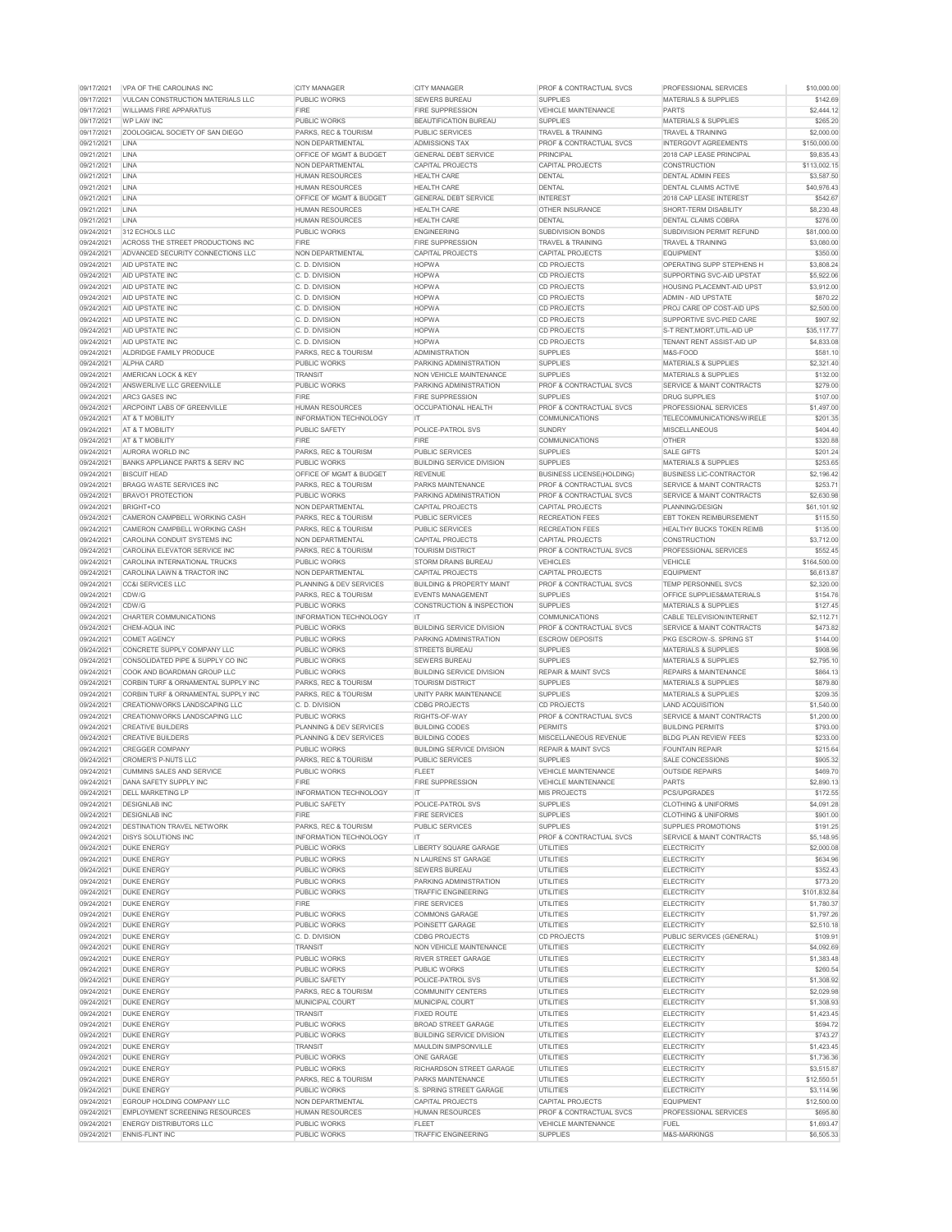| 09/17/2021               | VPA OF THE CAROLINAS INC                                  | <b>CITY MANAGER</b>                                   | <b>CITY MANAGER</b>                    | <b>PROF &amp; CONTRACTUAL SVCS</b>            | <b>PROFESSIONAL SERVICES</b>                                   | \$10,000.00            |
|--------------------------|-----------------------------------------------------------|-------------------------------------------------------|----------------------------------------|-----------------------------------------------|----------------------------------------------------------------|------------------------|
| 09/17/2021               | <u>IVULCAN CONSTRUCTION MATERIALS LLC</u>                 | <b>PUBLIC WORKS</b>                                   | <b>SEWERS BUREAU</b>                   | <b>SUPPLIES</b>                               | <b>MATERIALS &amp; SUPPLIES</b>                                | \$142.69               |
| 09/17/2021               | <b>WILLIAMS FIRE APPARATUS</b>                            | <b>FIRE</b>                                           | <b>FIRE SUPPRESSION</b>                | <b>VEHICLE MAINTENANCE</b>                    | <b>PARTS</b>                                                   | \$2,444.12             |
| 09/17/2021               | <b>WP LAW INC</b>                                         | <b>PUBLIC WORKS</b>                                   | <b>BEAUTIFICATION BUREAU</b>           | <b>SUPPLIES</b>                               | <b>MATERIALS &amp; SUPPLIES</b>                                | \$265.20               |
| 09/17/2021               | ZOOLOGICAL SOCIETY OF SAN DIEGO                           | <b>PARKS, REC &amp; TOURISM</b>                       | <b>PUBLIC SERVICES</b>                 | <b>TRAVEL &amp; TRAINING</b>                  | <b>TRAVEL &amp; TRAINING</b>                                   | \$2,000.00             |
| 09/21/2021               | <b>LINA</b>                                               | NON DEPARTMENTAL                                      | <b>ADMISSIONS TAX</b>                  | <b>PROF &amp; CONTRACTUAL SVCS</b>            | <b>INTERGOVT AGREEMENTS</b>                                    | \$150,000.00           |
| 09/21/2021               | <b>LINA</b>                                               | <b>OFFICE OF MGMT &amp; BUDGET</b>                    | <b>GENERAL DEBT SERVICE</b>            | <b>PRINCIPAL</b>                              | 2018 CAP LEASE PRINCIPAL                                       | \$9,835.43             |
| 09/21/2021               | <b>LINA</b>                                               | <b>NON DEPARTMENTAL</b>                               | <b>CAPITAL PROJECTS</b>                | <b>CAPITAL PROJECTS</b>                       | <b>CONSTRUCTION</b>                                            | \$113,002.15           |
| 09/21/2021               | <b>LINA</b>                                               | <b>HUMAN RESOURCES</b>                                | <b>HEALTH CARE</b>                     | <b>DENTAL</b>                                 | DENTAL ADMIN FEES                                              | \$3,587.50             |
| 09/21/2021               | <b>LINA</b>                                               | <b>HUMAN RESOURCES</b>                                | <b>HEALTH CARE</b>                     | <b>DENTAL</b>                                 | <b>DENTAL CLAIMS ACTIVE</b>                                    | \$40,976.43            |
| 09/21/2021               | <b>LINA</b>                                               | <b>OFFICE OF MGMT &amp; BUDGET</b>                    | <b>GENERAL DEBT SERVICE</b>            | <b>INTEREST</b>                               | 2018 CAP LEASE INTEREST                                        | \$542.67               |
| 09/21/2021               | <b>LINA</b>                                               | <b>HUMAN RESOURCES</b>                                | <b>HEALTH CARE</b>                     | <b>OTHER INSURANCE</b>                        | SHORT-TERM DISABILITY                                          | \$8,230.48             |
| 09/21/2021               | <b>LINA</b>                                               | <b>HUMAN RESOURCES</b>                                | <b>HEALTH CARE</b>                     | <b>DENTAL</b>                                 | <b>DENTAL CLAIMS COBRA</b>                                     | \$276.00               |
| 09/24/2021               | 312 ECHOLS LLC                                            | <b>PUBLIC WORKS</b>                                   | <b>ENGINEERING</b>                     | <b>SUBDIVISION BONDS</b>                      | SUBDIVISION PERMIT REFUND                                      | \$81,000.00            |
| 09/24/2021               | ACROSS THE STREET PRODUCTIONS INC                         | <b>FIRE</b>                                           | <b>FIRE SUPPRESSION</b>                | <b>TRAVEL &amp; TRAINING</b>                  | <b>TRAVEL &amp; TRAINING</b>                                   | \$3,080.00             |
| 09/24/2021               | ADVANCED SECURITY CONNECTIONS LLC                         | <b>NON DEPARTMENTAL</b>                               | <b>CAPITAL PROJECTS</b>                | <b>CAPITAL PROJECTS</b>                       | <b>EQUIPMENT</b>                                               | \$350.00               |
| 09/24/2021               | <b>AID UPSTATE INC</b>                                    | C. D. DIVISION                                        | <b>HOPWA</b>                           | <b>CD PROJECTS</b>                            | <b>OPERATING SUPP STEPHENS H</b>                               | \$3,808.24             |
| 09/24/2021<br>09/24/2021 | <b>AID UPSTATE INC</b>                                    | C. D. DIVISION                                        | <b>HOPWA</b><br><b>HOPWA</b>           | <b>CD PROJECTS</b>                            | SUPPORTING SVC-AID UPSTAT                                      | \$5,922.06             |
| 09/24/2021               | <b>AID UPSTATE INC</b><br>AID UPSTATE INC                 | C. D. DIVISION<br>C.D. DIVISION                       | <b>HOPWA</b>                           | <b>CD PROJECTS</b>                            | <b>HOUSING PLACEMNT-AID UPST</b><br><b>ADMIN - AID UPSTATE</b> | \$3,912.00<br>\$870.22 |
| 09/24/2021               | <b>AID UPSTATE INC</b>                                    | C. D. DIVISION                                        | <b>HOPWA</b>                           | <b>CD PROJECTS</b><br><b>CD PROJECTS</b>      | PROJ CARE OP COST-AID UPS                                      | \$2,500.00             |
| 09/24/2021               | <b>AID UPSTATE INC</b>                                    | C. D. DIVISION                                        | <b>HOPWA</b>                           | <b>CD PROJECTS</b>                            | SUPPORTIVE SVC-PIED CARE                                       | \$907.92               |
| 09/24/2021               | AID UPSTATE INC                                           | C. D. DIVISION                                        | <b>HOPWA</b>                           | <b>CD PROJECTS</b>                            | S-T RENT, MORT, UTIL-AID UP                                    | \$35,117.77            |
| 09/24/2021               | AID UPSTATE INC                                           | C. D. DIVISION                                        | <b>HOPWA</b>                           | <b>CD PROJECTS</b>                            | TENANT RENT ASSIST-AID UP                                      | \$4,833.08             |
| 09/24/2021               | ALDRIDGE FAMILY PRODUCE                                   | PARKS, REC & TOURISM                                  | <b>ADMINISTRATION</b>                  | <b>SUPPLIES</b>                               | M&S-FOOD                                                       | \$581.10               |
| 09/24/2021               | <b>ALPHA CARD</b>                                         | <b>PUBLIC WORKS</b>                                   | <b>PARKING ADMINISTRATION</b>          | <b>SUPPLIES</b>                               | <b>MATERIALS &amp; SUPPLIES</b>                                | \$2,321.40             |
| 09/24/2021               | <b>AMERICAN LOCK &amp; KEY</b>                            | <b>TRANSIT</b>                                        | NON VEHICLE MAINTENANCE                | <b>SUPPLIES</b>                               | <b>MATERIALS &amp; SUPPLIES</b>                                | \$132.00               |
| 09/24/2021               | ANSWERLIVE LLC GREENVILLE                                 | <b>PUBLIC WORKS</b>                                   | <b>PARKING ADMINISTRATION</b>          | <b>PROF &amp; CONTRACTUAL SVCS</b>            | SERVICE & MAINT CONTRACTS                                      | \$279.00               |
| 09/24/2021               | ARC3 GASES INC                                            | <b>FIRE</b>                                           | <b>FIRE SUPPRESSION</b>                | <b>SUPPLIES</b>                               | <b>DRUG SUPPLIES</b>                                           | \$107.00               |
| 09/24/2021               | ARCPOINT LABS OF GREENVILLE                               | <b>HUMAN RESOURCES</b>                                | OCCUPATIONAL HEALTH                    | <b>PROF &amp; CONTRACTUAL SVCS</b>            | <b>PROFESSIONAL SERVICES</b>                                   | \$1,497.00             |
| 09/24/2021               | <b>AT &amp; T MOBILITY</b>                                | <b>INFORMATION TECHNOLOGY</b>                         | -IT                                    | <b>COMMUNICATIONS</b>                         | TELECOMMUNICATIONS/WIRELE                                      | \$201.35               |
| 09/24/2021               | AT & T MOBILITY                                           | <b>PUBLIC SAFETY</b>                                  | <b>POLICE-PATROL SVS</b>               | <b>SUNDRY</b>                                 | <b>MISCELLANEOUS</b>                                           | \$404.40               |
|                          | 09/24/2021 AT & T MOBILITY                                | <b>FIRE</b>                                           | <b>FIRE</b>                            | <b>COMMUNICATIONS</b>                         | <b>OTHER</b>                                                   | \$320.88               |
| 09/24/2021               | <b>AURORA WORLD INC</b>                                   | PARKS, REC & TOURISM                                  | <b>PUBLIC SERVICES</b>                 | <b>SUPPLIES</b>                               | <b>SALE GIFTS</b>                                              | \$201.24               |
| 09/24/2021               | BANKS APPLIANCE PARTS & SERV INC                          | <b>PUBLIC WORKS</b>                                   | <b>BUILDING SERVICE DIVISION</b>       | <b>SUPPLIES</b>                               | <b>MATERIALS &amp; SUPPLIES</b>                                | \$253.65               |
| 09/24/2021               | <b>BISCUIT HEAD</b>                                       | <b>OFFICE OF MGMT &amp; BUDGET</b>                    | <b>REVENUE</b>                         | <b>BUSINESS LICENSE(HOLDING)</b>              | <b>BUSINESS LIC-CONTRACTOR</b>                                 | \$2,196.42             |
| 09/24/2021               | <b>BRAGG WASTE SERVICES INC</b>                           | <b>PARKS, REC &amp; TOURISM</b>                       | <b>PARKS MAINTENANCE</b>               | <b>PROF &amp; CONTRACTUAL SVCS</b>            | SERVICE & MAINT CONTRACTS                                      | \$253.71               |
| 09/24/2021               |                                                           |                                                       |                                        |                                               |                                                                | \$2,630.98             |
|                          | <b>BRAVO1 PROTECTION</b>                                  | <b>PUBLIC WORKS</b>                                   | <b>PARKING ADMINISTRATION</b>          | <b>PROF &amp; CONTRACTUAL SVCS</b>            | SERVICE & MAINT CONTRACTS                                      |                        |
| 09/24/2021               | <b>BRIGHT+CO</b>                                          | NON DEPARTMENTAL                                      | <b>CAPITAL PROJECTS</b>                | <b>CAPITAL PROJECTS</b>                       | PLANNING/DESIGN                                                | \$61,101.92            |
| 09/24/2021               | CAMERON CAMPBELL WORKING CASH                             | <b>PARKS, REC &amp; TOURISM</b>                       | <b>PUBLIC SERVICES</b>                 | <b>RECREATION FEES</b>                        | <b>EBT TOKEN REIMBURSEMENT</b>                                 | \$115.50               |
| 09/24/2021               | CAMERON CAMPBELL WORKING CASH                             | <b>PARKS, REC &amp; TOURISM</b>                       | <b>PUBLIC SERVICES</b>                 | <b>RECREATION FEES</b>                        | <b>HEALTHY BUCKS TOKEN REIMB</b>                               | \$135.00               |
| 09/24/2021               | CAROLINA CONDUIT SYSTEMS INC                              | <b>NON DEPARTMENTAL</b>                               | <b>CAPITAL PROJECTS</b>                | <b>CAPITAL PROJECTS</b>                       | <b>CONSTRUCTION</b>                                            | \$3,712.00             |
| 09/24/2021               | CAROLINA ELEVATOR SERVICE INC                             | PARKS, REC & TOURISM                                  | <b>TOURISM DISTRICT</b>                | <b>PROF &amp; CONTRACTUAL SVCS</b>            | <b>PROFESSIONAL SERVICES</b>                                   | \$552.45               |
| 09/24/2021               | CAROLINA INTERNATIONAL TRUCKS                             | <b>PUBLIC WORKS</b>                                   | <b>STORM DRAINS BUREAU</b>             | <b>VEHICLES</b>                               | <b>VEHICLE</b>                                                 | \$164,500.00           |
| 09/24/2021               | CAROLINA LAWN & TRACTOR INC                               | <b>NON DEPARTMENTAL</b>                               | <b>CAPITAL PROJECTS</b>                | <b>CAPITAL PROJECTS</b>                       | <b>EQUIPMENT</b>                                               | \$6,613.87             |
| 09/24/2021               | <b>CC&amp;I SERVICES LLC</b>                              | <b>PLANNING &amp; DEV SERVICES</b>                    | <b>BUILDING &amp; PROPERTY MAINT</b>   | <b>PROF &amp; CONTRACTUAL SVCS</b>            | <b>TEMP PERSONNEL SVCS</b>                                     | \$2,320.00             |
| 09/24/2021               | CDW/G                                                     | PARKS, REC & TOURISM                                  | <b>EVENTS MANAGEMENT</b>               | <b>SUPPLIES</b>                               | <b>OFFICE SUPPLIES&amp;MATERIALS</b>                           | \$154.76               |
| 09/24/2021               | CDW/G                                                     | <b>PUBLIC WORKS</b>                                   | <b>CONSTRUCTION &amp; INSPECTION</b>   | <b>SUPPLIES</b>                               | <b>MATERIALS &amp; SUPPLIES</b>                                | \$127.45               |
| 09/24/2021               | <b>CHARTER COMMUNICATIONS</b>                             | <b>INFORMATION TECHNOLOGY</b>                         | IT.                                    | <b>COMMUNICATIONS</b>                         | <b>CABLE TELEVISION/INTERNET</b>                               | \$2,112.71             |
| 09/24/2021               | <b>CHEM-AQUA INC</b>                                      | <b>PUBLIC WORKS</b>                                   | <b>BUILDING SERVICE DIVISION</b>       | <b>PROF &amp; CONTRACTUAL SVCS</b>            | SERVICE & MAINT CONTRACTS                                      | \$473.82               |
| 09/24/2021               | <b>COMET AGENCY</b>                                       | <b>PUBLIC WORKS</b>                                   | PARKING ADMINISTRATION                 | <b>ESCROW DEPOSITS</b>                        | <b>PKG ESCROW-S. SPRING ST</b>                                 | \$144.00               |
| 09/24/2021               | CONCRETE SUPPLY COMPANY LLC                               | <b>PUBLIC WORKS</b>                                   | <b>STREETS BUREAU</b>                  | <b>SUPPLIES</b>                               | <b>MATERIALS &amp; SUPPLIES</b>                                | \$908.96               |
| 09/24/2021               | CONSOLIDATED PIPE & SUPPLY CO INC                         | <b>PUBLIC WORKS</b>                                   | <b>SEWERS BUREAU</b>                   | <b>SUPPLIES</b>                               | <b>MATERIALS &amp; SUPPLIES</b>                                | \$2,795.10             |
| 09/24/2021               | COOK AND BOARDMAN GROUP LLC                               | <b>PUBLIC WORKS</b>                                   | <b>BUILDING SERVICE DIVISION</b>       | <b>REPAIR &amp; MAINT SVCS</b>                | <b>REPAIRS &amp; MAINTENANCE</b>                               | \$864.13               |
| 09/24/2021               | CORBIN TURF & ORNAMENTAL SUPPLY INC                       | <b>PARKS, REC &amp; TOURISM</b>                       | <b>TOURISM DISTRICT</b>                | <b>SUPPLIES</b>                               | <b>MATERIALS &amp; SUPPLIES</b>                                | \$879.80               |
| 09/24/2021               | CORBIN TURF & ORNAMENTAL SUPPLY INC                       | <b>PARKS, REC &amp; TOURISM</b>                       | UNITY PARK MAINTENANCE                 | <b>SUPPLIES</b>                               | <b>MATERIALS &amp; SUPPLIES</b>                                | \$209.35               |
| 09/24/2021               | <b>CREATIONWORKS LANDSCAPING LLC</b>                      | C. D. DIVISION                                        | <b>CDBG PROJECTS</b>                   | <b>CD PROJECTS</b>                            | <b>LAND ACQUISITION</b>                                        | \$1,540.00             |
| 09/24/2021               | CREATIONWORKS LANDSCAPING LLC                             | <b>PUBLIC WORKS</b>                                   | RIGHTS-OF-WAY                          | <b>PROF &amp; CONTRACTUAL SVCS</b>            | <b>SERVICE &amp; MAINT CONTRACTS</b>                           | \$1,200.00             |
| 09/24/2021               | <b>CREATIVE BUILDERS</b>                                  | <b>PLANNING &amp; DEV SERVICES</b>                    | <b>BUILDING CODES</b>                  | <b>PERMITS</b>                                | <b>BUILDING PERMITS</b>                                        | \$793.00               |
| 09/24/2021               | <b>CREATIVE BUILDERS</b>                                  | <b>PLANNING &amp; DEV SERVICES</b>                    | <b>BUILDING CODES</b>                  | <b>MISCELLANEOUS REVENUE</b>                  | <b>BLDG PLAN REVIEW FEES</b>                                   | \$233.00               |
| 09/24/2021               | <b>CREGGER COMPANY</b>                                    | <b>PUBLIC WORKS</b>                                   | <b>BUILDING SERVICE DIVISION</b>       | <b>REPAIR &amp; MAINT SVCS</b>                | <b>FOUNTAIN REPAIR</b>                                         | \$215.64               |
| 09/24/2021               | <b>CROMER'S P-NUTS LLC</b>                                | PARKS, REC & TOURISM                                  | <b>PUBLIC SERVICES</b>                 | <b>SUPPLIES</b>                               | SALE CONCESSIONS                                               | \$905.32               |
| 09/24/2021               | <b>CUMMINS SALES AND SERVICE</b>                          | <b>PUBLIC WORKS</b>                                   | <b>FLEET</b>                           | <b>VEHICLE MAINTENANCE</b>                    | <b>OUTSIDE REPAIRS</b>                                         | \$469.70               |
| 09/24/2021               | <b>DANA SAFETY SUPPLY INC</b>                             | <b>FIRE</b>                                           | <b>FIRE SUPPRESSION</b>                | <b>VEHICLE MAINTENANCE</b>                    | <b>PARTS</b>                                                   | \$2,890.13             |
| 09/24/2021               | <b>DELL MARKETING LP</b>                                  | <b>INFORMATION TECHNOLOGY</b>                         | -IT                                    | <b>MIS PROJECTS</b>                           | PCS/UPGRADES                                                   | \$172.55               |
| 09/24/2021               | <b>DESIGNLAB INC</b>                                      | <b>PUBLIC SAFETY</b>                                  | POLICE-PATROL SVS                      | <b>SUPPLIES</b>                               | <b>CLOTHING &amp; UNIFORMS</b>                                 | \$4,091.28             |
| 09/24/2021<br>09/24/2021 | <b>DESIGNLAB INC</b><br><b>DESTINATION TRAVEL NETWORK</b> | <b>FIRE</b>                                           | <b>FIRE SERVICES</b>                   | <b>SUPPLIES</b><br><b>SUPPLIES</b>            | <b>CLOTHING &amp; UNIFORMS</b>                                 | \$901.00               |
| 09/24/2021               | <b>DISYS SOLUTIONS INC</b>                                | PARKS, REC & TOURISM<br><b>INFORMATION TECHNOLOGY</b> | <b>PUBLIC SERVICES</b><br>IT.          | <b>PROF &amp; CONTRACTUAL SVCS</b>            | SUPPLIES PROMOTIONS<br>SERVICE & MAINT CONTRACTS               | \$191.25<br>\$5,148.95 |
| 09/24/2021               | <b>DUKE ENERGY</b>                                        | <b>PUBLIC WORKS</b>                                   | LIBERTY SQUARE GARAGE                  | <b>UTILITIES</b>                              | <b>ELECTRICITY</b>                                             | \$2,000.08             |
| 09/24/2021               | <b>DUKE ENERGY</b>                                        | <b>PUBLIC WORKS</b>                                   | IN LAURENS ST GARAGE                   | <b>UTILITIES</b>                              | <b>ELECTRICITY</b>                                             | \$634.96               |
| 09/24/2021               | <b>DUKE ENERGY</b>                                        | <b>PUBLIC WORKS</b>                                   | <b>SEWERS BUREAU</b>                   | UTILITIES                                     | <b>ELECTRICITY</b>                                             | \$352.43               |
| 09/24/2021               | <b>DUKE ENERGY</b>                                        | <b>PUBLIC WORKS</b>                                   | <b>PARKING ADMINISTRATION</b>          | <b>UTILITIES</b>                              | <b>ELECTRICITY</b>                                             | \$773.20               |
| 09/24/2021               | <b>DUKE ENERGY</b>                                        | <b>PUBLIC WORKS</b>                                   | <b>TRAFFIC ENGINEERING</b>             | <b>UTILITIES</b>                              | <b>ELECTRICITY</b>                                             | \$101,832.84           |
| 09/24/2021               | <b>DUKE ENERGY</b>                                        | <b>FIRE</b>                                           | <b>FIRE SERVICES</b>                   | <b>UTILITIES</b>                              | <b>ELECTRICITY</b>                                             | \$1,780.37             |
| 09/24/2021               | <b>DUKE ENERGY</b>                                        | <b>PUBLIC WORKS</b>                                   | <b>COMMONS GARAGE</b>                  | UTILITIES                                     | <b>ELECTRICITY</b>                                             | \$1,797.26             |
| 09/24/2021               | <b>DUKE ENERGY</b>                                        | <b>PUBLIC WORKS</b>                                   | <b>POINSETT GARAGE</b>                 | <b>UTILITIES</b>                              | <b>ELECTRICITY</b>                                             | \$2,510.18             |
| 09/24/2021               | <b>DUKE ENERGY</b>                                        | C. D. DIVISION                                        | <b>CDBG PROJECTS</b>                   | <b>CD PROJECTS</b>                            | <b>PUBLIC SERVICES (GENERAL)</b>                               | \$109.91               |
| 09/24/2021               | <b>DUKE ENERGY</b>                                        | <b>TRANSIT</b>                                        | NON VEHICLE MAINTENANCE                | <b>UTILITIES</b>                              | <b>ELECTRICITY</b>                                             | \$4,092.69             |
| 09/24/2021               | <b>DUKE ENERGY</b>                                        | <b>PUBLIC WORKS</b>                                   | <b>RIVER STREET GARAGE</b>             | UTILITIES                                     | <b>ELECTRICITY</b>                                             | \$1,383.48             |
| 09/24/2021               | <b>DUKE ENERGY</b>                                        | <b>PUBLIC WORKS</b>                                   | <b>PUBLIC WORKS</b>                    | <b>UTILITIES</b>                              | <b>ELECTRICITY</b>                                             | \$260.54               |
| 09/24/2021               | <b>DUKE ENERGY</b>                                        | <b>PUBLIC SAFETY</b>                                  | <b>POLICE-PATROL SVS</b>               | <b>UTILITIES</b>                              | <b>ELECTRICITY</b>                                             | \$1,308.92             |
| 09/24/2021               | <b>DUKE ENERGY</b>                                        | <b>PARKS, REC &amp; TOURISM</b>                       | <b>COMMUNITY CENTERS</b>               | <b>UTILITIES</b>                              | <b>ELECTRICITY</b>                                             | \$2,029.98             |
| 09/24/2021               | <b>DUKE ENERGY</b>                                        | MUNICIPAL COURT                                       | <b>MUNICIPAL COURT</b>                 | <b>UTILITIES</b>                              | <b>ELECTRICITY</b>                                             | \$1,308.93             |
| 09/24/2021               | <b>DUKE ENERGY</b>                                        | <b>TRANSIT</b>                                        | <b>FIXED ROUTE</b>                     | <b>UTILITIES</b>                              | <b>ELECTRICITY</b>                                             | \$1,423.45             |
| 09/24/2021               | <b>DUKE ENERGY</b>                                        | <b>PUBLIC WORKS</b>                                   | <b>BROAD STREET GARAGE</b>             | <b>UTILITIES</b>                              | <b>ELECTRICITY</b>                                             | \$594.72               |
| 09/24/2021               | <b>DUKE ENERGY</b>                                        | <b>PUBLIC WORKS</b>                                   | <b>BUILDING SERVICE DIVISION</b>       | UTILITIES                                     | <b>ELECTRICITY</b>                                             | \$743.27               |
| 09/24/2021               | <b>DUKE ENERGY</b>                                        | <b>TRANSIT</b>                                        | <b>MAULDIN SIMPSONVILLE</b>            | <b>UTILITIES</b>                              | <b>ELECTRICITY</b>                                             | \$1,423.45             |
| 09/24/2021               | <b>DUKE ENERGY</b>                                        | <b>PUBLIC WORKS</b>                                   | <b>ONE GARAGE</b>                      | <b>UTILITIES</b>                              | <b>ELECTRICITY</b>                                             | \$1,736.36             |
| 09/24/2021               | <b>DUKE ENERGY</b>                                        | <b>PUBLIC WORKS</b>                                   | <b>RICHARDSON STREET GARAGE</b>        | <b>UTILITIES</b>                              | <b>ELECTRICITY</b>                                             | \$3,515.87             |
| 09/24/2021               | <b>DUKE ENERGY</b>                                        | PARKS, REC & TOURISM                                  | <b>PARKS MAINTENANCE</b>               | UTILITIES                                     | <b>ELECTRICITY</b>                                             | \$12,550.51            |
| 09/24/2021               | <b>DUKE ENERGY</b>                                        | <b>PUBLIC WORKS</b>                                   | <b>S. SPRING STREET GARAGE</b>         | <b>UTILITIES</b>                              | <b>ELECTRICITY</b>                                             | \$3,114.96             |
|                          | EGROUP HOLDING COMPANY LLC                                | NON DEPARTMENTAL                                      | <b>CAPITAL PROJECTS</b>                | <b>CAPITAL PROJECTS</b>                       | <b>EQUIPMENT</b>                                               |                        |
| 09/24/2021<br>09/24/2021 | <b>EMPLOYMENT SCREENING RESOURCES</b>                     |                                                       |                                        | <b>PROF &amp; CONTRACTUAL SVCS</b>            | <b>PROFESSIONAL SERVICES</b>                                   | \$12,500.00            |
|                          | <b>ENERGY DISTRIBUTORS LLC</b>                            | <b>HUMAN RESOURCES</b>                                | <b>HUMAN RESOURCES</b><br><b>FLEET</b> |                                               |                                                                | \$695.80               |
| 09/24/2021               | <b>ENNIS-FLINT INC</b>                                    | <b>PUBLIC WORKS</b>                                   | <b>TRAFFIC ENGINEERING</b>             | <b>VEHICLE MAINTENANCE</b><br><b>SUPPLIES</b> | <b>FUEL</b><br>M&S-MARKINGS                                    | \$1,693.47             |
| 09/24/2021               |                                                           | <b>PUBLIC WORKS</b>                                   |                                        |                                               |                                                                | \$6,505.33             |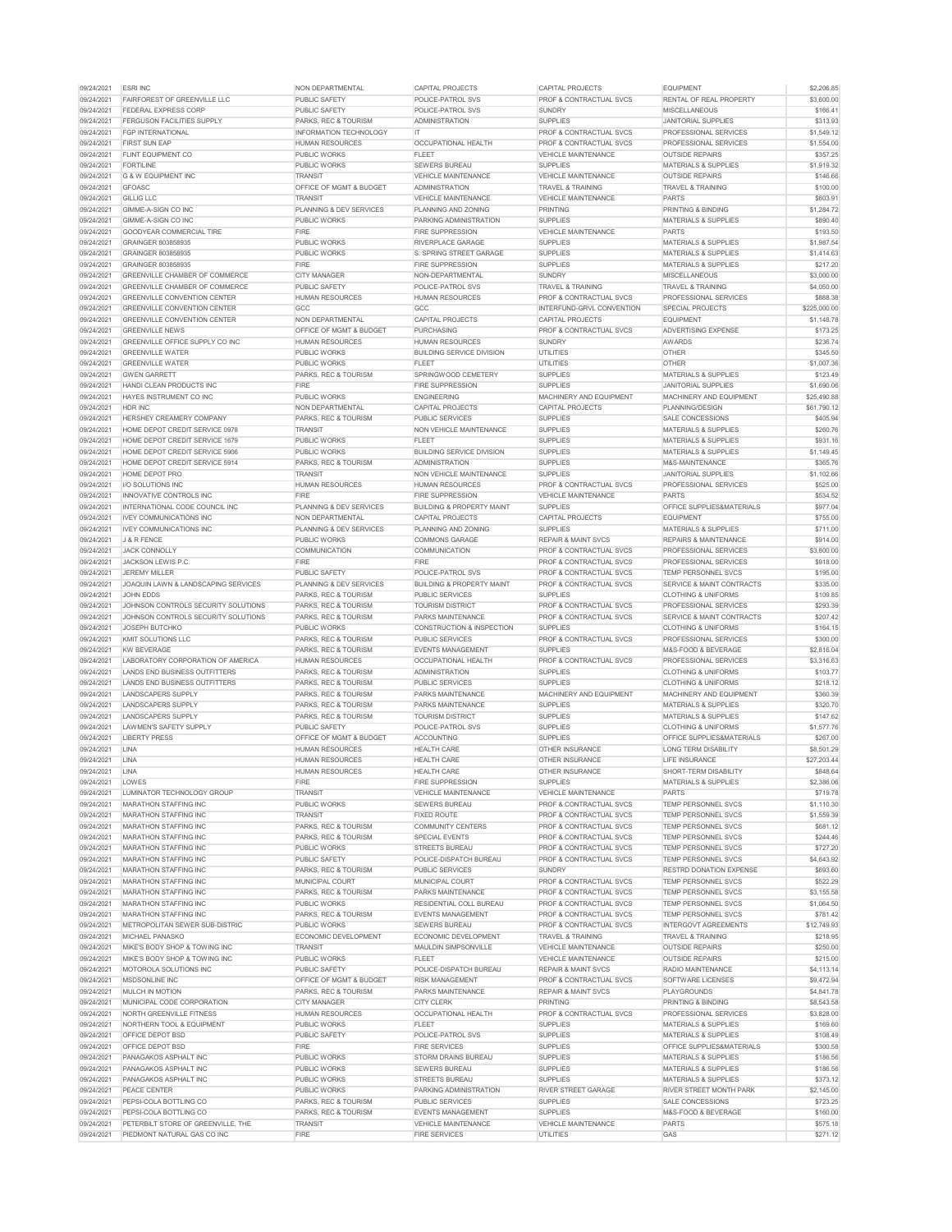| 09/24/2021               | <b>ESRI INC</b>                                         | <b>NON DEPARTMENTAL</b>                | <b>CAPITAL PROJECTS</b>                             | <b>CAPITAL PROJECTS</b>                             | <b>EQUIPMENT</b>                                       | \$2,206.85           |
|--------------------------|---------------------------------------------------------|----------------------------------------|-----------------------------------------------------|-----------------------------------------------------|--------------------------------------------------------|----------------------|
| 09/24/2021               | <b>FAIRFOREST OF GREENVILLE LLC</b>                     | <b>PUBLIC SAFETY</b>                   | <b>POLICE-PATROL SVS</b>                            | <b>PROF &amp; CONTRACTUAL SVCS</b>                  | <b>RENTAL OF REAL PROPERTY</b>                         | \$3,600.00           |
| 09/24/2021               | FEDERAL EXPRESS CORP                                    | <b>PUBLIC SAFETY</b>                   | <b>POLICE-PATROL SVS</b>                            | <b>SUNDRY</b>                                       | <b>MISCELLANEOUS</b>                                   | \$166.41             |
| 09/24/2021               | <b>FERGUSON FACILITIES SUPPLY</b>                       | <b>PARKS, REC &amp; TOURISM</b>        | <b>ADMINISTRATION</b>                               | <b>SUPPLIES</b>                                     | <b>JANITORIAL SUPPLIES</b>                             | \$313.93             |
| 09/24/2021               | <b>FGP INTERNATIONAL</b>                                | <b>INFORMATION TECHNOLOGY</b>          | IT.                                                 | <b>PROF &amp; CONTRACTUAL SVCS</b>                  | <b>PROFESSIONAL SERVICES</b>                           | \$1,549.12           |
| 09/24/2021               | <b>FIRST SUN EAP</b>                                    | <b>HUMAN RESOURCES</b>                 | <b>OCCUPATIONAL HEALTH</b>                          | <b>PROF &amp; CONTRACTUAL SVCS</b>                  | <b>PROFESSIONAL SERVICES</b>                           | \$1,554.00           |
| 09/24/2021               | <b>FLINT EQUIPMENT CO</b>                               | <b>PUBLIC WORKS</b>                    | <b>FLEET</b>                                        | VEHICLE MAINTENANCE                                 | <b>OUTSIDE REPAIRS</b>                                 | \$357.25             |
| 09/24/2021               | <b>FORTILINE</b>                                        | <b>PUBLIC WORKS</b>                    | <b>SEWERS BUREAU</b>                                | <b>SUPPLIES</b>                                     | <b>MATERIALS &amp; SUPPLIES</b>                        | \$1,919.32           |
| 09/24/2021               | <b>G &amp; W EQUIPMENT INC</b>                          | <b>TRANSIT</b>                         | <b>VEHICLE MAINTENANCE</b>                          | <b>VEHICLE MAINTENANCE</b>                          | <b>OUTSIDE REPAIRS</b>                                 | \$146.66             |
| 09/24/2021               | <b>GFOASC</b>                                           | <b>OFFICE OF MGMT &amp; BUDGET</b>     | <b>ADMINISTRATION</b>                               | <b>TRAVEL &amp; TRAINING</b>                        | <b>TRAVEL &amp; TRAINING</b>                           | \$100.00             |
| 09/24/2021               | <b>GILLIG LLC</b>                                       | <b>TRANSIT</b>                         | <b>VEHICLE MAINTENANCE</b>                          | <b>VEHICLE MAINTENANCE</b>                          | <b>PARTS</b>                                           | \$603.91             |
| 09/24/2021               | GIMME-A-SIGN CO INC                                     | <b>PLANNING &amp; DEV SERVICES</b>     | PLANNING AND ZONING                                 | PRINTING                                            | <b>PRINTING &amp; BINDING</b>                          | \$1,284.72           |
| 09/24/2021               | <b>GIMME-A-SIGN CO INC</b>                              | <b>PUBLIC WORKS</b>                    | <b>PARKING ADMINISTRATION</b>                       | <b>SUPPLIES</b>                                     | <b>MATERIALS &amp; SUPPLIES</b>                        | \$890.40             |
| 09/24/2021               | <b>GOODYEAR COMMERCIAL TIRE</b>                         | <b>FIRE</b>                            | <b>FIRE SUPPRESSION</b>                             | <b>VEHICLE MAINTENANCE</b>                          | <b>PARTS</b>                                           | \$193.50             |
| 09/24/2021               | <b>GRAINGER 803858935</b>                               | <b>PUBLIC WORKS</b>                    | RIVERPLACE GARAGE                                   | <b>SUPPLIES</b>                                     | <b>MATERIALS &amp; SUPPLIES</b>                        | \$1,987.54           |
| 09/24/2021               | <b>GRAINGER 803858935</b>                               | <b>PUBLIC WORKS</b>                    | <b>S. SPRING STREET GARAGE</b>                      | <b>SUPPLIES</b>                                     | <b>MATERIALS &amp; SUPPLIES</b>                        | \$1,414.63           |
| 09/24/2021               | <b>GRAINGER 803858935</b>                               | <b>FIRE</b>                            | <b>FIRE SUPPRESSION</b>                             | <b>SUPPLIES</b>                                     | <b>MATERIALS &amp; SUPPLIES</b>                        | \$217.20             |
| 09/24/2021               | <b>GREENVILLE CHAMBER OF COMMERCE</b>                   | <b>CITY MANAGER</b>                    | NON-DEPARTMENTAL                                    | <b>SUNDRY</b>                                       | <b>MISCELLANEOUS</b>                                   | \$3,000.00           |
| 09/24/2021               | <b>GREENVILLE CHAMBER OF COMMERCE</b>                   | <b>PUBLIC SAFETY</b>                   | <b>POLICE-PATROL SVS</b>                            | <b>TRAVEL &amp; TRAINING</b>                        | <b>TRAVEL &amp; TRAINING</b>                           | \$4,050.00           |
| 09/24/2021               | <b>GREENVILLE CONVENTION CENTER</b>                     | <b>HUMAN RESOURCES</b>                 | <b>HUMAN RESOURCES</b>                              | <b>PROF &amp; CONTRACTUAL SVCS</b>                  | <b>PROFESSIONAL SERVICES</b>                           | \$888.38             |
| 09/24/2021               | <b>GREENVILLE CONVENTION CENTER</b>                     | GCC                                    | GCC                                                 | INTERFUND-GRVL CONVENTION                           | <b>SPECIAL PROJECTS</b>                                | \$225,000.00         |
| 09/24/2021               | <b>GREENVILLE CONVENTION CENTER</b>                     | NON DEPARTMENTAL                       | <b>CAPITAL PROJECTS</b>                             | <b>CAPITAL PROJECTS</b>                             | <b>EQUIPMENT</b>                                       | \$1,148.78           |
| 09/24/2021               | <b>GREENVILLE NEWS</b>                                  | <b>OFFICE OF MGMT &amp; BUDGET</b>     | <b>PURCHASING</b>                                   | <b>IPROF &amp; CONTRACTUAL SVCS</b>                 | <b>ADVERTISING EXPENSE</b>                             | \$173.25             |
| 09/24/2021               | <b>GREENVILLE OFFICE SUPPLY CO INC</b>                  | <b>HUMAN RESOURCES</b>                 | <b>HUMAN RESOURCES</b>                              | <b>SUNDRY</b>                                       | <b>AWARDS</b>                                          | \$236.74             |
| 09/24/2021               | <b>GREENVILLE WATER</b>                                 | <b>PUBLIC WORKS</b>                    | <b>BUILDING SERVICE DIVISION</b>                    | <b>UTILITIES</b>                                    | <b>OTHER</b>                                           | \$345.50             |
| 09/24/2021               | <b>GREENVILLE WATER</b>                                 | <b>PUBLIC WORKS</b>                    | <b>FLEET</b>                                        | <b>UTILITIES</b>                                    | <b>OTHER</b>                                           | \$1,007.36           |
| 09/24/2021               | <b>GWEN GARRETT</b>                                     | PARKS, REC & TOURISM                   | SPRINGWOOD CEMETERY                                 | <b>SUPPLIES</b>                                     | <b>MATERIALS &amp; SUPPLIES</b>                        | \$123.49             |
| 09/24/2021               | <b>HANDI CLEAN PRODUCTS INC</b>                         | <b>FIRE</b>                            | <b>FIRE SUPPRESSION</b>                             | <b>SUPPLIES</b>                                     | <b>JANITORIAL SUPPLIES</b>                             | \$1,690.06           |
| 09/24/2021               | <b>HAYES INSTRUMENT CO INC</b>                          | <b>PUBLIC WORKS</b>                    | <b>ENGINEERING</b>                                  | <b>MACHINERY AND EQUIPMENT</b>                      | MACHINERY AND EQUIPMENT                                | \$25,490.88          |
| 09/24/2021               | <b>HDR INC</b>                                          | NON DEPARTMENTAL                       | <b>CAPITAL PROJECTS</b>                             | <b>CAPITAL PROJECTS</b>                             | <b>PLANNING/DESIGN</b>                                 | \$61.790.12          |
| 09/24/2021               | HERSHEY CREAMERY COMPANY                                | PARKS, REC & TOURISM                   | <b>PUBLIC SERVICES</b>                              | <b>SUPPLIES</b>                                     | SALE CONCESSIONS                                       | \$405.94             |
| 09/24/2021               | HOME DEPOT CREDIT SERVICE 0978                          | <b>TRANSIT</b>                         | NON VEHICLE MAINTENANCE                             | <b>SUPPLIES</b>                                     | <b>MATERIALS &amp; SUPPLIES</b>                        | \$260.76             |
| 09/24/2021               | <b>HOME DEPOT CREDIT SERVICE 1679</b>                   | <b>PUBLIC WORKS</b>                    | <b>FLEET</b>                                        | <b>SUPPLIES</b>                                     | <b>MATERIALS &amp; SUPPLIES</b>                        | \$931.16             |
| 09/24/2021               | HOME DEPOT CREDIT SERVICE 5906                          | <b>PUBLIC WORKS</b>                    | <b>BUILDING SERVICE DIVISION</b>                    | <b>SUPPLIES</b>                                     | <b>MATERIALS &amp; SUPPLIES</b>                        | \$1,149.45           |
| 09/24/2021               | <b>HOME DEPOT CREDIT SERVICE 5914</b>                   | <b>PARKS, REC &amp; TOURISM</b>        | <b>ADMINISTRATION</b>                               | <b>SUPPLIES</b>                                     | M&S-MAINTENANCE                                        | \$365.76             |
| 09/24/2021               | HOME DEPOT PRO                                          | <b>TRANSIT</b>                         | NON VEHICLE MAINTENANCE                             | <b>SUPPLIES</b>                                     | <b>JANITORIAL SUPPLIES</b>                             | \$1,102.66           |
| 09/24/2021               | I/O SOLUTIONS INC                                       | <b>HUMAN RESOURCES</b>                 | <b>HUMAN RESOURCES</b>                              | <b>PROF &amp; CONTRACTUAL SVCS</b>                  | <b>PROFESSIONAL SERVICES</b>                           | \$525.00             |
| 09/24/2021               | <b>INNOVATIVE CONTROLS INC</b>                          | <b>FIRE</b>                            | <b>FIRE SUPPRESSION</b>                             | VEHICLE MAINTENANCE                                 | <b>PARTS</b>                                           | \$534.52             |
| 09/24/2021               | INTERNATIONAL CODE COUNCIL INC                          | PLANNING & DEV SERVICES                | <b>BUILDING &amp; PROPERTY MAINT</b>                | <b>SUPPLIES</b>                                     | <b>OFFICE SUPPLIES&amp;MATERIALS</b>                   | \$977.04             |
| 09/24/2021               | <b>IVEY COMMUNICATIONS INC</b>                          | NON DEPARTMENTAL                       | <b>CAPITAL PROJECTS</b>                             | <b>CAPITAL PROJECTS</b>                             | <b>EQUIPMENT</b>                                       | \$755.00             |
| 09/24/2021               | <b>IVEY COMMUNICATIONS INC</b>                          | <b>PLANNING &amp; DEV SERVICES</b>     | PLANNING AND ZONING                                 | <b>SUPPLIES</b>                                     | <b>MATERIALS &amp; SUPPLIES</b>                        | \$711.00             |
| 09/24/2021               | J & R FENCE                                             | <b>PUBLIC WORKS</b>                    | <b>COMMONS GARAGE</b>                               | <b>REPAIR &amp; MAINT SVCS</b>                      | <b>REPAIRS &amp; MAINTENANCE</b>                       | \$914.00             |
| 09/24/2021               | <b>JACK CONNOLLY</b>                                    | <b>COMMUNICATION</b>                   | <b>COMMUNICATION</b>                                | <b>IPROF &amp; CONTRACTUAL SVCS</b>                 | <b>PROFESSIONAL SERVICES</b>                           | \$3,800.00           |
| 09/24/2021               | <b>JACKSON LEWIS P.C.</b>                               | <b>FIRE</b>                            | <b>FIRE</b>                                         | <b>PROF &amp; CONTRACTUAL SVCS</b>                  | <b>PROFESSIONAL SERVICES</b>                           | \$918.00             |
| 09/24/2021               | <b>JEREMY MILLER</b>                                    | <b>PUBLIC SAFETY</b>                   | <b>POLICE-PATROL SVS</b>                            | <b>PROF &amp; CONTRACTUAL SVCS</b>                  | <b>TEMP PERSONNEL SVCS</b>                             | \$195.00             |
| 09/24/2021               | <b>JOAQUIN LAWN &amp; LANDSCAPING SERVICES</b>          | PLANNING & DEV SERVICES                | <b>BUILDING &amp; PROPERTY MAINT</b>                | <b>PROF &amp; CONTRACTUAL SVCS</b>                  | SERVICE & MAINT CONTRACTS                              | \$335.00             |
| 09/24/2021               | <b>JOHN EDDS</b>                                        | PARKS, REC & TOURISM                   | <b>PUBLIC SERVICES</b>                              | <b>SUPPLIES</b>                                     | <b>CLOTHING &amp; UNIFORMS</b>                         | \$109.85             |
| 09/24/2021               | JOHNSON CONTROLS SECURITY SOLUTIONS                     | PARKS, REC & TOURISM                   | <b>TOURISM DISTRICT</b>                             | <b>PROF &amp; CONTRACTUAL SVCS</b>                  | <b>PROFESSIONAL SERVICES</b>                           | \$293.39             |
| 09/24/2021               | JOHNSON CONTROLS SECURITY SOLUTIONS                     | PARKS, REC & TOURISM                   | <b>PARKS MAINTENANCE</b>                            | <b>PROF &amp; CONTRACTUAL SVCS</b>                  | SERVICE & MAINT CONTRACTS                              | \$207.42             |
| 09/24/2021               | <b>JOSEPH BUTCHKO</b>                                   | <b>PUBLIC WORKS</b>                    | <b>CONSTRUCTION &amp; INSPECTION</b>                | <b>SUPPLIES</b>                                     | <b>CLOTHING &amp; UNIFORMS</b>                         | \$164.15             |
| 09/24/2021               | <b>KMIT SOLUTIONS LLC</b>                               | PARKS, REC & TOURISM                   | <b>PUBLIC SERVICES</b>                              | <b>PROF &amp; CONTRACTUAL SVCS</b>                  | <b>PROFESSIONAL SERVICES</b>                           | \$300.00             |
| 09/24/2021               | <b>KW BEVERAGE</b>                                      | <b>PARKS, REC &amp; TOURISM</b>        | <b>EVENTS MANAGEMENT</b>                            | <b>SUPPLIES</b>                                     | M&S-FOOD & BEVERAGE                                    | \$2,816.04           |
| 09/24/2021               | LABORATORY CORPORATION OF AMERICA                       | <b>HUMAN RESOURCES</b>                 | <b>OCCUPATIONAL HEALTH</b>                          | <b>IPROF &amp; CONTRACTUAL SVCS</b>                 | <b>PROFESSIONAL SERVICES</b>                           | \$3,316.63           |
| 09/24/2021               | LANDS END BUSINESS OUTFITTERS                           | PARKS, REC & TOURISM                   | <b>ADMINISTRATION</b>                               | <b>SUPPLIES</b>                                     | <b>CLOTHING &amp; UNIFORMS</b>                         | \$103.77             |
| 09/24/2021               | <b>LANDS END BUSINESS OUTFITTERS</b>                    | <b>PARKS, REC &amp; TOURISM</b>        | <b>PUBLIC SERVICES</b>                              | <b>SUPPLIES</b>                                     | <b>CLOTHING &amp; UNIFORMS</b>                         | \$218.12             |
| 09/24/2021               | <b>LANDSCAPERS SUPPLY</b>                               | <b>PARKS, REC &amp; TOURISM</b>        | <b>PARKS MAINTENANCE</b>                            | MACHINERY AND EQUIPMENT                             | <b>MACHINERY AND EQUIPMENT</b>                         | \$360.39             |
| 09/24/2021               | <b>LANDSCAPERS SUPPLY</b>                               | PARKS, REC & TOURISM                   | <b>PARKS MAINTENANCE</b>                            | <b>SUPPLIES</b>                                     | <b>MATERIALS &amp; SUPPLIES</b>                        | \$320.70             |
| 09/24/2021               | <b>LANDSCAPERS SUPPLY</b>                               | PARKS, REC & TOURISM                   | <b>TOURISM DISTRICT</b>                             | <b>SUPPLIES</b>                                     | <b>MATERIALS &amp; SUPPLIES</b>                        | \$147.62             |
| 09/24/2021               | LAWMEN'S SAFETY SUPPLY                                  | <b>PUBLIC SAFETY</b>                   | <b>POLICE-PATROL SVS</b>                            | <b>SUPPLIES</b>                                     | <b>CLOTHING &amp; UNIFORMS</b>                         | \$1,577.76           |
| 09/24/2021               | <b>LIBERTY PRESS</b>                                    | <b>OFFICE OF MGMT &amp; BUDGET</b>     | <b>ACCOUNTING</b>                                   | <b>SUPPLIES</b>                                     | <b>OFFICE SUPPLIES&amp;MATERIALS</b>                   | \$267.00             |
| 09/24/2021               | <b>LINA</b>                                             | <b>HUMAN RESOURCES</b>                 | <b>HEALTH CARE</b>                                  | <b>OTHER INSURANCE</b>                              | <b>LONG TERM DISABILITY</b>                            | \$8,501.29           |
| 09/24/2021               | <b>LINA</b>                                             | <b>HUMAN RESOURCES</b>                 | <b>HEALTH CARE</b>                                  | <b>OTHER INSURANCE</b>                              | <b>LIFE INSURANCE</b>                                  | \$27,203.44          |
| 09/24/2021               | <b>LINA</b>                                             | <b>HUMAN RESOURCES</b>                 | <b>HEALTH CARE</b>                                  | <b>OTHER INSURANCE</b>                              | SHORT-TERM DISABILITY                                  | \$848.64             |
| 09/24/2021               | LOWES                                                   | <b>FIRE</b>                            | <b>FIRE SUPPRESSION</b>                             | <b>SUPPLIES</b>                                     | <b>MATERIALS &amp; SUPPLIES</b>                        | \$2,386.06           |
| 09/24/2021               | LUMINATOR TECHNOLOGY GROUP                              | <b>TRANSIT</b>                         | <b>VEHICLE MAINTENANCE</b>                          | VEHICLE MAINTENANCE                                 | <b>PARTS</b>                                           | \$719.78             |
| 09/24/2021               | MARATHON STAFFING INC                                   | <b>PUBLIC WORKS</b>                    | <b>SEWERS BUREAU</b>                                | <b>PROF &amp; CONTRACTUAL SVCS</b>                  | <b>TEMP PERSONNEL SVCS</b>                             | \$1,110.30           |
| 09/24/2021               | <b>MARATHON STAFFING INC</b>                            | <b>TRANSIT</b>                         | <b>FIXED ROUTE</b>                                  | <b>PROF &amp; CONTRACTUAL SVCS</b>                  | <b>TEMP PERSONNEL SVCS</b>                             | \$1,559.39           |
| 09/24/2021               | <b>MARATHON STAFFING INC</b>                            | PARKS, REC & TOURISM                   | <b>COMMUNITY CENTERS</b>                            | <b>PROF &amp; CONTRACTUAL SVCS</b>                  | <b>TEMP PERSONNEL SVCS</b>                             | \$681.12             |
| 09/24/2021               | <b>MARATHON STAFFING INC</b>                            | <b>PARKS, REC &amp; TOURISM</b>        | <b>SPECIAL EVENTS</b>                               | <b>PROF &amp; CONTRACTUAL SVCS</b>                  | <b>TEMP PERSONNEL SVCS</b>                             | \$244.46             |
| 09/24/2021               | <b>MARATHON STAFFING INC</b>                            | <b>PUBLIC WORKS</b>                    | <b>STREETS BUREAU</b>                               | <b>PROF &amp; CONTRACTUAL SVCS</b>                  | <b>TEMP PERSONNEL SVCS</b>                             | \$727.20             |
| 09/24/2021               | <b>MARATHON STAFFING INC</b>                            | <b>PUBLIC SAFETY</b>                   | POLICE-DISPATCH BUREAU                              | <b>PROF &amp; CONTRACTUAL SVCS</b>                  | <b>TEMP PERSONNEL SVCS</b>                             | \$4,643.92           |
| 09/24/2021               | <b>MARATHON STAFFING INC</b>                            | PARKS, REC & TOURISM                   | <b>PUBLIC SERVICES</b>                              | SUNDRY                                              | <b>RESTRD DONATION EXPENSE</b>                         | \$693.60             |
| 09/24/2021               | <b>MARATHON STAFFING INC</b>                            | <b>MUNICIPAL COURT</b>                 | <b>MUNICIPAL COURT</b>                              | <b>PROF &amp; CONTRACTUAL SVCS</b>                  | <b>TEMP PERSONNEL SVCS</b>                             | \$522.29             |
| 09/24/2021               | <b>MARATHON STAFFING INC</b>                            | PARKS, REC & TOURISM                   | <b>PARKS MAINTENANCE</b>                            | <b>PROF &amp; CONTRACTUAL SVCS</b>                  | <b>TEMP PERSONNEL SVCS</b>                             | \$3,155.58           |
| 09/24/2021               | <b>MARATHON STAFFING INC</b>                            | <b>PUBLIC WORKS</b>                    | <b>RESIDENTIAL COLL BUREAU</b>                      | <b>PROF &amp; CONTRACTUAL SVCS</b>                  | <b>TEMP PERSONNEL SVCS</b>                             | \$1,064.50           |
| 09/24/2021               | <b>MARATHON STAFFING INC</b>                            | PARKS, REC & TOURISM                   | <b>EVENTS MANAGEMENT</b>                            | <b>PROF &amp; CONTRACTUAL SVCS</b>                  | <b>TEMP PERSONNEL SVCS</b>                             | \$781.42             |
| 09/24/2021               | METROPOLITAN SEWER SUB-DISTRIC                          | <b>PUBLIC WORKS</b>                    | <b>SEWERS BUREAU</b>                                | <b>PROF &amp; CONTRACTUAL SVCS</b>                  | <b>INTERGOVT AGREEMENTS</b>                            | \$12,749.93          |
| 09/24/2021<br>09/24/2021 | <b>MICHAEL PANASKO</b><br>MIKE'S BODY SHOP & TOWING INC | ECONOMIC DEVELOPMENT<br><b>TRANSIT</b> | ECONOMIC DEVELOPMENT<br><b>MAULDIN SIMPSONVILLE</b> | <b>TRAVEL &amp; TRAINING</b><br>VEHICLE MAINTENANCE | <b>TRAVEL &amp; TRAINING</b><br><b>OUTSIDE REPAIRS</b> | \$218.95<br>\$250.00 |
| 09/24/2021               | MIKE'S BODY SHOP & TOWING INC                           | <b>PUBLIC WORKS</b>                    | <b>FLEET</b>                                        | <b>VEHICLE MAINTENANCE</b>                          | <b>OUTSIDE REPAIRS</b>                                 | \$215.00             |
| 09/24/2021               | <b>MOTOROLA SOLUTIONS INC</b>                           | <b>PUBLIC SAFETY</b>                   | POLICE-DISPATCH BUREAU                              | <b>REPAIR &amp; MAINT SVCS</b>                      | <b>RADIO MAINTENANCE</b>                               | \$4,113.14           |
| 09/24/2021               | MSDSONLINE INC                                          | <b>OFFICE OF MGMT &amp; BUDGET</b>     | <b>RISK MANAGEMENT</b>                              | <b>PROF &amp; CONTRACTUAL SVCS</b>                  | SOFTWARE LICENSES                                      | \$9,472.94           |
| 09/24/2021               | <b>MULCH IN MOTION</b>                                  | PARKS, REC & TOURISM                   | <b>PARKS MAINTENANCE</b>                            | <b>REPAIR &amp; MAINT SVCS</b>                      | <b>PLAYGROUNDS</b>                                     | \$4,841.78           |
| 09/24/2021               | MUNICIPAL CODE CORPORATION                              | <b>CITY MANAGER</b>                    | <b>CITY CLERK</b>                                   | <b>PRINTING</b>                                     | <b>PRINTING &amp; BINDING</b>                          | \$8,543.58           |
| 09/24/2021               | <b>NORTH GREENVILLE FITNESS</b>                         | <b>HUMAN RESOURCES</b>                 | <b>OCCUPATIONAL HEALTH</b>                          | <b>PROF &amp; CONTRACTUAL SVCS</b>                  | PROFESSIONAL SERVICES                                  | \$3,828.00           |
| 09/24/2021               | <b>NORTHERN TOOL &amp; EQUIPMENT</b>                    | <b>PUBLIC WORKS</b>                    | <b>FLEET</b>                                        | <b>SUPPLIES</b>                                     | <b>MATERIALS &amp; SUPPLIES</b>                        | \$169.60             |
| 09/24/2021               | OFFICE DEPOT BSD                                        | <b>PUBLIC SAFETY</b>                   | POLICE-PATROL SVS                                   | <b>SUPPLIES</b>                                     | <b>MATERIALS &amp; SUPPLIES</b>                        | \$108.49             |
| 09/24/2021               | OFFICE DEPOT BSD                                        | <b>FIRE</b>                            | <b>FIRE SERVICES</b>                                | <b>SUPPLIES</b>                                     | <b>OFFICE SUPPLIES&amp;MATERIALS</b>                   | \$300.58             |
| 09/24/2021               | PANAGAKOS ASPHALT INC                                   | <b>PUBLIC WORKS</b>                    | <b>STORM DRAINS BUREAU</b>                          | <b>SUPPLIES</b>                                     | <b>MATERIALS &amp; SUPPLIES</b>                        | \$186.56             |
| 09/24/2021               | <b>PANAGAKOS ASPHALT INC</b>                            | <b>PUBLIC WORKS</b>                    | <b>SEWERS BUREAU</b>                                | <b>SUPPLIES</b>                                     | <b>MATERIALS &amp; SUPPLIES</b>                        | \$186.56             |
| 09/24/2021               | <b>PANAGAKOS ASPHALT INC</b>                            | <b>PUBLIC WORKS</b>                    | <b>STREETS BUREAU</b>                               | <b>SUPPLIES</b>                                     | <b>MATERIALS &amp; SUPPLIES</b>                        | \$373.12             |
| 09/24/2021               | PEACE CENTER                                            | <b>PUBLIC WORKS</b>                    | <b>PARKING ADMINISTRATION</b>                       | <b>RIVER STREET GARAGE</b>                          | <b>RIVER STREET MONTH PARK</b>                         | \$2,145.00           |
| 09/24/2021               |                                                         | <b>PARKS, REC &amp; TOURISM</b>        | <b>PUBLIC SERVICES</b>                              | <b>SUPPLIES</b>                                     |                                                        |                      |
|                          | <b>PEPSI-COLA BOTTLING CO</b><br>PEPSI-COLA BOTTLING CO | PARKS, REC & TOURISM                   | <b>EVENTS MANAGEMENT</b>                            | <b>SUPPLIES</b>                                     | <b>SALE CONCESSIONS</b><br>M&S-FOOD & BEVERAGE         | \$723.25             |
| 09/24/2021               |                                                         |                                        |                                                     |                                                     |                                                        | \$160.00             |
| 09/24/2021               | PETERBILT STORE OF GREENVILLE, THE                      | <b>TRANSIT</b>                         | <b>VEHICLE MAINTENANCE</b>                          | VEHICLE MAINTENANCE                                 | <b>PARTS</b>                                           | \$575.18             |
| 09/24/2021               | PIEDMONT NATURAL GAS CO INC                             | <b>FIRE</b>                            | <b>FIRE SERVICES</b>                                | UTILITIES                                           | GAS                                                    | \$271.12             |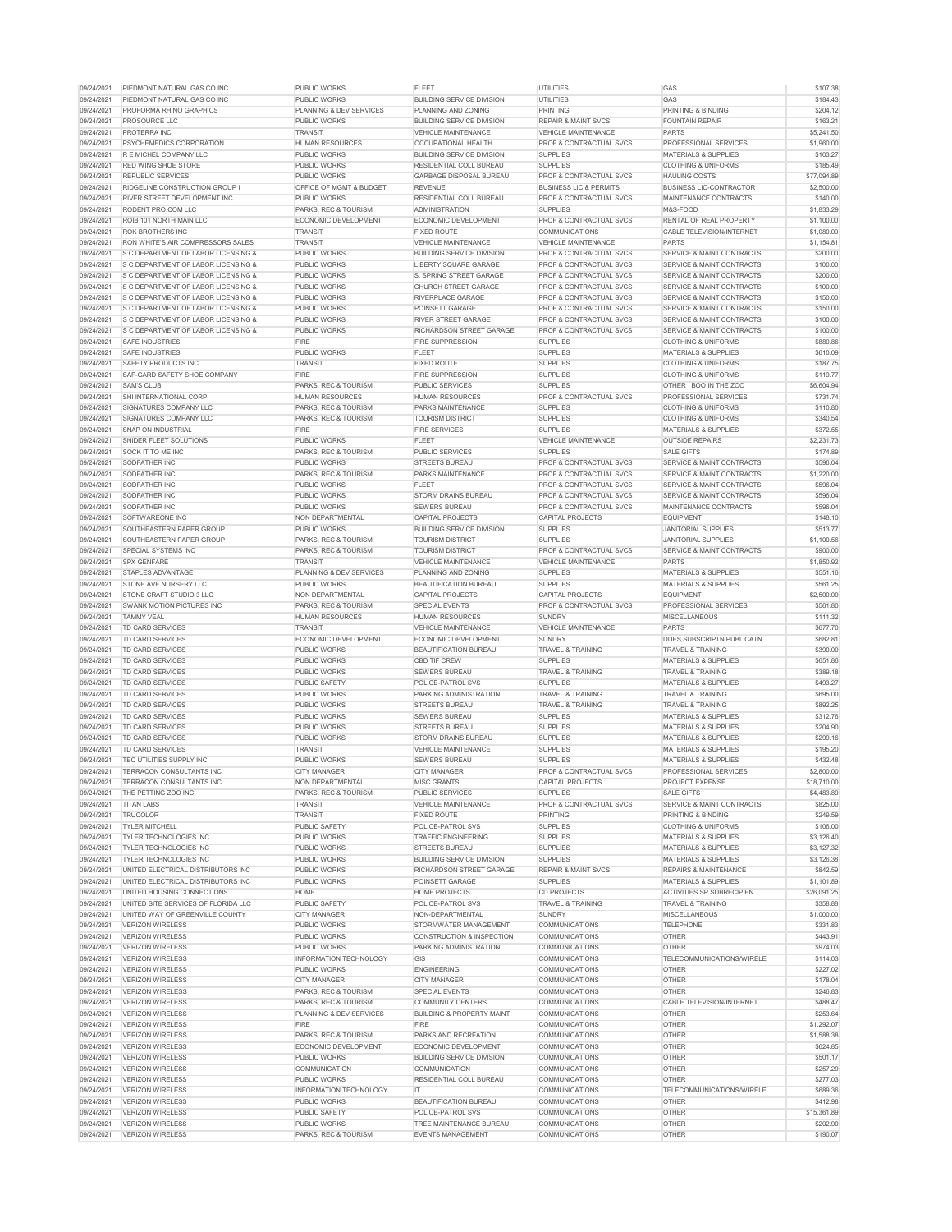| 09/24/2021               | PIEDMONT NATURAL GAS CO INC                                                            | <b>PUBLIC WORKS</b>                        | <b>FLEET</b>                                                  | <b>UTILITIES</b>                                                         | <b>GAS</b>                                                                   | \$107.38                  |
|--------------------------|----------------------------------------------------------------------------------------|--------------------------------------------|---------------------------------------------------------------|--------------------------------------------------------------------------|------------------------------------------------------------------------------|---------------------------|
| 09/24/2021               | <b>PIEDMONT NATURAL GAS CO INC</b>                                                     | <b>PUBLIC WORKS</b>                        | <b>BUILDING SERVICE DIVISION</b>                              | <b>UTILITIES</b>                                                         | GAS                                                                          | \$184.43                  |
| 09/24/2021               | <b>PROFORMA RHINO GRAPHICS</b>                                                         | <b>PLANNING &amp; DEV SERVICES</b>         | <b>PLANNING AND ZONING</b>                                    | <b>PRINTING</b>                                                          | <b>PRINTING &amp; BINDING</b>                                                | \$204.12                  |
| 09/24/2021               | <b>PROSOURCE LLC</b>                                                                   | <b>PUBLIC WORKS</b>                        | <b>BUILDING SERVICE DIVISION</b>                              | <b>REPAIR &amp; MAINT SVCS</b>                                           | <b>FOUNTAIN REPAIR</b>                                                       | \$163.21                  |
| 09/24/2021               | PROTERRA INC                                                                           | <b>TRANSIT</b>                             | <b>VEHICLE MAINTENANCE</b>                                    | <b>VEHICLE MAINTENANCE</b>                                               | <b>PARTS</b>                                                                 | \$5,241.50                |
| 09/24/2021               | <b>PSYCHEMEDICS CORPORATION</b>                                                        | <b>HUMAN RESOURCES</b>                     | OCCUPATIONAL HEALTH                                           | <b>PROF &amp; CONTRACTUAL SVCS</b>                                       | PROFESSIONAL SERVICES                                                        | \$1,960.00                |
| 09/24/2021               | R E MICHEL COMPANY LLC                                                                 | <b>PUBLIC WORKS</b>                        | <b>BUILDING SERVICE DIVISION</b>                              | <b>SUPPLIES</b>                                                          | <b>MATERIALS &amp; SUPPLIES</b>                                              | \$103.27                  |
| 09/24/2021               | <b>RED WING SHOE STORE</b>                                                             | <b>PUBLIC WORKS</b>                        | <b>RESIDENTIAL COLL BUREAU</b>                                | <b>SUPPLIES</b>                                                          | <b>CLOTHING &amp; UNIFORMS</b>                                               | \$185.49                  |
| 09/24/2021               | <b>REPUBLIC SERVICES</b>                                                               | <b>PUBLIC WORKS</b>                        | <b>GARBAGE DISPOSAL BUREAU</b>                                | <b>PROF &amp; CONTRACTUAL SVCS</b>                                       | <b>HAULING COSTS</b>                                                         | \$77,094.89               |
| 09/24/2021               | <b>IRIDGELINE CONSTRUCTION GROUP I</b>                                                 | OFFICE OF MGMT & BUDGET                    | <b>REVENUE</b>                                                | <b>BUSINESS LIC &amp; PERMITS</b>                                        | <b>BUSINESS LIC-CONTRACTOR</b>                                               | \$2,500.00                |
| 09/24/2021               | RIVER STREET DEVELOPMENT INC                                                           | <b>PUBLIC WORKS</b>                        | <b>RESIDENTIAL COLL BUREAU</b>                                | <b>PROF &amp; CONTRACTUAL SVCS</b>                                       | MAINTENANCE CONTRACTS                                                        | \$140.00                  |
| 09/24/2021               | RODENT PRO.COM LLC                                                                     | <b>PARKS, REC &amp; TOURISM</b>            | <b>ADMINISTRATION</b>                                         | <b>SUPPLIES</b>                                                          | M&S-FOOD                                                                     | \$1,833.29                |
| 09/24/2021               | ROIB 101 NORTH MAIN LLC                                                                | <b>ECONOMIC DEVELOPMENT</b>                | ECONOMIC DEVELOPMENT                                          | <b>PROF &amp; CONTRACTUAL SVCS</b>                                       | <b>RENTAL OF REAL PROPERTY</b>                                               | \$1,100.00                |
| 09/24/2021               | <b>ROK BROTHERS INC</b>                                                                | <b>TRANSIT</b>                             | <b>FIXED ROUTE</b>                                            | <b>COMMUNICATIONS</b>                                                    | <b>CABLE TELEVISION/INTERNET</b>                                             | \$1,080.00                |
| 09/24/2021               | RON WHITE'S AIR COMPRESSORS SALES                                                      | <b>TRANSIT</b>                             | <b>VEHICLE MAINTENANCE</b>                                    | <b>VEHICLE MAINTENANCE</b>                                               | <b>PARTS</b>                                                                 | \$1,154.81                |
| 09/24/2021               | <b>S C DEPARTMENT OF LABOR LICENSING &amp;</b>                                         | <b>PUBLIC WORKS</b>                        | <b>BUILDING SERVICE DIVISION</b>                              | <b>PROF &amp; CONTRACTUAL SVCS</b>                                       | <b>SERVICE &amp; MAINT CONTRACTS</b>                                         | \$200.00                  |
| 09/24/2021               | <b>IS C DEPARTMENT OF LABOR LICENSING &amp;</b>                                        | <b>PUBLIC WORKS</b>                        | LIBERTY SQUARE GARAGE                                         | <b>PROF &amp; CONTRACTUAL SVCS</b>                                       | <b>SERVICE &amp; MAINT CONTRACTS</b>                                         | \$100.00<br>\$200.00      |
| 09/24/2021<br>09/24/2021 | <b>S C DEPARTMENT OF LABOR LICENSING &amp;</b><br>IS C DEPARTMENT OF LABOR LICENSING & | <b>PUBLIC WORKS</b><br><b>PUBLIC WORKS</b> | <b>S. SPRING STREET GARAGE</b><br><b>CHURCH STREET GARAGE</b> | <b>PROF &amp; CONTRACTUAL SVCS</b><br><b>PROF &amp; CONTRACTUAL SVCS</b> | <b>SERVICE &amp; MAINT CONTRACTS</b><br><b>SERVICE &amp; MAINT CONTRACTS</b> | \$100.00                  |
| 09/24/2021               | <b>S C DEPARTMENT OF LABOR LICENSING &amp;</b>                                         | <b>PUBLIC WORKS</b>                        | <b>RIVERPLACE GARAGE</b>                                      | <b>PROF &amp; CONTRACTUAL SVCS</b>                                       | <b>SERVICE &amp; MAINT CONTRACTS</b>                                         | \$150.00                  |
| 09/24/2021               | IS C DEPARTMENT OF LABOR LICENSING &                                                   | <b>PUBLIC WORKS</b>                        | <b>POINSETT GARAGE</b>                                        | <b>PROF &amp; CONTRACTUAL SVCS</b>                                       | SERVICE & MAINT CONTRACTS                                                    | \$150.00                  |
| 09/24/2021               | IS C DEPARTMENT OF LABOR LICENSING &                                                   | <b>PUBLIC WORKS</b>                        | <b>RIVER STREET GARAGE</b>                                    | <b>PROF &amp; CONTRACTUAL SVCS</b>                                       | SERVICE & MAINT CONTRACTS                                                    | \$100.00                  |
| 09/24/2021               | IS C DEPARTMENT OF LABOR LICENSING &                                                   | <b>PUBLIC WORKS</b>                        | <b>RICHARDSON STREET GARAGE</b>                               | <b>PROF &amp; CONTRACTUAL SVCS</b>                                       | SERVICE & MAINT CONTRACTS                                                    | \$100.00                  |
| 09/24/2021               | <b>SAFE INDUSTRIES</b>                                                                 | <b>FIRE</b>                                | <b>FIRE SUPPRESSION</b>                                       | <b>SUPPLIES</b>                                                          | <b>CLOTHING &amp; UNIFORMS</b>                                               | \$880.86                  |
| 09/24/2021               | <b>SAFE INDUSTRIES</b>                                                                 | <b>PUBLIC WORKS</b>                        | <b>FLEET</b>                                                  | <b>SUPPLIES</b>                                                          | <b>MATERIALS &amp; SUPPLIES</b>                                              | \$610.09                  |
| 09/24/2021               | SAFETY PRODUCTS INC                                                                    | <b>TRANSIT</b>                             | <b>FIXED ROUTE</b>                                            | <b>SUPPLIES</b>                                                          | <b>CLOTHING &amp; UNIFORMS</b>                                               | \$187.75                  |
| 09/24/2021               | SAF-GARD SAFETY SHOE COMPANY                                                           | <b>FIRE</b>                                | <b>FIRE SUPPRESSION</b>                                       | <b>SUPPLIES</b>                                                          | <b>CLOTHING &amp; UNIFORMS</b>                                               | \$119.77                  |
| 09/24/2021               | <b>SAM'S CLUB</b>                                                                      | <b>PARKS, REC &amp; TOURISM</b>            | <b>PUBLIC SERVICES</b>                                        | <b>SUPPLIES</b>                                                          | OTHER BOO IN THE ZOO                                                         | \$6,604.94                |
| 09/24/2021               | <b>SHI INTERNATIONAL CORP</b>                                                          | <b>HUMAN RESOURCES</b>                     | <b>HUMAN RESOURCES</b>                                        | <b>PROF &amp; CONTRACTUAL SVCS</b>                                       | <b>PROFESSIONAL SERVICES</b>                                                 | \$731.74                  |
| 09/24/2021               | <b>SIGNATURES COMPANY LLC</b>                                                          | <b>PARKS, REC &amp; TOURISM</b>            | <b>PARKS MAINTENANCE</b>                                      | <b>SUPPLIES</b>                                                          | <b>CLOTHING &amp; UNIFORMS</b>                                               | \$110.80                  |
| 09/24/2021               | SIGNATURES COMPANY LLC                                                                 | <b>PARKS, REC &amp; TOURISM</b>            | <b>TOURISM DISTRICT</b>                                       | <b>SUPPLIES</b>                                                          | <b>CLOTHING &amp; UNIFORMS</b>                                               | \$340.54                  |
| 09/24/2021               | <b>SNAP ON INDUSTRIAL</b>                                                              | <b>FIRE</b>                                | <b>FIRE SERVICES</b>                                          | <b>SUPPLIES</b>                                                          | <b>MATERIALS &amp; SUPPLIES</b>                                              | \$372.55                  |
| 09/24/2021               | SNIDER FLEET SOLUTIONS                                                                 | <b>PUBLIC WORKS</b>                        | <b>FLEET</b>                                                  | <b>VEHICLE MAINTENANCE</b>                                               | <b>OUTSIDE REPAIRS</b>                                                       | \$2,231.73                |
| 09/24/2021               | SOCK IT TO ME INC                                                                      | <b>PARKS, REC &amp; TOURISM</b>            | <b>PUBLIC SERVICES</b>                                        | <b>SUPPLIES</b>                                                          | <b>SALE GIFTS</b>                                                            | \$174.89                  |
| 09/24/2021               | <b>SODFATHER INC</b>                                                                   | <b>PUBLIC WORKS</b>                        | <b>STREETS BUREAU</b>                                         | <b>PROF &amp; CONTRACTUAL SVCS</b>                                       | <b>SERVICE &amp; MAINT CONTRACTS</b>                                         | \$596.04                  |
| 09/24/2021               | <b>SODFATHER INC</b>                                                                   | <b>PARKS, REC &amp; TOURISM</b>            | <b>PARKS MAINTENANCE</b>                                      | <b>PROF &amp; CONTRACTUAL SVCS</b>                                       | SERVICE & MAINT CONTRACTS                                                    | \$1,220.00                |
| 09/24/2021               | <b>SODFATHER INC</b>                                                                   | <b>PUBLIC WORKS</b>                        | <b>FLEET</b>                                                  | <b>PROF &amp; CONTRACTUAL SVCS</b>                                       | <b>SERVICE &amp; MAINT CONTRACTS</b>                                         | \$596.04                  |
| 09/24/2021               | SODFATHER INC                                                                          | <b>PUBLIC WORKS</b>                        | <b>STORM DRAINS BUREAU</b>                                    | <b>PROF &amp; CONTRACTUAL SVCS</b>                                       | <b>SERVICE &amp; MAINT CONTRACTS</b>                                         | \$596.04                  |
| 09/24/2021               | <b>SODFATHER INC</b>                                                                   | <b>PUBLIC WORKS</b>                        | <b>SEWERS BUREAU</b>                                          | <b>PROF &amp; CONTRACTUAL SVCS</b>                                       | <b>MAINTENANCE CONTRACTS</b>                                                 | \$596.04                  |
| 09/24/2021               | <b>SOFTWAREONE INC</b>                                                                 | <b>NON DEPARTMENTAL</b>                    | CAPITAL PROJECTS                                              | <b>CAPITAL PROJECTS</b>                                                  | <b>EQUIPMENT</b>                                                             | \$148.10                  |
| 09/24/2021               | SOUTHEASTERN PAPER GROUP                                                               | <b>PUBLIC WORKS</b>                        | <b>BUILDING SERVICE DIVISION</b>                              | <b>SUPPLIES</b>                                                          | <b>JANITORIAL SUPPLIES</b>                                                   | \$513.77                  |
| 09/24/2021               | SOUTHEASTERN PAPER GROUP                                                               | <b>PARKS, REC &amp; TOURISM</b>            | <b>TOURISM DISTRICT</b>                                       | <b>SUPPLIES</b>                                                          | <b>JANITORIAL SUPPLIES</b>                                                   | \$1,100.56                |
| 09/24/2021               | <b>SPECIAL SYSTEMS INC</b>                                                             | <b>PARKS, REC &amp; TOURISM</b>            | <b>TOURISM DISTRICT</b>                                       | <b>PROF &amp; CONTRACTUAL SVCS</b>                                       | SERVICE & MAINT CONTRACTS                                                    | \$900.00                  |
| 09/24/2021               | <b>SPX GENFARE</b>                                                                     | <b>TRANSIT</b>                             | <b>VEHICLE MAINTENANCE</b>                                    | <b>VEHICLE MAINTENANCE</b>                                               | <b>PARTS</b>                                                                 | \$1,850.92                |
| 09/24/2021               | <b>STAPLES ADVANTAGE</b>                                                               | <b>PLANNING &amp; DEV SERVICES</b>         | <b>PLANNING AND ZONING</b>                                    | <b>SUPPLIES</b>                                                          | <b>MATERIALS &amp; SUPPLIES</b>                                              | \$551.16                  |
| 09/24/2021               | <b>STONE AVE NURSERY LLC</b>                                                           | <b>PUBLIC WORKS</b>                        | <b>BEAUTIFICATION BUREAU</b>                                  | <b>SUPPLIES</b>                                                          | <b>MATERIALS &amp; SUPPLIES</b>                                              | \$561.25                  |
| 09/24/2021               | <b>ISTONE CRAFT STUDIO 3 LLC</b>                                                       | <b>NON DEPARTMENTAL</b>                    | <b>CAPITAL PROJECTS</b>                                       | <b>CAPITAL PROJECTS</b>                                                  | <b>EQUIPMENT</b>                                                             | \$2,500.00                |
| 09/24/2021               | SWANK MOTION PICTURES INC                                                              | <b>PARKS, REC &amp; TOURISM</b>            | <b>SPECIAL EVENTS</b>                                         | <b>PROF &amp; CONTRACTUAL SVCS</b>                                       | <b>PROFESSIONAL SERVICES</b>                                                 | \$561.80                  |
| 09/24/2021               | <b>TAMMY VEAL</b>                                                                      | <b>HUMAN RESOURCES</b>                     | <b>HUMAN RESOURCES</b>                                        | <b>SUNDRY</b>                                                            | <b>MISCELLANEOUS</b>                                                         | \$111.32                  |
| 09/24/2021               | <b>TD CARD SERVICES</b>                                                                | <b>TRANSIT</b>                             | <b>VEHICLE MAINTENANCE</b>                                    | <b>VEHICLE MAINTENANCE</b>                                               | <b>PARTS</b>                                                                 | \$677.70                  |
| 09/24/2021               | <b>ITD CARD SERVICES</b>                                                               | ECONOMIC DEVELOPMENT                       | ECONOMIC DEVELOPMENT                                          | <b>SUNDRY</b>                                                            | DUES, SUBSCRIPTN, PUBLICATN                                                  | \$682.81                  |
| 09/24/2021               | <b>TD CARD SERVICES</b>                                                                | <b>PUBLIC WORKS</b>                        | <b>BEAUTIFICATION BUREAU</b>                                  | <b>TRAVEL &amp; TRAINING</b>                                             | <b>TRAVEL &amp; TRAINING</b>                                                 | \$390.00                  |
| 09/24/2021               | <b>TD CARD SERVICES</b>                                                                | <b>PUBLIC WORKS</b>                        | <b>CBD TIF CREW</b>                                           | <b>SUPPLIES</b>                                                          | <b>MATERIALS &amp; SUPPLIES</b>                                              | \$651.86                  |
| 09/24/2021               | <b>TD CARD SERVICES</b>                                                                | <b>PUBLIC WORKS</b>                        | <b>SEWERS BUREAU</b>                                          | <b>TRAVEL &amp; TRAINING</b>                                             | <b>TRAVEL &amp; TRAINING</b>                                                 | \$389.18                  |
| 09/24/2021               | <b>TD CARD SERVICES</b>                                                                | PUBLIC SAFETY                              | POLICE-PATROL SVS                                             | <b>SUPPLIES</b>                                                          | <b>MATERIALS &amp; SUPPLIES</b>                                              | \$493.27                  |
| 09/24/2021               | <b>TD CARD SERVICES</b>                                                                | <b>PUBLIC WORKS</b>                        | <b>PARKING ADMINISTRATION</b>                                 | <b>TRAVEL &amp; TRAINING</b>                                             | <b>TRAVEL &amp; TRAINING</b>                                                 | \$695.00                  |
| 09/24/2021               | TD CARD SERVICES                                                                       | <b>PUBLIC WORKS</b>                        | <b>STREETS BUREAU</b>                                         | <b>TRAVEL &amp; TRAINING</b>                                             | <b>TRAVEL &amp; TRAINING</b>                                                 | \$892.25                  |
| 09/24/2021               | TD CARD SERVICES                                                                       | <b>PUBLIC WORKS</b>                        | <b>SEWERS BUREAU</b>                                          | <b>SUPPLIES</b>                                                          | <b>MATERIALS &amp; SUPPLIES</b>                                              | \$312.76                  |
| 09/24/2021<br>09/24/2021 | <b>TD CARD SERVICES</b>                                                                | <b>PUBLIC WORKS</b>                        | <b>STREETS BUREAU</b><br><b>STORM DRAINS BUREAU</b>           | <b>SUPPLIES</b><br><b>SUPPLIES</b>                                       | <b>MATERIALS &amp; SUPPLIES</b>                                              | \$204.90<br>\$299.16      |
| 09/24/2021               | <b>TD CARD SERVICES</b><br><b>TD CARD SERVICES</b>                                     | <b>PUBLIC WORKS</b><br><b>TRANSIT</b>      | <b>VEHICLE MAINTENANCE</b>                                    | <b>SUPPLIES</b>                                                          | <b>MATERIALS &amp; SUPPLIES</b><br><b>MATERIALS &amp; SUPPLIES</b>           | \$195.20                  |
|                          |                                                                                        |                                            |                                                               | <b>SUPPLIES</b>                                                          |                                                                              |                           |
| 09/24/2021               | <b>TEC UTILITIES SUPPLY INC</b><br><b>TERRACON CONSULTANTS INC</b>                     | <b>PUBLIC WORKS</b>                        | <b>SEWERS BUREAU</b>                                          |                                                                          | <b>MATERIALS &amp; SUPPLIES</b>                                              | \$432.48                  |
| 09/24/2021<br>09/24/2021 | <b>TERRACON CONSULTANTS INC</b>                                                        | <b>CITY MANAGER</b><br>NON DEPARTMENTAL    | <b>CITY MANAGER</b><br><b>MISC GRANTS</b>                     | <b>PROF &amp; CONTRACTUAL SVCS</b><br><b>CAPITAL PROJECTS</b>            | <b>PROFESSIONAL SERVICES</b><br><b>PROJECT EXPENSE</b>                       | \$2,800.00<br>\$18,710.00 |
| 09/24/2021               | THE PETTING ZOO INC                                                                    | <b>PARKS, REC &amp; TOURISM</b>            | <b>PUBLIC SERVICES</b>                                        | <b>SUPPLIES</b>                                                          | <b>SALE GIFTS</b>                                                            | \$4,483.89                |
| 09/24/2021               | <b>TITAN LABS</b>                                                                      | <b>TRANSIT</b>                             | <b>VEHICLE MAINTENANCE</b>                                    |                                                                          |                                                                              |                           |
| 09/24/2021               |                                                                                        |                                            |                                                               |                                                                          |                                                                              |                           |
| 09/24/2021               | <b>TRUCOLOR</b>                                                                        | <b>TRANSIT</b>                             | <b>FIXED ROUTE</b>                                            | <b>PROF &amp; CONTRACTUAL SVCS</b><br><b>PRINTING</b>                    | SERVICE & MAINT CONTRACTS<br><b>PRINTING &amp; BINDING</b>                   | \$825.00                  |
|                          | <b>TYLER MITCHELL</b>                                                                  | <b>PUBLIC SAFETY</b>                       | <b>POLICE-PATROL SVS</b>                                      | <b>SUPPLIES</b>                                                          | <b>CLOTHING &amp; UNIFORMS</b>                                               | \$249.59<br>\$106.00      |
| 09/24/2021               | <b>TYLER TECHNOLOGIES INC</b>                                                          | <b>PUBLIC WORKS</b>                        | <b>TRAFFIC ENGINEERING</b>                                    | <b>SUPPLIES</b>                                                          | <b>MATERIALS &amp; SUPPLIES</b>                                              | \$3,126.40                |
| 09/24/2021               | <b>TYLER TECHNOLOGIES INC</b>                                                          | <b>PUBLIC WORKS</b>                        | <b>STREETS BUREAU</b>                                         | <b>SUPPLIES</b>                                                          | <b>MATERIALS &amp; SUPPLIES</b>                                              | \$3,127.32                |
| 09/24/2021               | <b>TYLER TECHNOLOGIES INC</b>                                                          | <b>PUBLIC WORKS</b>                        | <b>BUILDING SERVICE DIVISION</b>                              | <b>SUPPLIES</b>                                                          | <b>MATERIALS &amp; SUPPLIES</b>                                              | \$3,126.38                |
| 09/24/2021               | UNITED ELECTRICAL DISTRIBUTORS INC                                                     | <b>PUBLIC WORKS</b>                        | <b>RICHARDSON STREET GARAGE</b>                               | <b>REPAIR &amp; MAINT SVCS</b>                                           | <b>REPAIRS &amp; MAINTENANCE</b>                                             | \$842.59                  |
| 09/24/2021               | UNITED ELECTRICAL DISTRIBUTORS INC                                                     | <b>PUBLIC WORKS</b>                        | <b>POINSETT GARAGE</b>                                        | <b>SUPPLIES</b>                                                          | <b>MATERIALS &amp; SUPPLIES</b>                                              | \$1,101.89                |
| 09/24/2021               | UNITED HOUSING CONNECTIONS                                                             | <b>HOME</b>                                | <b>HOME PROJECTS</b>                                          | <b>CD PROJECTS</b>                                                       | <b>ACTIVITIES SP SUBRECIPIEN</b>                                             | \$26,091.25               |
| 09/24/2021               | UNITED SITE SERVICES OF FLORIDA LLC                                                    | <b>PUBLIC SAFETY</b>                       | <b>POLICE-PATROL SVS</b>                                      | <b>TRAVEL &amp; TRAINING</b>                                             | <b>TRAVEL &amp; TRAINING</b>                                                 | \$358.88                  |
| 09/24/2021               | UNITED WAY OF GREENVILLE COUNTY                                                        | <b>CITY MANAGER</b>                        | <b>NON-DEPARTMENTAL</b>                                       | <b>SUNDRY</b>                                                            | <b>MISCELLANEOUS</b>                                                         | \$1,000.00                |
| 09/24/2021               | <b>VERIZON WIRELESS</b>                                                                | <b>PUBLIC WORKS</b>                        | STORMWATER MANAGEMENT                                         | <b>COMMUNICATIONS</b>                                                    | <b>TELEPHONE</b>                                                             | \$331.83                  |
| 09/24/2021               | <b>VERIZON WIRELESS</b>                                                                | <b>PUBLIC WORKS</b>                        | <b>CONSTRUCTION &amp; INSPECTION</b>                          | <b>COMMUNICATIONS</b>                                                    | <b>OTHER</b>                                                                 | \$443.91                  |
| 09/24/2021               | <b>VERIZON WIRELESS</b>                                                                | <b>PUBLIC WORKS</b>                        | <b>PARKING ADMINISTRATION</b>                                 | <b>COMMUNICATIONS</b>                                                    | <b>OTHER</b>                                                                 | \$974.03                  |
| 09/24/2021               | <b>VERIZON WIRELESS</b>                                                                | <b>INFORMATION TECHNOLOGY</b>              | GIS                                                           | <b>COMMUNICATIONS</b>                                                    | TELECOMMUNICATIONS/WIRELE                                                    | \$114.03                  |
| 09/24/2021               | <b>VERIZON WIRELESS</b>                                                                | <b>PUBLIC WORKS</b>                        | <b>ENGINEERING</b>                                            | <b>COMMUNICATIONS</b>                                                    | <b>OTHER</b>                                                                 | \$227.02                  |
| 09/24/2021               | <b>VERIZON WIRELESS</b>                                                                | <b>CITY MANAGER</b>                        | <b>CITY MANAGER</b>                                           | <b>COMMUNICATIONS</b>                                                    | <b>OTHER</b>                                                                 | \$178.04                  |
| 09/24/2021               | <b>VERIZON WIRELESS</b>                                                                | <b>PARKS, REC &amp; TOURISM</b>            | <b>SPECIAL EVENTS</b>                                         | <b>COMMUNICATIONS</b>                                                    | <b>OTHER</b>                                                                 | \$246.83                  |
| 09/24/2021               | <b>VERIZON WIRELESS</b>                                                                | <b>PARKS, REC &amp; TOURISM</b>            | <b>COMMUNITY CENTERS</b>                                      | <b>COMMUNICATIONS</b>                                                    | <b>CABLE TELEVISION/INTERNET</b>                                             | \$488.47                  |
| 09/24/2021               | <b>VERIZON WIRELESS</b>                                                                | <b>PLANNING &amp; DEV SERVICES</b>         | <b>BUILDING &amp; PROPERTY MAINT</b>                          | <b>COMMUNICATIONS</b>                                                    | <b>OTHER</b>                                                                 | \$253.64                  |
| 09/24/2021               | <b>VERIZON WIRELESS</b>                                                                | <b>FIRE</b>                                | <b>FIRE</b>                                                   | <b>COMMUNICATIONS</b>                                                    | <b>OTHER</b>                                                                 | \$1,292.07                |
| 09/24/2021               | <b>VERIZON WIRELESS</b>                                                                | <b>PARKS, REC &amp; TOURISM</b>            | <b>PARKS AND RECREATION</b>                                   | <b>COMMUNICATIONS</b>                                                    | <b>OTHER</b>                                                                 | \$1,588.38                |
| 09/24/2021               | <b>VERIZON WIRELESS</b>                                                                | <b>ECONOMIC DEVELOPMENT</b>                | <b>ECONOMIC DEVELOPMENT</b>                                   | <b>COMMUNICATIONS</b>                                                    | <b>OTHER</b>                                                                 | \$624.85                  |
| 09/24/2021               | <b>VERIZON WIRELESS</b>                                                                | <b>PUBLIC WORKS</b>                        | <b>BUILDING SERVICE DIVISION</b>                              | <b>COMMUNICATIONS</b>                                                    | <b>OTHER</b>                                                                 | \$501.17                  |
| 09/24/2021               | <b>VERIZON WIRELESS</b>                                                                | <b>COMMUNICATION</b>                       | <b>COMMUNICATION</b>                                          | <b>COMMUNICATIONS</b>                                                    | <b>OTHER</b>                                                                 | \$257.20                  |
| 09/24/2021               | VERIZON WIRELESS                                                                       | <b>PUBLIC WORKS</b>                        | <b>RESIDENTIAL COLL BUREAU</b>                                | <b>COMMUNICATIONS</b>                                                    | <b>OTHER</b>                                                                 | \$277.03                  |
| 09/24/2021               | <b>VERIZON WIRELESS</b>                                                                | <b>INFORMATION TECHNOLOGY</b>              | IT.                                                           | <b>COMMUNICATIONS</b>                                                    | <b>TELECOMMUNICATIONS/WIRELE</b>                                             | \$689.36                  |
| 09/24/2021               | <b>VERIZON WIRELESS</b>                                                                | <b>PUBLIC WORKS</b>                        | <b>BEAUTIFICATION BUREAU</b>                                  | <b>COMMUNICATIONS</b>                                                    | <b>OTHER</b>                                                                 | \$412.98                  |
| 09/24/2021               | <b>VERIZON WIRELESS</b>                                                                | <b>PUBLIC SAFETY</b>                       | <b>POLICE-PATROL SVS</b>                                      | <b>COMMUNICATIONS</b>                                                    | <b>OTHER</b>                                                                 | \$15,361.89               |
| 09/24/2021<br>09/24/2021 | VERIZON WIRELESS                                                                       | <b>PUBLIC WORKS</b>                        | <b>TREE MAINTENANCE BUREAU</b>                                | <b>COMMUNICATIONS</b>                                                    | <b>OTHER</b><br><b>OTHER</b>                                                 | \$202.90<br>\$190.07      |